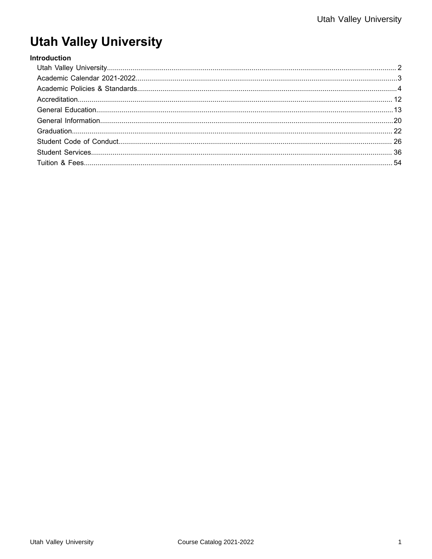# **Utah Valley University**

#### Introduction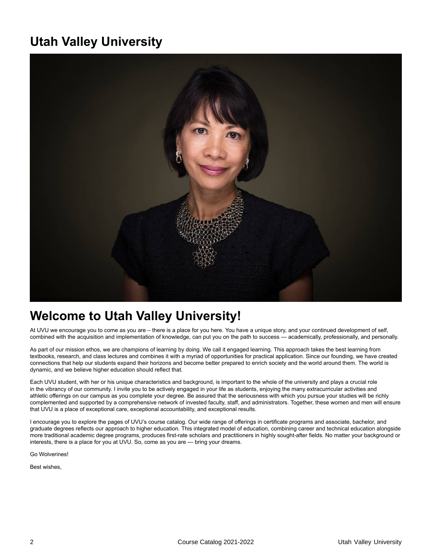# <span id="page-1-0"></span>**Utah Valley University**



# **Welcome to Utah Valley University!**

At UVU we encourage you to come as you are – there is a place for you here. You have a unique story, and your continued development of self, combined with the acquisition and implementation of knowledge, can put you on the path to success — academically, professionally, and personally.

As part of our mission ethos, we are champions of learning by doing. We call it engaged learning. This approach takes the best learning from textbooks, research, and class lectures and combines it with a myriad of opportunities for practical application. Since our founding, we have created connections that help our students expand their horizons and become better prepared to enrich society and the world around them. The world is dynamic, and we believe higher education should reflect that.

Each UVU student, with her or his unique characteristics and background, is important to the whole of the university and plays a crucial role in the vibrancy of our community. I invite you to be actively engaged in your life as students, enjoying the many extracurricular activities and athletic offerings on our campus as you complete your degree. Be assured that the seriousness with which you pursue your studies will be richly complemented and supported by a comprehensive network of invested faculty, staff, and administrators. Together, these women and men will ensure that UVU is a place of exceptional care, exceptional accountability, and exceptional results.

I encourage you to explore the pages of UVU's course catalog. Our wide range of offerings in certificate programs and associate, bachelor, and graduate degrees reflects our approach to higher education. This integrated model of education, combining career and technical education alongside more traditional academic degree programs, produces first-rate scholars and practitioners in highly sought-after fields. No matter your background or interests, there is a place for you at UVU. So, come as you are — bring your dreams.

Go Wolverines!

Best wishes,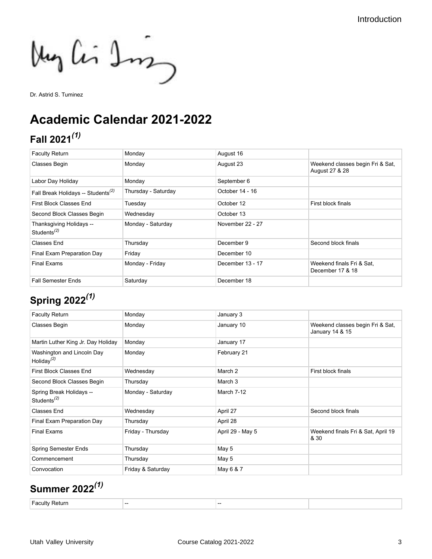My Cir Im

Dr. Astrid S. Tuminez

# <span id="page-2-0"></span>**Academic Calendar 2021-2022**

# **Fall 2021***(1)*

| <b>Faculty Return</b>                                            | Monday              | August 16        |                                                    |
|------------------------------------------------------------------|---------------------|------------------|----------------------------------------------------|
| <b>Classes Begin</b>                                             | Monday              | August 23        | Weekend classes begin Fri & Sat,<br>August 27 & 28 |
| Labor Day Holiday                                                | Monday              | September 6      |                                                    |
| Fall Break Holidays -- Students <sup>(2)</sup>                   | Thursday - Saturday | October 14 - 16  |                                                    |
| First Block Classes End                                          | Tuesday             | October 12       | First block finals                                 |
| Second Block Classes Begin                                       | Wednesday           | October 13       |                                                    |
| Thanksgiving Holidays --<br>Students <sup><math>(2)</math></sup> | Monday - Saturday   | November 22 - 27 |                                                    |
| Classes End                                                      | Thursday            | December 9       | Second block finals                                |
| Final Exam Preparation Day                                       | Friday              | December 10      |                                                    |
| <b>Final Exams</b>                                               | Monday - Friday     | December 13 - 17 | Weekend finals Fri & Sat.<br>December 17 & 18      |
| <b>Fall Semester Ends</b>                                        | Saturday            | December 18      |                                                    |

# **Spring 2022***(1)*

| <b>Faculty Return</b>                          | Monday            | January 3        |                                                     |
|------------------------------------------------|-------------------|------------------|-----------------------------------------------------|
| <b>Classes Begin</b>                           | Monday            | January 10       | Weekend classes begin Fri & Sat,<br>January 14 & 15 |
| Martin Luther King Jr. Day Holiday             | Monday            | January 17       |                                                     |
| Washington and Lincoln Day<br>Holiday $^{(2)}$ | Monday            | February 21      |                                                     |
| <b>First Block Classes End</b>                 | Wednesday         | March 2          | First block finals                                  |
| Second Block Classes Begin                     | Thursday          | March 3          |                                                     |
| Spring Break Holidays --<br>Students $^{(2)}$  | Monday - Saturday | March 7-12       |                                                     |
| <b>Classes End</b>                             | Wednesday         | April 27         | Second block finals                                 |
| Final Exam Preparation Day                     | Thursday          | April 28         |                                                     |
| <b>Final Exams</b>                             | Friday - Thursday | April 29 - May 5 | Weekend finals Fri & Sat, April 19<br>& 30          |
| <b>Spring Semester Ends</b>                    | Thursday          | May 5            |                                                     |
| Commencement                                   | Thursday          | May 5            |                                                     |
| Convocation                                    | Friday & Saturday | May 6 & 7        |                                                     |

# **Summer 2022***(1)*

| $\sim$ $\sim$<br>. IITV<br>--<br>. eturn | -- | . |  |
|------------------------------------------|----|---|--|
|------------------------------------------|----|---|--|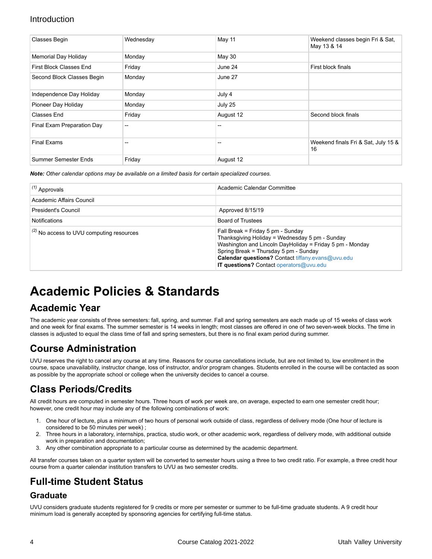| <b>Classes Begin</b>       | Wednesday                             | May 11    | Weekend classes begin Fri & Sat,<br>May 13 & 14 |
|----------------------------|---------------------------------------|-----------|-------------------------------------------------|
| Memorial Day Holiday       | Monday                                | May 30    |                                                 |
| First Block Classes End    | Friday                                | June 24   | First block finals                              |
| Second Block Classes Begin | Monday                                | June 27   |                                                 |
| Independence Day Holiday   | Monday                                | July 4    |                                                 |
| Pioneer Day Holiday        | Monday                                | July 25   |                                                 |
| Classes End                | Friday                                | August 12 | Second block finals                             |
| Final Exam Preparation Day | $\hspace{0.05cm}$ – $\hspace{0.05cm}$ | --        |                                                 |
| <b>Final Exams</b>         | $-$                                   | --        | Weekend finals Fri & Sat, July 15 &<br>16       |
| Summer Semester Ends       | Friday                                | August 12 |                                                 |

*Note: Other calendar options may be available on a limited basis for certain specialized courses.*

| $(1)$ Approvals                                    | Academic Calendar Committee                                                                                                                                                                                                                                                              |
|----------------------------------------------------|------------------------------------------------------------------------------------------------------------------------------------------------------------------------------------------------------------------------------------------------------------------------------------------|
| Academic Affairs Council                           |                                                                                                                                                                                                                                                                                          |
| <b>President's Council</b>                         | Approved 8/15/19                                                                                                                                                                                                                                                                         |
| <b>Notifications</b>                               | <b>Board of Trustees</b>                                                                                                                                                                                                                                                                 |
| $\vert^{(2)}$ No access to UVU computing resources | Fall Break = Friday 5 pm - Sunday<br>Thanksgiving Holiday = Wednesday 5 pm - Sunday<br>Washington and Lincoln DayHoliday = Friday 5 pm - Monday<br>Spring Break = Thursday 5 pm - Sunday<br>Calendar questions? Contact tiffany.evans@uvu.edu<br>IT questions? Contact operators@uvu.edu |

# <span id="page-3-0"></span>**Academic Policies & Standards**

## **Academic Year**

The academic year consists of three semesters: fall, spring, and summer. Fall and spring semesters are each made up of 15 weeks of class work and one week for final exams. The summer semester is 14 weeks in length; most classes are offered in one of two seven-week blocks. The time in classes is adjusted to equal the class time of fall and spring semesters, but there is no final exam period during summer.

## **Course Administration**

UVU reserves the right to cancel any course at any time. Reasons for course cancellations include, but are not limited to, low enrollment in the course, space unavailability, instructor change, loss of instructor, and/or program changes. Students enrolled in the course will be contacted as soon as possible by the appropriate school or college when the university decides to cancel a course.

## **Class Periods/Credits**

All credit hours are computed in semester hours. Three hours of work per week are, on average, expected to earn one semester credit hour; however, one credit hour may include any of the following combinations of work:

- 1. One hour of lecture, plus a minimum of two hours of personal work outside of class, regardless of delivery mode (One hour of lecture is considered to be 50 minutes per week) ;
- 2. Three hours in a laboratory, internships, practica, studio work, or other academic work, regardless of delivery mode, with additional outside work in preparation and documentation;
- 3. Any other combination appropriate to a particular course as determined by the academic department.

All transfer courses taken on a quarter system will be converted to semester hours using a three to two credit ratio. For example, a three credit hour course from a quarter calendar institution transfers to UVU as two semester credits.

## **Full-time Student Status**

#### **Graduate**

UVU considers graduate students registered for 9 credits or more per semester or summer to be full-time graduate students. A 9 credit hour minimum load is generally accepted by sponsoring agencies for certifying full-time status.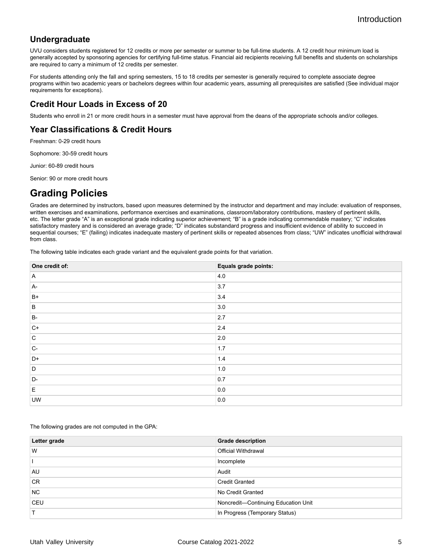### **Undergraduate**

UVU considers students registered for 12 credits or more per semester or summer to be full-time students. A 12 credit hour minimum load is generally accepted by sponsoring agencies for certifying full-time status. Financial aid recipients receiving full benefits and students on scholarships are required to carry a minimum of 12 credits per semester.

For students attending only the fall and spring semesters, 15 to 18 credits per semester is generally required to complete associate degree programs within two academic years or bachelors degrees within four academic years, assuming all prerequisites are satisfied (See individual major requirements for exceptions).

#### **Credit Hour Loads in Excess of 20**

Students who enroll in 21 or more credit hours in a semester must have approval from the deans of the appropriate schools and/or colleges.

### **Year Classifications & Credit Hours**

Freshman: 0-29 credit hours

Sophomore: 30-59 credit hours

Junior: 60-89 credit hours

Senior: 90 or more credit hours

## **Grading Policies**

Grades are determined by instructors, based upon measures determined by the instructor and department and may include: evaluation of responses, written exercises and examinations, performance exercises and examinations, classroom/laboratory contributions, mastery of pertinent skills, etc. The letter grade "A" is an exceptional grade indicating superior achievement; "B" is a grade indicating commendable mastery; "C" indicates satisfactory mastery and is considered an average grade; "D" indicates substandard progress and insufficient evidence of ability to succeed in sequential courses; "E" (failing) indicates inadequate mastery of pertinent skills or repeated absences from class; "UW" indicates unofficial withdrawal from class.

The following table indicates each grade variant and the equivalent grade points for that variation.

| One credit of: | Equals grade points: |
|----------------|----------------------|
| $\mathsf{A}$   | 4.0                  |
| A-             | 3.7                  |
| $B+$           | 3.4                  |
| B              | 3.0                  |
| <b>B-</b>      | 2.7                  |
| $C+$           | 2.4                  |
| C.             | 2.0                  |
| $ C -$         | 1.7                  |
| D+             | 1.4                  |
| D              | $1.0\,$              |
| D-             | 0.7                  |
| E              | 0.0                  |
| <b>UW</b>      | $0.0\,$              |

The following grades are not computed in the GPA:

| Letter grade | <b>Grade description</b>            |
|--------------|-------------------------------------|
| W            | <b>Official Withdrawal</b>          |
|              | Incomplete                          |
| AU           | Audit                               |
| <b>CR</b>    | <b>Credit Granted</b>               |
| <b>NC</b>    | No Credit Granted                   |
| <b>CEU</b>   | Noncredit-Continuing Education Unit |
|              | In Progress (Temporary Status)      |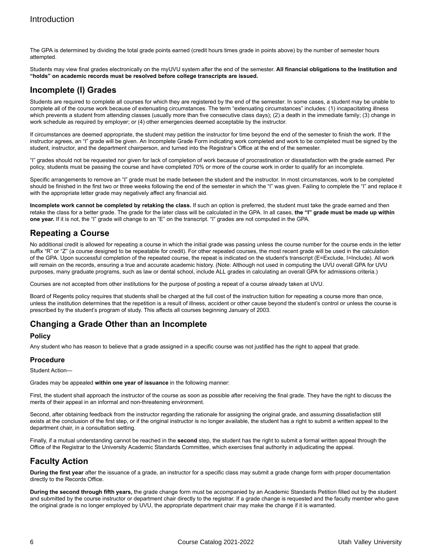The GPA is determined by dividing the total grade points earned (credit hours times grade in points above) by the number of semester hours attempted.

Students may view final grades electronically on the myUVU system after the end of the semester. **All financial obligations to the Institution and "holds" on academic records must be resolved before college transcripts are issued.**

### **Incomplete (I) Grades**

Students are required to complete all courses for which they are registered by the end of the semester. In some cases, a student may be unable to complete all of the course work because of extenuating circumstances. The term "extenuating circumstances" includes: (1) incapacitating illness which prevents a student from attending classes (usually more than five consecutive class days); (2) a death in the immediate family; (3) change in work schedule as required by employer; or (4) other emergencies deemed acceptable by the instructor.

If circumstances are deemed appropriate, the student may petition the instructor for time beyond the end of the semester to finish the work. If the instructor agrees, an "I" grade will be given. An Incomplete Grade Form indicating work completed and work to be completed must be signed by the student, instructor, and the department chairperson, and turned into the Registrar's Office at the end of the semester.

"I" grades should not be requested nor given for lack of completion of work because of procrastination or dissatisfaction with the grade earned. Per policy, students must be passing the course and have completed 70% or more of the course work in order to qualify for an incomplete.

Specific arrangements to remove an "I" grade must be made between the student and the instructor. In most circumstances, work to be completed should be finished in the first two or three weeks following the end of the semester in which the "I" was given. Failing to complete the "I" and replace it with the appropriate letter grade may negatively affect any financial aid.

**Incomplete work cannot be completed by retaking the class.** If such an option is preferred, the student must take the grade earned and then retake the class for a better grade. The grade for the later class will be calculated in the GPA. In all cases, **the "I" grade must be made up within one year.** If it is not, the "I" grade will change to an "E" on the transcript. "I" grades are not computed in the GPA.

### **Repeating a Course**

No additional credit is allowed for repeating a course in which the initial grade was passing unless the course number for the course ends in the letter suffix "R" or "Z" (a course designed to be repeatable for credit). For other repeated courses, the most recent grade will be used in the calculation of the GPA. Upon successful completion of the repeated course, the repeat is indicated on the student's transcript (E=Exclude, I=Include). All work will remain on the records, ensuring a true and accurate academic history. (Note: Although not used in computing the UVU overall GPA for UVU purposes, many graduate programs, such as law or dental school, include ALL grades in calculating an overall GPA for admissions criteria.)

Courses are not accepted from other institutions for the purpose of posting a repeat of a course already taken at UVU.

Board of Regents policy requires that students shall be charged at the full cost of the instruction tuition for repeating a course more than once, unless the institution determines that the repetition is a result of illness, accident or other cause beyond the student's control or unless the course is prescribed by the student's program of study. This affects all courses beginning January of 2003.

### **Changing a Grade Other than an Incomplete**

#### **Policy**

Any student who has reason to believe that a grade assigned in a specific course was not justified has the right to appeal that grade.

#### **Procedure**

Student Action—

Grades may be appealed **within one year of issuance** in the following manner:

First, the student shall approach the instructor of the course as soon as possible after receiving the final grade. They have the right to discuss the merits of their appeal in an informal and non-threatening environment.

Second, after obtaining feedback from the instructor regarding the rationale for assigning the original grade, and assuming dissatisfaction still exists at the conclusion of the first step, or if the original instructor is no longer available, the student has a right to submit a written appeal to the department chair, in a consultation setting.

Finally, if a mutual understanding cannot be reached in the **second** step, the student has the right to submit a formal written appeal through the Office of the Registrar to the University Academic Standards Committee, which exercises final authority in adjudicating the appeal.

### **Faculty Action**

**During the first year** after the issuance of a grade, an instructor for a specific class may submit a grade change form with proper documentation directly to the Records Office.

**During the second through fifth years,** the grade change form must be accompanied by an Academic Standards Petition filled out by the student and submitted by the course instructor or department chair directly to the registrar. If a grade change is requested and the faculty member who gave the original grade is no longer employed by UVU, the appropriate department chair may make the change if it is warranted.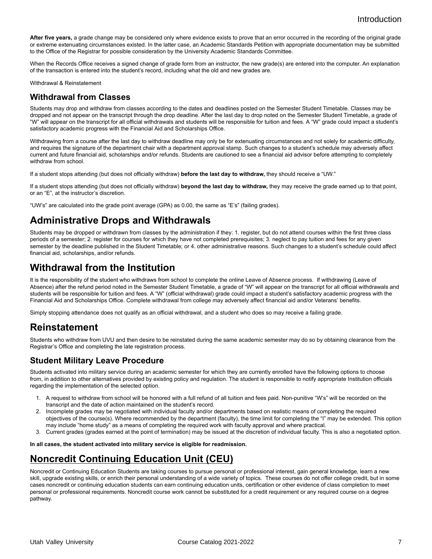After five years, a grade change may be considered only where evidence exists to prove that an error occurred in the recording of the original grade or extreme extenuating circumstances existed. In the latter case, an Academic Standards Petition with appropriate documentation may be submitted to the Office of the Registrar for possible consideration by the University Academic Standards Committee.

When the Records Office receives a signed change of grade form from an instructor, the new grade(s) are entered into the computer. An explanation of the transaction is entered into the student's record, including what the old and new grades are.

Withdrawal & Reinstatement

#### **Withdrawal from Classes**

Students may drop and withdraw from classes according to the dates and deadlines posted on the Semester Student Timetable. Classes may be dropped and not appear on the transcript through the drop deadline. After the last day to drop noted on the Semester Student Timetable, a grade of "W" will appear on the transcript for all official withdrawals and students will be responsible for tuition and fees. A "W" grade could impact a student's satisfactory academic progress with the Financial Aid and Scholarships Office.

Withdrawing from a course after the last day to withdraw deadline may only be for extenuating circumstances and not solely for academic difficulty, and requires the signature of the department chair with a department approval stamp. Such changes to a student's schedule may adversely affect current and future financial aid, scholarships and/or refunds. Students are cautioned to see a financial aid advisor before attempting to completely withdraw from school.

If a student stops attending (but does not officially withdraw) **before the last day to withdraw,** they should receive a "UW."

If a student stops attending (but does not officially withdraw) **beyond the last day to withdraw,** they may receive the grade earned up to that point, or an "E", at the instructor's discretion.

"UW's" are calculated into the grade point average (GPA) as 0.00, the same as "E's" (failing grades).

### **Administrative Drops and Withdrawals**

Students may be dropped or withdrawn from classes by the administration if they: 1. register, but do not attend courses within the first three class periods of a semester; 2. register for courses for which they have not completed prerequisites; 3. neglect to pay tuition and fees for any given semester by the deadline published in the Student Timetable; or 4. other administrative reasons. Such changes to a student's schedule could affect financial aid, scholarships, and/or refunds.

### **Withdrawal from the Institution**

It is the responsibility of the student who withdraws from school to complete the online Leave of Absence process. If withdrawing (Leave of Absence) after the refund period noted in the Semester Student Timetable, a grade of "W" will appear on the transcript for all official withdrawals and students will be responsible for tuition and fees. A "W" (official withdrawal) grade could impact a student's satisfactory academic progress with the Financial Aid and Scholarships Office. Complete withdrawal from college may adversely affect financial aid and/or Veterans' benefits.

Simply stopping attendance does not qualify as an official withdrawal, and a student who does so may receive a failing grade.

### **Reinstatement**

Students who withdraw from UVU and then desire to be reinstated during the same academic semester may do so by obtaining clearance from the Registrar's Office and completing the late registration process.

#### **Student Military Leave Procedure**

Students activated into military service during an academic semester for which they are currently enrolled have the following options to choose from, in addition to other alternatives provided by existing policy and regulation. The student is responsible to notify appropriate Institution officials regarding the implementation of the selected option.

- 1. A request to withdraw from school will be honored with a full refund of all tuition and fees paid. Non-punitive "W's" will be recorded on the transcript and the date of action maintained on the student's record.
- 2. Incomplete grades may be negotiated with individual faculty and/or departments based on realistic means of completing the required objectives of the course(s). Where recommended by the department (faculty), the time limit for completing the "I" may be extended. This option may include "home study" as a means of completing the required work with faculty approval and where practical.
- 3. Current grades (grades earned at the point of termination) may be issued at the discretion of individual faculty. This is also a negotiated option.

**In all cases, the student activated into military service is eligible for readmission.**

## **Noncredit Continuing Education Unit (CEU)**

Noncredit or Continuing Education Students are taking courses to pursue personal or professional interest, gain general knowledge, learn a new skill, upgrade existing skills, or enrich their personal understanding of a wide variety of topics. These courses do not offer college credit, but in some cases noncredit or continuing education students can earn continuing education units, certification or other evidence of class completion to meet personal or professional requirements. Noncredit course work cannot be substituted for a credit requirement or any required course on a degree pathway.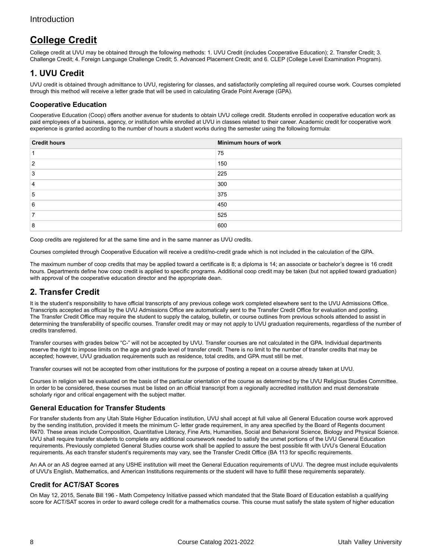## **College Credit**

College credit at UVU may be obtained through the following methods: 1. UVU Credit (includes Cooperative Education); 2. Transfer Credit; 3. Challenge Credit; 4. Foreign Language Challenge Credit; 5. Advanced Placement Credit; and 6. CLEP (College Level Examination Program).

### **1. UVU Credit**

UVU credit is obtained through admittance to UVU, registering for classes, and satisfactorily completing all required course work. Courses completed through this method will receive a letter grade that will be used in calculating Grade Point Average (GPA).

#### **Cooperative Education**

Cooperative Education (Coop) offers another avenue for students to obtain UVU college credit. Students enrolled in cooperative education work as paid employees of a business, agency, or institution while enrolled at UVU in classes related to their career. Academic credit for cooperative work experience is granted according to the number of hours a student works during the semester using the following formula:

| <b>Credit hours</b> | Minimum hours of work |
|---------------------|-----------------------|
|                     | 75                    |
| ົ                   | 150                   |
|                     | 225                   |
| 4                   | 300                   |
| 5                   | 375                   |
| 6                   | 450                   |
|                     | 525                   |
| o<br>Ο              | 600                   |

Coop credits are registered for at the same time and in the same manner as UVU credits.

Courses completed through Cooperative Education will receive a credit/no-credit grade which is not included in the calculation of the GPA.

The maximum number of coop credits that may be applied toward a certificate is 8; a diploma is 14; an associate or bachelor's degree is 16 credit hours. Departments define how coop credit is applied to specific programs. Additional coop credit may be taken (but not applied toward graduation) with approval of the cooperative education director and the appropriate dean.

### **2. Transfer Credit**

It is the student's responsibility to have official transcripts of any previous college work completed elsewhere sent to the UVU Admissions Office. Transcripts accepted as official by the UVU Admissions Office are automatically sent to the Transfer Credit Office for evaluation and posting. The Transfer Credit Office may require the student to supply the catalog, bulletin, or course outlines from previous schools attended to assist in determining the transferability of specific courses. Transfer credit may or may not apply to UVU graduation requirements, regardless of the number of credits transferred.

Transfer courses with grades below "C-" will not be accepted by UVU. Transfer courses are not calculated in the GPA. Individual departments reserve the right to impose limits on the age and grade level of transfer credit. There is no limit to the number of transfer credits that may be accepted; however, UVU graduation requirements such as residence, total credits, and GPA must still be met.

Transfer courses will not be accepted from other institutions for the purpose of posting a repeat on a course already taken at UVU.

Courses in religion will be evaluated on the basis of the particular orientation of the course as determined by the UVU Religious Studies Committee. In order to be considered, these courses must be listed on an official transcript from a regionally accredited institution and must demonstrate scholarly rigor and critical engagement with the subject matter.

#### **General Education for Transfer Students**

For transfer students from any Utah State Higher Education institution, UVU shall accept at full value all General Education course work approved by the sending institution, provided it meets the minimum C- letter grade requirement, in any area specified by the Board of Regents document R470. These areas include Composition, Quantitative Literacy, Fine Arts, Humanities, Social and Behavioral Science, Biology and Physical Science. UVU shall require transfer students to complete any additional coursework needed to satisfy the unmet portions of the UVU General Education requirements. Previously completed General Studies course work shall be applied to assure the best possible fit with UVU's General Education requirements. As each transfer student's requirements may vary, see the Transfer Credit Office (BA 113 for specific requirements.

An AA or an AS degree earned at any USHE institution will meet the General Education requirements of UVU. The degree must include equivalents of UVU's English, Mathematics, and American Institutions requirements or the student will have to fulfill these requirements separately.

#### **Credit for ACT/SAT Scores**

On May 12, 2015, Senate Bill 196 - Math Competency Initiative passed which mandated that the State Board of Education establish a qualifying score for ACT/SAT scores in order to award college credit for a mathematics course. This course must satisfy the state system of higher education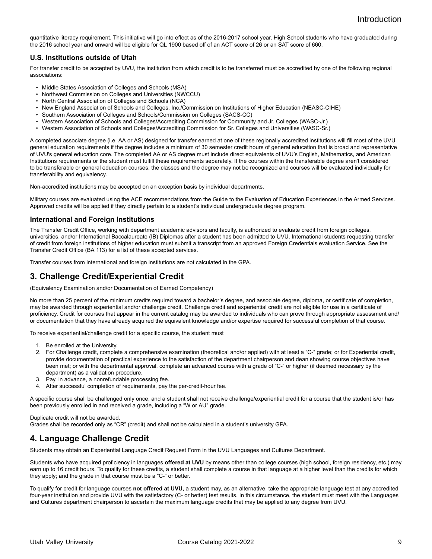quantitative literacy requirement. This initiative will go into effect as of the 2016-2017 school year. High School students who have graduated during the 2016 school year and onward will be eligible for QL 1900 based off of an ACT score of 26 or an SAT score of 660.

#### **U.S. Institutions outside of Utah**

For transfer credit to be accepted by UVU, the institution from which credit is to be transferred must be accredited by one of the following regional associations:

- Middle States Association of Colleges and Schools (MSA)
- Northwest Commission on Colleges and Universities (NWCCU)
- North Central Association of Colleges and Schools (NCA)
- New England Association of Schools and Colleges, Inc./Commission on Institutions of Higher Education (NEASC-CIHE)
- Southern Association of Colleges and Schools/Commission on Colleges (SACS-CC)
- Western Association of Schools and Colleges/Accrediting Commission for Community and Jr. Colleges (WASC-Jr.)
- Western Association of Schools and Colleges/Accrediting Commission for Sr. Colleges and Universities (WASC-Sr.)

A completed associate degree (i.e. AA or AS) designed for transfer earned at one of these regionally accredited institutions will fill most of the UVU general education requirements if the degree includes a minimum of 30 semester credit hours of general education that is broad and representative of UVU's general education core. The completed AA or AS degree must include direct equivalents of UVU's English, Mathematics, and American Institutions requirements or the student must fulfill these requirements separately. If the courses within the transferable degree aren't considered to be transferable or general education courses, the classes and the degree may not be recognized and courses will be evaluated individually for transferability and equivalency.

Non-accredited institutions may be accepted on an exception basis by individual departments.

Military courses are evaluated using the ACE recommendations from the Guide to the Evaluation of Education Experiences in the Armed Services. Approved credits will be applied if they directly pertain to a student's individual undergraduate degree program.

#### **International and Foreign Institutions**

The Transfer Credit Office, working with department academic advisors and faculty, is authorized to evaluate credit from foreign colleges, universities, and/or International Baccalaureate (IB) Diplomas after a student has been admitted to UVU. International students requesting transfer of credit from foreign institutions of higher education must submit a transcript from an approved Foreign Credentials evaluation Service. See the Transfer Credit Office (BA 113) for a list of these accepted services.

Transfer courses from international and foreign institutions are not calculated in the GPA.

#### **3. Challenge Credit/Experiential Credit**

(Equivalency Examination and/or Documentation of Earned Competency)

No more than 25 percent of the minimum credits required toward a bachelor's degree, and associate degree, diploma, or certificate of completion, may be awarded through experiential and/or challenge credit. Challenge credit and experiential credit are not eligible for use in a certificate of proficiency. Credit for courses that appear in the current catalog may be awarded to individuals who can prove through appropriate assessment and/ or documentation that they have already acquired the equivalent knowledge and/or expertise required for successful completion of that course.

To receive experiential/challenge credit for a specific course, the student must

- 1. Be enrolled at the University.
- 2. For Challenge credit, complete a comprehensive examination (theoretical and/or applied) with at least a "C-" grade; or for Experiential credit, provide documentation of practical experience to the satisfaction of the department chairperson and dean showing course objectives have been met; or with the departmental approval, complete an advanced course with a grade of "C-" or higher (if deemed necessary by the department) as a validation procedure.
- 3. Pay, in advance, a nonrefundable processing fee.
- 4. After successful completion of requirements, pay the per-credit-hour fee.

A specific course shall be challenged only once, and a student shall not receive challenge/experiential credit for a course that the student is/or has been previously enrolled in and received a grade, including a "W or AU" grade.

Duplicate credit will not be awarded.

Grades shall be recorded only as "CR" (credit) and shall not be calculated in a student's university GPA.

#### **4. Language Challenge Credit**

Students may obtain an Experiential Language Credit Request Form in the UVU Languages and Cultures Department.

Students who have acquired proficiency in languages **offered at UVU** by means other than college courses (high school, foreign residency, etc.) may earn up to 16 credit hours. To qualify for these credits, a student shall complete a course in that language at a higher level than the credits for which they apply; and the grade in that course must be a "C-" or better.

To qualify for credit for language courses **not offered at UVU,** a student may, as an alternative, take the appropriate language test at any accredited four-year institution and provide UVU with the satisfactory (C- or better) test results. In this circumstance, the student must meet with the Languages and Cultures department chairperson to ascertain the maximum language credits that may be applied to any degree from UVU.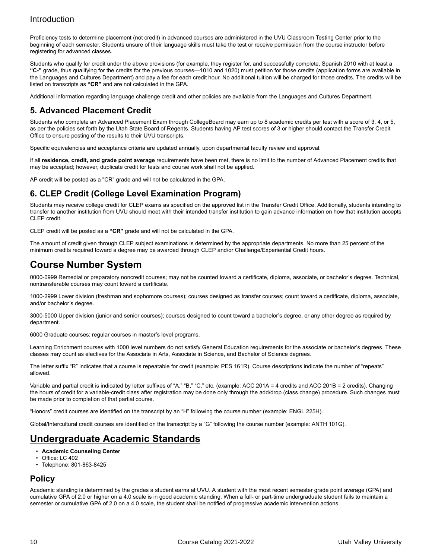Proficiency tests to determine placement (not credit) in advanced courses are administered in the UVU Classroom Testing Center prior to the beginning of each semester. Students unsure of their language skills must take the test or receive permission from the course instructor before registering for advanced classes.

Students who qualify for credit under the above provisions (for example, they register for, and successfully complete, Spanish 2010 with at least a **"C-"** grade, thus qualifying for the credits for the previous courses—1010 and 1020) must petition for those credits (application forms are available in the Languages and Cultures Department) and pay a fee for each credit hour. No additional tuition will be charged for those credits. The credits will be listed on transcripts as **"CR"** and are not calculated in the GPA.

Additional information regarding language challenge credit and other policies are available from the Languages and Cultures Department.

### **5. Advanced Placement Credit**

Students who complete an Advanced Placement Exam through CollegeBoard may earn up to 8 academic credits per test with a score of 3, 4, or 5, as per the policies set forth by the Utah State Board of Regents. Students having AP test scores of 3 or higher should contact the Transfer Credit Office to ensure posting of the results to their UVU transcripts.

Specific equivalencies and acceptance criteria are updated annually, upon departmental faculty review and approval.

If all **residence, credit, and grade point average** requirements have been met, there is no limit to the number of Advanced Placement credits that may be accepted; however, duplicate credit for tests and course work shall not be applied.

AP credit will be posted as a "CR" grade and will not be calculated in the GPA.

#### **6. CLEP Credit (College Level Examination Program)**

Students may receive college credit for CLEP exams as specified on the approved list in the Transfer Credit Office. Additionally, students intending to transfer to another institution from UVU should meet with their intended transfer institution to gain advance information on how that institution accepts CLEP credit.

CLEP credit will be posted as a **"CR"** grade and will not be calculated in the GPA.

The amount of credit given through CLEP subject examinations is determined by the appropriate departments. No more than 25 percent of the minimum credits required toward a degree may be awarded through CLEP and/or Challenge/Experiential Credit hours.

### **Course Number System**

0000-0999 Remedial or preparatory noncredit courses; may not be counted toward a certificate, diploma, associate, or bachelor's degree. Technical, nontransferable courses may count toward a certificate.

1000-2999 Lower division (freshman and sophomore courses); courses designed as transfer courses; count toward a certificate, diploma, associate, and/or bachelor's degree.

3000-5000 Upper division (junior and senior courses); courses designed to count toward a bachelor's degree, or any other degree as required by department.

6000 Graduate courses; regular courses in master's level programs.

Learning Enrichment courses with 1000 level numbers do not satisfy General Education requirements for the associate or bachelor's degrees. These classes may count as electives for the Associate in Arts, Associate in Science, and Bachelor of Science degrees.

The letter suffix "R" indicates that a course is repeatable for credit (example: PES 161R). Course descriptions indicate the number of "repeats" allowed.

Variable and partial credit is indicated by letter suffixes of "A," "B," "C," etc. (example: ACC 201A = 4 credits and ACC 201B = 2 credits). Changing the hours of credit for a variable-credit class after registration may be done only through the add/drop (class change) procedure. Such changes must be made prior to completion of that partial course.

"Honors" credit courses are identified on the transcript by an "H" following the course number (example: ENGL 225H).

Global/Intercultural credit courses are identified on the transcript by a "G" following the course number (example: ANTH 101G).

### **Undergraduate Academic Standards**

- **Academic Counseling Center**
- Office: LC 402
- Telephone: 801-863-8425

#### **Policy**

Academic standing is determined by the grades a student earns at UVU. A student with the most recent semester grade point average (GPA) and cumulative GPA of 2.0 or higher on a 4.0 scale is in good academic standing. When a full- or part-time undergraduate student fails to maintain a semester or cumulative GPA of 2.0 on a 4.0 scale, the student shall be notified of progressive academic intervention actions.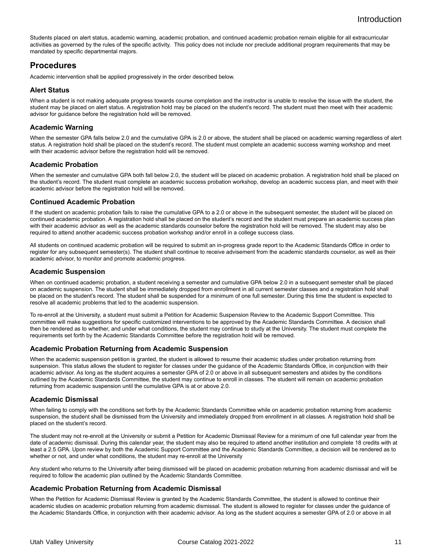Students placed on alert status, academic warning, academic probation, and continued academic probation remain eligible for all extracurricular activities as governed by the rules of the specific activity. This policy does not include nor preclude additional program requirements that may be mandated by specific departmental majors.

#### **Procedures**

Academic intervention shall be applied progressively in the order described below.

#### **Alert Status**

When a student is not making adequate progress towards course completion and the instructor is unable to resolve the issue with the student, the student may be placed on alert status. A registration hold may be placed on the student's record. The student must then meet with their academic advisor for guidance before the registration hold will be removed.

#### **Academic Warning**

When the semester GPA falls below 2.0 and the cumulative GPA is 2.0 or above, the student shall be placed on academic warning regardless of alert status. A registration hold shall be placed on the student's record. The student must complete an academic success warning workshop and meet with their academic advisor before the registration hold will be removed.

#### **Academic Probation**

When the semester and cumulative GPA both fall below 2.0, the student will be placed on academic probation. A registration hold shall be placed on the student's record. The student must complete an academic success probation workshop, develop an academic success plan, and meet with their academic advisor before the registration hold will be removed.

#### **Continued Academic Probation**

If the student on academic probation fails to raise the cumulative GPA to a 2.0 or above in the subsequent semester, the student will be placed on continued academic probation. A registration hold shall be placed on the student's record and the student must prepare an academic success plan with their academic advisor as well as the academic standards counselor before the registration hold will be removed. The student may also be required to attend another academic success probation workshop and/or enroll in a college success class.

All students on continued academic probation will be required to submit an in-progress grade report to the Academic Standards Office in order to register for any subsequent semester(s). The student shall continue to receive advisement from the academic standards counselor, as well as their academic advisor, to monitor and promote academic progress.

#### **Academic Suspension**

When on continued academic probation, a student receiving a semester and cumulative GPA below 2.0 in a subsequent semester shall be placed on academic suspension. The student shall be immediately dropped from enrollment in all current semester classes and a registration hold shall be placed on the student's record. The student shall be suspended for a minimum of one full semester. During this time the student is expected to resolve all academic problems that led to the academic suspension.

To re-enroll at the University, a student must submit a Petition for Academic Suspension Review to the Academic Support Committee. This committee will make suggestions for specific customized interventions to be approved by the Academic Standards Committee. A decision shall then be rendered as to whether, and under what conditions, the student may continue to study at the University. The student must complete the requirements set forth by the Academic Standards Committee before the registration hold will be removed.

#### **Academic Probation Returning from Academic Suspension**

When the academic suspension petition is granted, the student is allowed to resume their academic studies under probation returning from suspension. This status allows the student to register for classes under the guidance of the Academic Standards Office, in conjunction with their academic advisor. As long as the student acquires a semester GPA of 2.0 or above in all subsequent semesters and abides by the conditions outlined by the Academic Standards Committee, the student may continue to enroll in classes. The student will remain on academic probation returning from academic suspension until the cumulative GPA is at or above 2.0.

#### **Academic Dismissal**

When failing to comply with the conditions set forth by the Academic Standards Committee while on academic probation returning from academic suspension, the student shall be dismissed from the University and immediately dropped from enrollment in all classes. A registration hold shall be placed on the student's record.

The student may not re-enroll at the University or submit a Petition for Academic Dismissal Review for a minimum of one full calendar year from the date of academic dismissal. During this calendar year, the student may also be required to attend another institution and complete 18 credits with at least a 2.5 GPA. Upon review by both the Academic Support Committee and the Academic Standards Committee, a decision will be rendered as to whether or not, and under what conditions, the student may re-enroll at the University

Any student who returns to the University after being dismissed will be placed on academic probation returning from academic dismissal and will be required to follow the academic plan outlined by the Academic Standards Committee.

#### **Academic Probation Returning from Academic Dismissal**

When the Petition for Academic Dismissal Review is granted by the Academic Standards Committee, the student is allowed to continue their academic studies on academic probation returning from academic dismissal. The student is allowed to register for classes under the guidance of the Academic Standards Office, in conjunction with their academic advisor. As long as the student acquires a semester GPA of 2.0 or above in all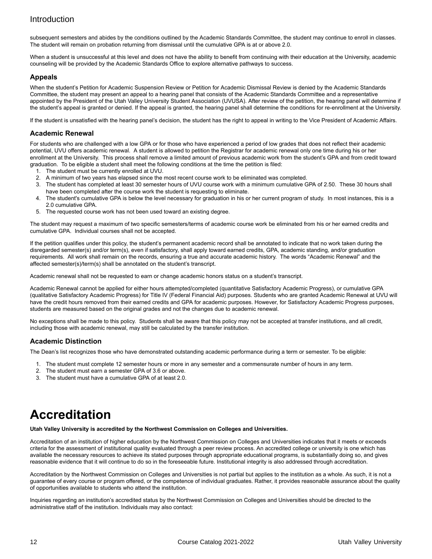subsequent semesters and abides by the conditions outlined by the Academic Standards Committee, the student may continue to enroll in classes. The student will remain on probation returning from dismissal until the cumulative GPA is at or above 2.0.

When a student is unsuccessful at this level and does not have the ability to benefit from continuing with their education at the University, academic counseling will be provided by the Academic Standards Office to explore alternative pathways to success.

#### **Appeals**

When the student's Petition for Academic Suspension Review or Petition for Academic Dismissal Review is denied by the Academic Standards Committee, the student may present an appeal to a hearing panel that consists of the Academic Standards Committee and a representative appointed by the President of the Utah Valley University Student Association (UVUSA). After review of the petition, the hearing panel will determine if the student's appeal is granted or denied. If the appeal is granted, the hearing panel shall determine the conditions for re-enrollment at the University.

If the student is unsatisfied with the hearing panel's decision, the student has the right to appeal in writing to the Vice President of Academic Affairs.

#### **Academic Renewal**

For students who are challenged with a low GPA or for those who have experienced a period of low grades that does not reflect their academic potential, UVU offers academic renewal. A student is allowed to petition the Registrar for academic renewal only one time during his or her enrollment at the University. This process shall remove a limited amount of previous academic work from the student's GPA and from credit toward graduation. To be eligible a student shall meet the following conditions at the time the petition is filed:

- 1. The student must be currently enrolled at UVU.
- 2. A minimum of two years has elapsed since the most recent course work to be eliminated was completed.
- 3. The student has completed at least 30 semester hours of UVU course work with a minimum cumulative GPA of 2.50. These 30 hours shall have been completed after the course work the student is requesting to eliminate.
- 4. The student's cumulative GPA is below the level necessary for graduation in his or her current program of study. In most instances, this is a 2.0 cumulative GPA.
- 5. The requested course work has not been used toward an existing degree.

The student may request a maximum of two specific semesters/terms of academic course work be eliminated from his or her earned credits and cumulative GPA. Individual courses shall not be accepted.

If the petition qualifies under this policy, the student's permanent academic record shall be annotated to indicate that no work taken during the disregarded semester(s) and/or term(s), even if satisfactory, shall apply toward earned credits, GPA, academic standing, and/or graduation requirements. All work shall remain on the records, ensuring a true and accurate academic history. The words "Academic Renewal" and the affected semester(s)/term(s) shall be annotated on the student's transcript.

Academic renewal shall not be requested to earn or change academic honors status on a student's transcript.

Academic Renewal cannot be applied for either hours attempted/completed (quantitative Satisfactory Academic Progress), or cumulative GPA (qualitative Satisfactory Academic Progress) for Title IV (Federal Financial Aid) purposes. Students who are granted Academic Renewal at UVU will have the credit hours removed from their earned credits and GPA for academic purposes. However, for Satisfactory Academic Progress purposes, students are measured based on the original grades and not the changes due to academic renewal.

No exceptions shall be made to this policy. Students shall be aware that this policy may not be accepted at transfer institutions, and all credit, including those with academic renewal, may still be calculated by the transfer institution.

#### **Academic Distinction**

The Dean's list recognizes those who have demonstrated outstanding academic performance during a term or semester. To be eligible:

- 1. The student must complete 12 semester hours or more in any semester and a commensurate number of hours in any term.
- 2. The student must earn a semester GPA of 3.6 or above.
- 3. The student must have a cumulative GPA of at least 2.0.

# <span id="page-11-0"></span>**Accreditation**

#### **Utah Valley University is accredited by the Northwest Commission on Colleges and Universities.**

Accreditation of an institution of higher education by the Northwest Commission on Colleges and Universities indicates that it meets or exceeds criteria for the assessment of institutional quality evaluated through a peer review process. An accredited college or university is one which has available the necessary resources to achieve its stated purposes through appropriate educational programs, is substantially doing so, and gives reasonable evidence that it will continue to do so in the foreseeable future. Institutional integrity is also addressed through accreditation.

Accreditation by the Northwest Commission on Colleges and Universities is not partial but applies to the institution as a whole. As such, it is not a guarantee of every course or program offered, or the competence of individual graduates. Rather, it provides reasonable assurance about the quality of opportunities available to students who attend the institution.

Inquiries regarding an institution's accredited status by the Northwest Commission on Colleges and Universities should be directed to the administrative staff of the institution. Individuals may also contact: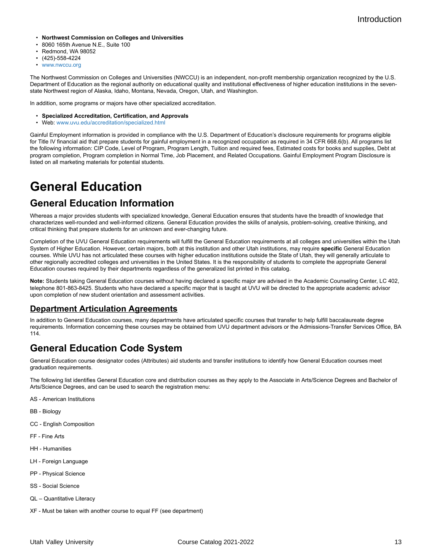- **Northwest Commission on Colleges and Universities**
- 8060 165th Avenue N.E., Suite 100
- Redmond, WA 98052
- (425)-558-4224
- [www.nwccu.org](http://www.nwccu.org)

The Northwest Commission on Colleges and Universities (NWCCU) is an independent, non-profit membership organization recognized by the U.S. Department of Education as the regional authority on educational quality and institutional effectiveness of higher education institutions in the sevenstate Northwest region of Alaska, Idaho, Montana, Nevada, Oregon, Utah, and Washington.

In addition, some programs or majors have other specialized accreditation.

- **Specialized Accreditation, Certification, and Approvals**
- Web: [www.uvu.edu/accreditation/specialized.html](http://www.uvu.edu/accreditation/specialized.html)

Gainful Employment information is provided in compliance with the U.S. Department of Education's disclosure requirements for programs eligible for Title IV financial aid that prepare students for gainful employment in a recognized occupation as required in 34 CFR 668.6(b). All programs list the following information: CIP Code, Level of Program, Program Length, Tuition and required fees, Estimated costs for books and supplies, Debt at program completion, Program completion in Normal Time, Job Placement, and Related Occupations. Gainful Employment Program Disclosure is listed on all marketing materials for potential students.

# <span id="page-12-0"></span>**General Education**

## **General Education Information**

Whereas a major provides students with specialized knowledge, General Education ensures that students have the breadth of knowledge that characterizes well-rounded and well-informed citizens. General Education provides the skills of analysis, problem-solving, creative thinking, and critical thinking that prepare students for an unknown and ever-changing future.

Completion of the UVU General Education requirements will fulfill the General Education requirements at all colleges and universities within the Utah System of Higher Education. However, certain majors, both at this institution and other Utah institutions, may require **specific** General Education courses. While UVU has not articulated these courses with higher education institutions outside the State of Utah, they will generally articulate to other regionally accredited colleges and universities in the United States. It is the responsibility of students to complete the appropriate General Education courses required by their departments regardless of the generalized list printed in this catalog.

**Note:** Students taking General Education courses without having declared a specific major are advised in the Academic Counseling Center, LC 402, telephone 801-863-8425. Students who have declared a specific major that is taught at UVU will be directed to the appropriate academic advisor upon completion of new student orientation and assessment activities.

#### **Department Articulation Agreements**

In addition to General Education courses, many departments have articulated specific courses that transfer to help fulfill baccalaureate degree requirements. Information concerning these courses may be obtained from UVU department advisors or the Admissions-Transfer Services Office, BA 114.

## **General Education Code System**

General Education course designator codes (Attributes) aid students and transfer institutions to identify how General Education courses meet graduation requirements.

The following list identifies General Education core and distribution courses as they apply to the Associate in Arts/Science Degrees and Bachelor of Arts/Science Degrees, and can be used to search the registration menu:

AS - American Institutions

- BB Biology
- CC English Composition
- FF Fine Arts
- HH Humanities
- LH Foreign Language
- PP Physical Science
- SS Social Science
- QL Quantitative Literacy
- XF Must be taken with another course to equal FF (see department)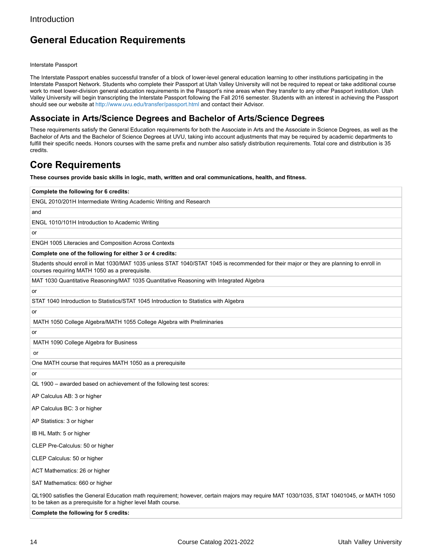## **General Education Requirements**

Interstate Passport

The Interstate Passport enables successful transfer of a block of lower-level general education learning to other institutions participating in the Interstate Passport Network. Students who complete their Passport at Utah Valley University will not be required to repeat or take additional course work to meet lower-division general education requirements in the Passport's nine areas when they transfer to any other Passport institution. Utah Valley University will begin transcripting the Interstate Passport following the Fall 2016 semester. Students with an interest in achieving the Passport should see our website at<http://www.uvu.edu/transfer/passport.html> and contact their Advisor.

#### **Associate in Arts/Science Degrees and Bachelor of Arts/Science Degrees**

These requirements satisfy the General Education requirements for both the Associate in Arts and the Associate in Science Degrees, as well as the Bachelor of Arts and the Bachelor of Science Degrees at UVU, taking into account adjustments that may be required by academic departments to fulfill their specific needs. Honors courses with the same prefix and number also satisfy distribution requirements. Total core and distribution is 35 credits.

### **Core Requirements**

**These courses provide basic skills in logic, math, written and oral communications, health, and fitness.**

| Complete the following for 6 credits:                                                                                                                                                                    |
|----------------------------------------------------------------------------------------------------------------------------------------------------------------------------------------------------------|
| ENGL 2010/201H Intermediate Writing Academic Writing and Research                                                                                                                                        |
| and                                                                                                                                                                                                      |
| ENGL 1010/101H Introduction to Academic Writing                                                                                                                                                          |
| or                                                                                                                                                                                                       |
| ENGH 1005 Literacies and Composition Across Contexts                                                                                                                                                     |
| Complete one of the following for either 3 or 4 credits:                                                                                                                                                 |
| Students should enroll in Mat 1030/MAT 1035 unless STAT 1040/STAT 1045 is recommended for their major or they are planning to enroll in<br>courses requiring MATH 1050 as a prerequisite.                |
| MAT 1030 Quantitative Reasoning/MAT 1035 Quantitative Reasoning with Integrated Algebra                                                                                                                  |
| or                                                                                                                                                                                                       |
| STAT 1040 Introduction to Statistics/STAT 1045 Introduction to Statistics with Algebra                                                                                                                   |
| or                                                                                                                                                                                                       |
| MATH 1050 College Algebra/MATH 1055 College Algebra with Preliminaries                                                                                                                                   |
| or                                                                                                                                                                                                       |
| MATH 1090 College Algebra for Business                                                                                                                                                                   |
| or                                                                                                                                                                                                       |
| One MATH course that requires MATH 1050 as a prerequisite                                                                                                                                                |
| or                                                                                                                                                                                                       |
| QL 1900 - awarded based on achievement of the following test scores:                                                                                                                                     |
| AP Calculus AB: 3 or higher                                                                                                                                                                              |
| AP Calculus BC: 3 or higher                                                                                                                                                                              |
| AP Statistics: 3 or higher                                                                                                                                                                               |
| IB HL Math: 5 or higher                                                                                                                                                                                  |
| CLEP Pre-Calculus: 50 or higher                                                                                                                                                                          |
| CLEP Calculus: 50 or higher                                                                                                                                                                              |
| ACT Mathematics: 26 or higher                                                                                                                                                                            |
| SAT Mathematics: 660 or higher                                                                                                                                                                           |
| QL1900 satisfies the General Education math requirement; however, certain majors may require MAT 1030/1035, STAT 10401045, or MATH 1050<br>to be taken as a prerequisite for a higher level Math course. |
| Complete the following for 5 credits:                                                                                                                                                                    |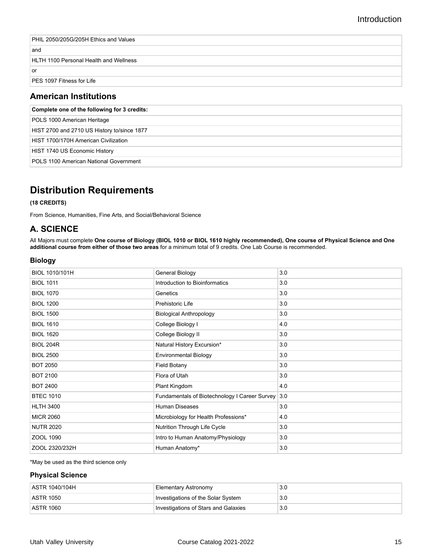| PHIL 2050/205G/205H Ethics and Values         |
|-----------------------------------------------|
| ∣and                                          |
| <b>HLTH 1100 Personal Health and Wellness</b> |
| l or                                          |
| <b>PES 1097 Fitness for Life</b>              |
|                                               |

### **American Institutions**

| Complete one of the following for 3 credits: |
|----------------------------------------------|
| POLS 1000 American Heritage                  |
| HIST 2700 and 2710 US History to/since 1877  |
| HIST 1700/170H American Civilization         |
| HIST 1740 US Economic History                |
| POLS 1100 American National Government       |

# **Distribution Requirements**

#### **(18 CREDITS)**

From Science, Humanities, Fine Arts, and Social/Behavioral Science

### **A. SCIENCE**

All Majors must complete **One course of Biology (BIOL 1010 or BIOL 1610 highly recommended), One course of Physical Science and One additional course from either of those two areas** for a minimum total of 9 credits. One Lab Course is recommended.

#### **Biology**

| BIOL 1010/101H   | General Biology                                   | 3.0 |
|------------------|---------------------------------------------------|-----|
| <b>BIOL 1011</b> | Introduction to Bioinformatics                    | 3.0 |
| <b>BIOL 1070</b> | Genetics                                          | 3.0 |
| <b>BIOL 1200</b> | Prehistoric Life                                  | 3.0 |
| <b>BIOL 1500</b> | <b>Biological Anthropology</b>                    | 3.0 |
| <b>BIOL 1610</b> | College Biology I                                 | 4.0 |
| <b>BIOL 1620</b> | College Biology II                                | 3.0 |
| <b>BIOL 204R</b> | Natural History Excursion*                        | 3.0 |
| <b>BIOL 2500</b> | <b>Environmental Biology</b>                      | 3.0 |
| <b>BOT 2050</b>  | <b>Field Botany</b>                               | 3.0 |
| <b>BOT 2100</b>  | Flora of Utah                                     | 3.0 |
| <b>BOT 2400</b>  | Plant Kingdom                                     | 4.0 |
| <b>BTEC 1010</b> | Fundamentals of Biotechnology I Career Survey 3.0 |     |
| <b>HLTH 3400</b> | <b>Human Diseases</b>                             | 3.0 |
| <b>MICR 2060</b> | Microbiology for Health Professions*              | 4.0 |
| <b>NUTR 2020</b> | Nutrition Through Life Cycle                      | 3.0 |
| ZOOL 1090        | Intro to Human Anatomy/Physiology                 | 3.0 |
| ZOOL 2320/232H   | Human Anatomy*                                    | 3.0 |

\*May be used as the third science only

#### **Physical Science**

| ASTR 1040/104H    | Elementary Astronomy                 | 3.0 |
|-------------------|--------------------------------------|-----|
| <b>LASTR 1050</b> | Investigations of the Solar System   | 3.0 |
| <b>ASTR 1060</b>  | Investigations of Stars and Galaxies | 3.0 |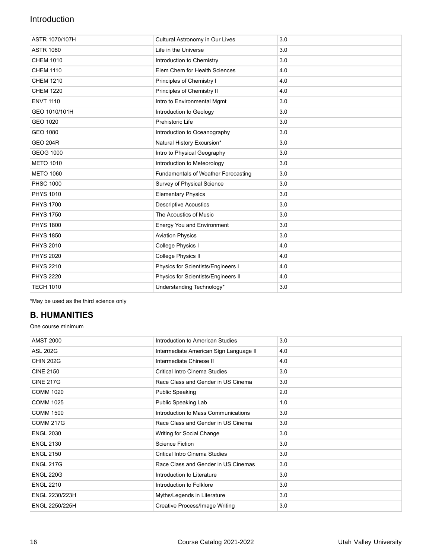| Cultural Astronomy in Our Lives            | 3.0 |
|--------------------------------------------|-----|
| Life in the Universe                       | 3.0 |
| Introduction to Chemistry                  | 3.0 |
| Elem Chem for Health Sciences              | 4.0 |
| Principles of Chemistry I                  | 4.0 |
| Principles of Chemistry II                 | 4.0 |
| Intro to Environmental Mgmt                | 3.0 |
| Introduction to Geology                    | 3.0 |
| Prehistoric Life                           | 3.0 |
| Introduction to Oceanography               | 3.0 |
| Natural History Excursion*                 | 3.0 |
| Intro to Physical Geography                | 3.0 |
| Introduction to Meteorology                | 3.0 |
| <b>Fundamentals of Weather Forecasting</b> | 3.0 |
| Survey of Physical Science                 | 3.0 |
| <b>Elementary Physics</b>                  | 3.0 |
| <b>Descriptive Acoustics</b>               | 3.0 |
| The Acoustics of Music                     | 3.0 |
| <b>Energy You and Environment</b>          | 3.0 |
| <b>Aviation Physics</b>                    | 3.0 |
| College Physics I                          | 4.0 |
| College Physics II                         | 4.0 |
| Physics for Scientists/Engineers I         | 4.0 |
| Physics for Scientists/Engineers II        | 4.0 |
| Understanding Technology*                  | 3.0 |
|                                            |     |

\*May be used as the third science only

### **B. HUMANITIES**

One course minimum

| <b>AMST 2000</b> | Introduction to American Studies       | 3.0 |
|------------------|----------------------------------------|-----|
| <b>ASL 202G</b>  | Intermediate American Sign Language II | 4.0 |
| <b>CHIN 202G</b> | Intermediate Chinese II                | 4.0 |
| <b>CINE 2150</b> | Critical Intro Cinema Studies          | 3.0 |
| <b>CINE 217G</b> | Race Class and Gender in US Cinema     | 3.0 |
| <b>COMM 1020</b> | <b>Public Speaking</b>                 | 2.0 |
| <b>COMM 1025</b> | Public Speaking Lab                    | 1.0 |
| <b>COMM 1500</b> | Introduction to Mass Communications    | 3.0 |
| <b>COMM 217G</b> | Race Class and Gender in US Cinema     | 3.0 |
| <b>ENGL 2030</b> | Writing for Social Change              | 3.0 |
| <b>ENGL 2130</b> | <b>Science Fiction</b>                 | 3.0 |
| <b>ENGL 2150</b> | Critical Intro Cinema Studies          | 3.0 |
| <b>ENGL 217G</b> | Race Class and Gender in US Cinemas    | 3.0 |
| <b>ENGL 220G</b> | Introduction to Literature             | 3.0 |
| <b>ENGL 2210</b> | Introduction to Folklore               | 3.0 |
| ENGL 2230/223H   | Myths/Legends in Literature            | 3.0 |
| ENGL 2250/225H   | <b>Creative Process/Image Writing</b>  | 3.0 |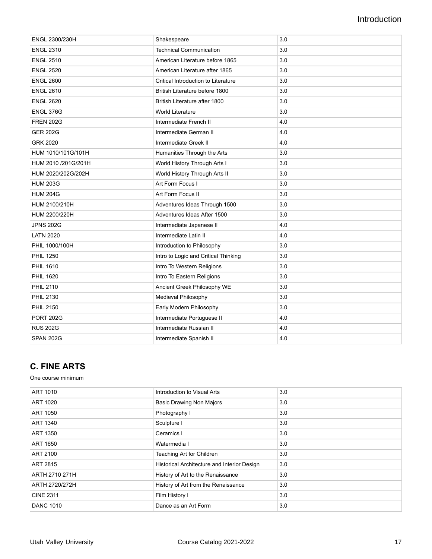| ENGL 2300/230H      | Shakespeare                          | 3.0 |
|---------------------|--------------------------------------|-----|
| <b>ENGL 2310</b>    | <b>Technical Communication</b>       | 3.0 |
| <b>ENGL 2510</b>    | American Literature before 1865      | 3.0 |
| <b>ENGL 2520</b>    | American Literature after 1865       | 3.0 |
| <b>ENGL 2600</b>    | Critical Introduction to Literature  | 3.0 |
| <b>ENGL 2610</b>    | British Literature before 1800       | 3.0 |
| <b>ENGL 2620</b>    | British Literature after 1800        | 3.0 |
| <b>ENGL 376G</b>    | <b>World Literature</b>              | 3.0 |
| <b>FREN 202G</b>    | Intermediate French II               | 4.0 |
| <b>GER 202G</b>     | Intermediate German II               | 4.0 |
| <b>GRK 2020</b>     | Intermediate Greek II                | 4.0 |
| HUM 1010/101G/101H  | Humanities Through the Arts          | 3.0 |
| HUM 2010 /201G/201H | World History Through Arts I         | 3.0 |
| HUM 2020/202G/202H  | World History Through Arts II        | 3.0 |
| <b>HUM 203G</b>     | Art Form Focus I                     | 3.0 |
| <b>HUM 204G</b>     | Art Form Focus II                    | 3.0 |
| HUM 2100/210H       | Adventures Ideas Through 1500        | 3.0 |
| HUM 2200/220H       | Adventures Ideas After 1500          | 3.0 |
| <b>JPNS 202G</b>    | Intermediate Japanese II             | 4.0 |
| <b>LATN 2020</b>    | Intermediate Latin II                | 4.0 |
| PHIL 1000/100H      | Introduction to Philosophy           | 3.0 |
| <b>PHIL 1250</b>    | Intro to Logic and Critical Thinking | 3.0 |
| <b>PHIL 1610</b>    | Intro To Western Religions           | 3.0 |
| <b>PHIL 1620</b>    | Intro To Eastern Religions           | 3.0 |
| <b>PHIL 2110</b>    | Ancient Greek Philosophy WE          | 3.0 |
| <b>PHIL 2130</b>    | Medieval Philosophy                  | 3.0 |
| <b>PHIL 2150</b>    | Early Modern Philosophy              | 3.0 |
| <b>PORT 202G</b>    | Intermediate Portuguese II           | 4.0 |
| <b>RUS 202G</b>     | Intermediate Russian II              | 4.0 |
| <b>SPAN 202G</b>    | Intermediate Spanish II              | 4.0 |

### **C. FINE ARTS**

One course minimum

| ART 1010         | Introduction to Visual Arts                 | 3.0 |
|------------------|---------------------------------------------|-----|
| ART 1020         | <b>Basic Drawing Non Majors</b>             | 3.0 |
| <b>ART 1050</b>  | Photography I                               | 3.0 |
| ART 1340         | Sculpture I                                 | 3.0 |
| <b>ART 1350</b>  | Ceramics I                                  | 3.0 |
| <b>ART 1650</b>  | Watermedia I                                | 3.0 |
| <b>ART 2100</b>  | Teaching Art for Children                   | 3.0 |
| <b>ART 2815</b>  | Historical Architecture and Interior Design | 3.0 |
| ARTH 2710 271H   | History of Art to the Renaissance           | 3.0 |
| ARTH 2720/272H   | History of Art from the Renaissance         | 3.0 |
| <b>CINE 2311</b> | Film History I                              | 3.0 |
| <b>DANC 1010</b> | Dance as an Art Form                        | 3.0 |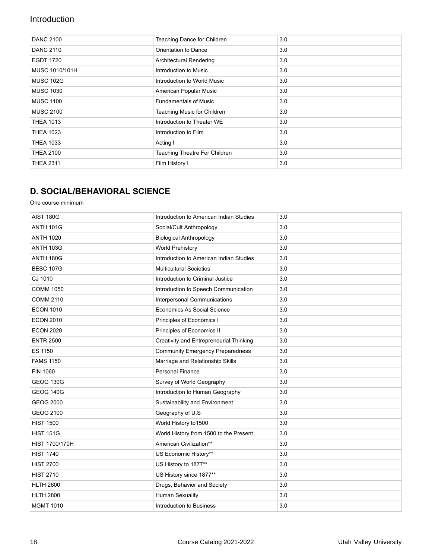| <b>DANC 2100</b> | Teaching Dance for Children   | 3.0 |
|------------------|-------------------------------|-----|
| <b>DANC 2110</b> | Orientation to Dance          | 3.0 |
| <b>EGDT 1720</b> | Architectural Rendering       | 3.0 |
| MUSC 1010/101H   | Introduction to Music         | 3.0 |
| <b>MUSC 102G</b> | Introduction to World Music   | 3.0 |
| <b>MUSC 1030</b> | American Popular Music        | 3.0 |
| <b>MUSC 1100</b> | <b>Fundamentals of Music</b>  | 3.0 |
| <b>MUSC 2100</b> | Teaching Music for Children   | 3.0 |
| <b>THEA 1013</b> | Introduction to Theater WE    | 3.0 |
| <b>THEA 1023</b> | Introduction to Film          | 3.0 |
| <b>THEA 1033</b> | Acting I                      | 3.0 |
| <b>THEA 2100</b> | Teaching Theatre For Children | 3.0 |
| <b>THEA 2311</b> | Film History I                | 3.0 |

### **D. SOCIAL/BEHAVIORAL SCIENCE**

One course minimum

| <b>AIST 180G</b> | Introduction to American Indian Studies | 3.0 |
|------------------|-----------------------------------------|-----|
| <b>ANTH 101G</b> | Social/Cult Anthropology                | 3.0 |
| <b>ANTH 1020</b> | <b>Biological Anthropology</b>          | 3.0 |
| <b>ANTH 103G</b> | <b>World Prehistory</b>                 | 3.0 |
| <b>ANTH 180G</b> | Introduction to American Indian Studies | 3.0 |
| <b>BESC 107G</b> | <b>Multicultural Societies</b>          | 3.0 |
| CJ 1010          | Introduction to Criminal Justice        | 3.0 |
| <b>COMM 1050</b> | Introduction to Speech Communication    | 3.0 |
| <b>COMM 2110</b> | Interpersonal Communications            | 3.0 |
| <b>ECON 1010</b> | Economics As Social Science             | 3.0 |
| <b>ECON 2010</b> | Principles of Economics I               | 3.0 |
| <b>ECON 2020</b> | Principles of Economics II              | 3.0 |
| <b>ENTR 2500</b> | Creativity and Entrepreneurial Thinking | 3.0 |
| <b>ES 1150</b>   | <b>Community Emergency Preparedness</b> | 3.0 |
| <b>FAMS 1150</b> | Marriage and Relationship Skills        | 3.0 |
| <b>FIN 1060</b>  | <b>Personal Finance</b>                 | 3.0 |
| <b>GEOG 130G</b> | Survey of World Geography               | 3.0 |
| <b>GEOG 140G</b> | Introduction to Human Geography         | 3.0 |
| <b>GEOG 2000</b> | Sustainability and Environment          | 3.0 |
| <b>GEOG 2100</b> | Geography of U.S                        | 3.0 |
| <b>HIST 1500</b> | World History to 1500                   | 3.0 |
| <b>HIST 151G</b> | World History from 1500 to the Present  | 3.0 |
| HIST 1700/170H   | American Civilization**                 | 3.0 |
| <b>HIST 1740</b> | US Economic History**                   | 3.0 |
| <b>HIST 2700</b> | US History to 1877**                    | 3.0 |
| <b>HIST 2710</b> | US History since 1877**                 | 3.0 |
| <b>HLTH 2600</b> | Drugs, Behavior and Society             | 3.0 |
| <b>HLTH 2800</b> | <b>Human Sexuality</b>                  | 3.0 |
| <b>MGMT 1010</b> | Introduction to Business                | 3.0 |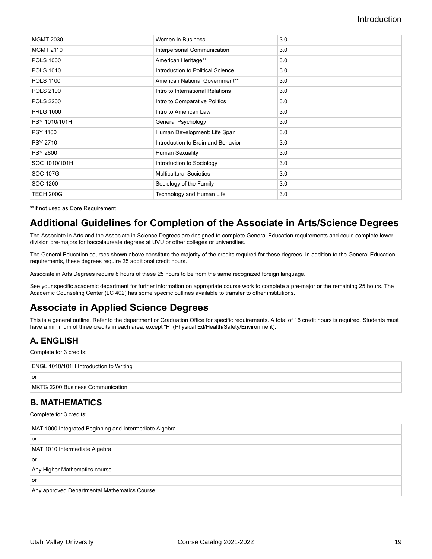| <b>MGMT 2030</b> | Women in Business                  | 3.0 |
|------------------|------------------------------------|-----|
| <b>MGMT 2110</b> | Interpersonal Communication        | 3.0 |
| <b>POLS 1000</b> | American Heritage**                | 3.0 |
| <b>POLS 1010</b> | Introduction to Political Science  | 3.0 |
| <b>POLS 1100</b> | American National Government**     | 3.0 |
| <b>POLS 2100</b> | Intro to International Relations   | 3.0 |
| <b>POLS 2200</b> | Intro to Comparative Politics      | 3.0 |
| <b>PRLG 1000</b> | Intro to American Law              | 3.0 |
| PSY 1010/101H    | General Psychology                 | 3.0 |
| <b>PSY 1100</b>  | Human Development: Life Span       | 3.0 |
| <b>PSY 2710</b>  | Introduction to Brain and Behavior | 3.0 |
| <b>PSY 2800</b>  | Human Sexuality                    | 3.0 |
| SOC 1010/101H    | Introduction to Sociology          | 3.0 |
| <b>SOC 107G</b>  | <b>Multicultural Societies</b>     | 3.0 |
| SOC 1200         | Sociology of the Family            | 3.0 |
| TECH 200G        | Technology and Human Life          | 3.0 |

\*\*If not used as Core Requirement

## **Additional Guidelines for Completion of the Associate in Arts/Science Degrees**

The Associate in Arts and the Associate in Science Degrees are designed to complete General Education requirements and could complete lower division pre-majors for baccalaureate degrees at UVU or other colleges or universities.

The General Education courses shown above constitute the majority of the credits required for these degrees. In addition to the General Education requirements, these degrees require 25 additional credit hours.

Associate in Arts Degrees require 8 hours of these 25 hours to be from the same recognized foreign language.

See your specific academic department for further information on appropriate course work to complete a pre-major or the remaining 25 hours. The Academic Counseling Center (LC 402) has some specific outlines available to transfer to other institutions.

## **Associate in Applied Science Degrees**

This is a general outline. Refer to the department or Graduation Office for specific requirements. A total of 16 credit hours is required. Students must have a minimum of three credits in each area, except "F" (Physical Ed/Health/Safety/Environment).

### **A. ENGLISH**

Complete for 3 credits:

| ENGL 1010/101H Introduction to Writing |
|----------------------------------------|
| <b>or</b>                              |
| MKTG 2200 Business Communication       |

#### **B. MATHEMATICS**

Complete for 3 credits:

| MAT 1000 Integrated Beginning and Intermediate Algebra |  |
|--------------------------------------------------------|--|
| l or                                                   |  |
| MAT 1010 Intermediate Algebra                          |  |
| l or                                                   |  |
| Any Higher Mathematics course                          |  |
| l or                                                   |  |
| Any approved Departmental Mathematics Course           |  |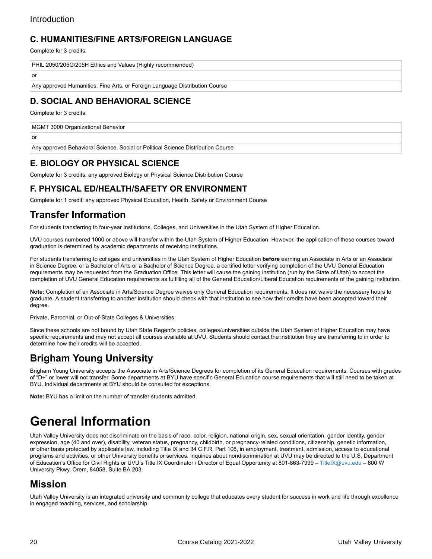#### **C. HUMANITIES/FINE ARTS/FOREIGN LANGUAGE**

Complete for 3 credits:

or

or

```
PHIL 2050/205G/205H Ethics and Values (Highly recommended)
```
Any approved Humanities, Fine Arts, or Foreign Language Distribution Course

### **D. SOCIAL AND BEHAVIORAL SCIENCE**

Complete for 3 credits:

MGMT 3000 Organizational Behavior

Any approved Behavioral Science, Social or Political Science Distribution Course

#### **E. BIOLOGY OR PHYSICAL SCIENCE**

Complete for 3 credits: any approved Biology or Physical Science Distribution Course

### **F. PHYSICAL ED/HEALTH/SAFETY OR ENVIRONMENT**

Complete for 1 credit: any approved Physical Education, Health, Safety or Environment Course

### **Transfer Information**

For students transferring to four-year Institutions, Colleges, and Universities in the Utah System of Higher Education.

UVU courses numbered 1000 or above will transfer within the Utah System of Higher Education. However, the application of these courses toward graduation is determined by academic departments of receiving institutions.

For students transferring to colleges and universities in the Utah System of Higher Education **before** earning an Associate in Arts or an Associate in Science Degree, or a Bachelor of Arts or a Bachelor of Science Degree, a certified letter verifying completion of the UVU General Education requirements may be requested from the Graduation Office. This letter will cause the gaining institution (run by the State of Utah) to accept the completion of UVU General Education requirements as fulfilling all of the General Education/Liberal Education requirements of the gaining institution.

**Note:** Completion of an Associate in Arts/Science Degree waives only General Education requirements. It does not waive the necessary hours to graduate. A student transferring to another institution should check with that institution to see how their credits have been accepted toward their degree.

Private, Parochial, or Out-of-State Colleges & Universities

Since these schools are not bound by Utah State Regent's policies, colleges/universities outside the Utah System of Higher Education may have specific requirements and may not accept all courses available at UVU. Students should contact the institution they are transferring to in order to determine how their credits will be accepted.

## **Brigham Young University**

Brigham Young University accepts the Associate in Arts/Science Degrees for completion of its General Education requirements. Courses with grades of "D+" or lower will not transfer. Some departments at BYU have specific General Education course requirements that will still need to be taken at BYU. Individual departments at BYU should be consulted for exceptions.

**Note:** BYU has a limit on the number of transfer students admitted.

# <span id="page-19-0"></span>**General Information**

Utah Valley University does not discriminate on the basis of race, color, religion, national origin, sex, sexual orientation, gender identity, gender expression, age (40 and over), disability, veteran status, pregnancy, childbirth, or pregnancy-related conditions, citizenship, genetic information, or other basis protected by applicable law, including Title IX and 34 C.F.R. Part 106, in employment, treatment, admission, access to educational programs and activities, or other University benefits or services. Inquiries about nondiscrimination at UVU may be directed to the U.S. Department of Education's Office for Civil Rights or UVU's Title IX Coordinator / Director of Equal Opportunity at 801-863-7999 – [TitleIX@uvu.edu](https://www.uvu.edu/catalog/current/policies-requirements/mailto:TitleIX@uvu.edu) – 800 W University Pkwy, Orem, 84058, Suite BA 203.

### **Mission**

Utah Valley University is an integrated university and community college that educates every student for success in work and life through excellence in engaged teaching, services, and scholarship.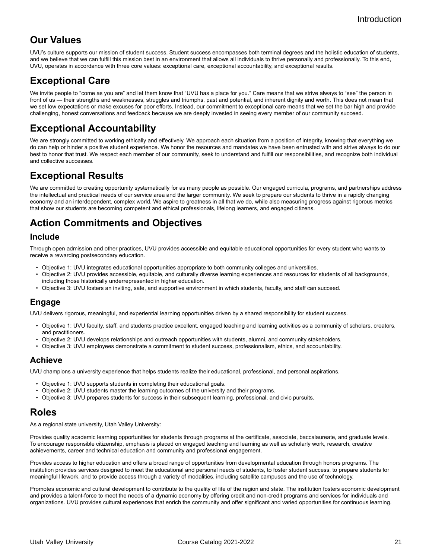### **Our Values**

UVU's culture supports our mission of student success. Student success encompasses both terminal degrees and the holistic education of students, and we believe that we can fulfill this mission best in an environment that allows all individuals to thrive personally and professionally. To this end, UVU, operates in accordance with three core values: exceptional care, exceptional accountability, and exceptional results.

## **Exceptional Care**

We invite people to "come as you are" and let them know that "UVU has a place for you." Care means that we strive always to "see" the person in front of us - their strengths and weaknesses, struggles and triumphs, past and potential, and inherent dignity and worth. This does not mean that we set low expectations or make excuses for poor efforts. Instead, our commitment to exceptional care means that we set the bar high and provide challenging, honest conversations and feedback because we are deeply invested in seeing every member of our community succeed.

## **Exceptional Accountability**

We are strongly committed to working ethically and effectively. We approach each situation from a position of integrity, knowing that everything we do can help or hinder a positive student experience. We honor the resources and mandates we have been entrusted with and strive always to do our best to honor that trust. We respect each member of our community, seek to understand and fulfill our responsibilities, and recognize both individual and collective successes.

## **Exceptional Results**

We are committed to creating opportunity systematically for as many people as possible. Our engaged curricula, programs, and partnerships address the intellectual and practical needs of our service area and the larger community. We seek to prepare our students to thrive in a rapidly changing economy and an interdependent, complex world. We aspire to greatness in all that we do, while also measuring progress against rigorous metrics that show our students are becoming competent and ethical professionals, lifelong learners, and engaged citizens.

## **Action Commitments and Objectives**

#### **Include**

Through open admission and other practices, UVU provides accessible and equitable educational opportunities for every student who wants to receive a rewarding postsecondary education.

- Objective 1: UVU integrates educational opportunities appropriate to both community colleges and universities.
- Objective 2: UVU provides accessible, equitable, and culturally diverse learning experiences and resources for students of all backgrounds, including those historically underrepresented in higher education.
- Objective 3: UVU fosters an inviting, safe, and supportive environment in which students, faculty, and staff can succeed.

#### **Engage**

UVU delivers rigorous, meaningful, and experiential learning opportunities driven by a shared responsibility for student success.

- Objective 1: UVU faculty, staff, and students practice excellent, engaged teaching and learning activities as a community of scholars, creators, and practitioners.
- Objective 2: UVU develops relationships and outreach opportunities with students, alumni, and community stakeholders.
- Objective 3: UVU employees demonstrate a commitment to student success, professionalism, ethics, and accountability.

#### **Achieve**

UVU champions a university experience that helps students realize their educational, professional, and personal aspirations.

- Objective 1: UVU supports students in completing their educational goals.
- Objective 2: UVU students master the learning outcomes of the university and their programs.
- Objective 3: UVU prepares students for success in their subsequent learning, professional, and civic pursuits.

### **Roles**

As a regional state university, Utah Valley University:

Provides quality academic learning opportunities for students through programs at the certificate, associate, baccalaureate, and graduate levels. To encourage responsible citizenship, emphasis is placed on engaged teaching and learning as well as scholarly work, research, creative achievements, career and technical education and community and professional engagement.

Provides access to higher education and offers a broad range of opportunities from developmental education through honors programs. The institution provides services designed to meet the educational and personal needs of students, to foster student success, to prepare students for meaningful lifework, and to provide access through a variety of modalities, including satellite campuses and the use of technology.

Promotes economic and cultural development to contribute to the quality of life of the region and state. The institution fosters economic development and provides a talent-force to meet the needs of a dynamic economy by offering credit and non-credit programs and services for individuals and organizations. UVU provides cultural experiences that enrich the community and offer significant and varied opportunities for continuous learning.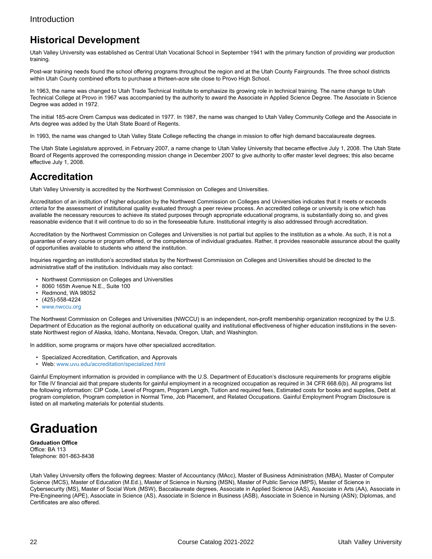## **Historical Development**

Utah Valley University was established as Central Utah Vocational School in September 1941 with the primary function of providing war production training.

Post-war training needs found the school offering programs throughout the region and at the Utah County Fairgrounds. The three school districts within Utah County combined efforts to purchase a thirteen-acre site close to Provo High School.

In 1963, the name was changed to Utah Trade Technical Institute to emphasize its growing role in technical training. The name change to Utah Technical College at Provo in 1967 was accompanied by the authority to award the Associate in Applied Science Degree. The Associate in Science Degree was added in 1972.

The initial 185-acre Orem Campus was dedicated in 1977. In 1987, the name was changed to Utah Valley Community College and the Associate in Arts degree was added by the Utah State Board of Regents.

In 1993, the name was changed to Utah Valley State College reflecting the change in mission to offer high demand baccalaureate degrees.

The Utah State Legislature approved, in February 2007, a name change to Utah Valley University that became effective July 1, 2008. The Utah State Board of Regents approved the corresponding mission change in December 2007 to give authority to offer master level degrees; this also became effective July 1, 2008.

### **Accreditation**

Utah Valley University is accredited by the Northwest Commission on Colleges and Universities.

Accreditation of an institution of higher education by the Northwest Commission on Colleges and Universities indicates that it meets or exceeds criteria for the assessment of institutional quality evaluated through a peer review process. An accredited college or university is one which has available the necessary resources to achieve its stated purposes through appropriate educational programs, is substantially doing so, and gives reasonable evidence that it will continue to do so in the foreseeable future. Institutional integrity is also addressed through accreditation.

Accreditation by the Northwest Commission on Colleges and Universities is not partial but applies to the institution as a whole. As such, it is not a guarantee of every course or program offered, or the competence of individual graduates. Rather, it provides reasonable assurance about the quality of opportunities available to students who attend the institution.

Inquiries regarding an institution's accredited status by the Northwest Commission on Colleges and Universities should be directed to the administrative staff of the institution. Individuals may also contact:

- Northwest Commission on Colleges and Universities
- 8060 165th Avenue N.E., Suite 100
- Redmond, WA 98052
- (425)-558-4224
- [www.nwccu.org](http://www.nwccu.org)

The Northwest Commission on Colleges and Universities (NWCCU) is an independent, non-profit membership organization recognized by the U.S. Department of Education as the regional authority on educational quality and institutional effectiveness of higher education institutions in the sevenstate Northwest region of Alaska, Idaho, Montana, Nevada, Oregon, Utah, and Washington.

In addition, some programs or majors have other specialized accreditation.

- Specialized Accreditation, Certification, and Approvals
- Web: [www.uvu.edu/accreditation/specialized.html](http://www.uvu.edu/accreditation/specialized.html)

Gainful Employment information is provided in compliance with the U.S. Department of Education's disclosure requirements for programs eligible for Title IV financial aid that prepare students for gainful employment in a recognized occupation as required in 34 CFR 668.6(b). All programs list the following information: CIP Code, Level of Program, Program Length, Tuition and required fees, Estimated costs for books and supplies, Debt at program completion, Program completion in Normal Time, Job Placement, and Related Occupations. Gainful Employment Program Disclosure is listed on all marketing materials for potential students.

# <span id="page-21-0"></span>**Graduation**

**Graduation Office** Office: BA 113 Telephone: 801-863-8438

Utah Valley University offers the following degrees: Master of Accountancy (MAcc), Master of Business Administration (MBA), Master of Computer Science (MCS), Master of Education (M.Ed.), Master of Science in Nursing (MSN), Master of Public Service (MPS), Master of Science in Cybersecurity (MS), Master of Social Work (MSW), Baccalaureate degrees, Associate in Applied Science (AAS), Associate in Arts (AA), Associate in Pre-Engineering (APE), Associate in Science (AS), Associate in Science in Business (ASB), Associate in Science in Nursing (ASN); Diplomas, and Certificates are also offered.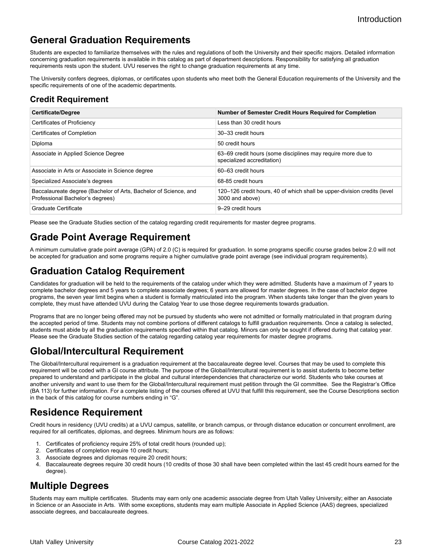## **General Graduation Requirements**

Students are expected to familiarize themselves with the rules and regulations of both the University and their specific majors. Detailed information concerning graduation requirements is available in this catalog as part of department descriptions. Responsibility for satisfying all graduation requirements rests upon the student. UVU reserves the right to change graduation requirements at any time.

The University confers degrees, diplomas, or certificates upon students who meet both the General Education requirements of the University and the specific requirements of one of the academic departments.

### **Credit Requirement**

| <b>Certificate/Degree</b>                                                                            | <b>Number of Semester Credit Hours Required for Completion</b>                              |
|------------------------------------------------------------------------------------------------------|---------------------------------------------------------------------------------------------|
| Certificates of Proficiency                                                                          | Less than 30 credit hours                                                                   |
| Certificates of Completion                                                                           | 30-33 credit hours                                                                          |
| Diploma                                                                                              | 50 credit hours                                                                             |
| Associate in Applied Science Degree                                                                  | 63–69 credit hours (some disciplines may require more due to<br>specialized accreditation)  |
| Associate in Arts or Associate in Science degree                                                     | 60–63 credit hours                                                                          |
| Specialized Associate's degrees                                                                      | 68-85 credit hours                                                                          |
| Baccalaureate degree (Bachelor of Arts, Bachelor of Science, and<br>Professional Bachelor's degrees) | 120–126 credit hours, 40 of which shall be upper-division credits (level<br>3000 and above) |
| Graduate Certificate                                                                                 | 9-29 credit hours                                                                           |

Please see the Graduate Studies section of the catalog regarding credit requirements for master degree programs.

## **Grade Point Average Requirement**

A minimum cumulative grade point average (GPA) of 2.0 (C) is required for graduation. In some programs specific course grades below 2.0 will not be accepted for graduation and some programs require a higher cumulative grade point average (see individual program requirements).

## **Graduation Catalog Requirement**

Candidates for graduation will be held to the requirements of the catalog under which they were admitted. Students have a maximum of 7 years to complete bachelor degrees and 5 years to complete associate degrees; 6 years are allowed for master degrees. In the case of bachelor degree programs, the seven year limit begins when a student is formally matriculated into the program. When students take longer than the given years to complete, they must have attended UVU during the Catalog Year to use those degree requirements towards graduation.

Programs that are no longer being offered may not be pursued by students who were not admitted or formally matriculated in that program during the accepted period of time. Students may not combine portions of different catalogs to fulfill graduation requirements. Once a catalog is selected, students must abide by all the graduation requirements specified within that catalog. Minors can only be sought if offered during that catalog year. Please see the Graduate Studies section of the catalog regarding catalog year requirements for master degree programs.

## **Global/Intercultural Requirement**

The Global/Intercultural requirement is a graduation requirement at the baccalaureate degree level. Courses that may be used to complete this requirement will be coded with a GI course attribute. The purpose of the Global/Intercultural requirement is to assist students to become better prepared to understand and participate in the global and cultural interdependencies that characterize our world. Students who take courses at another university and want to use them for the Global/Intercultural requirement must petition through the GI committee. See the Registrar's Office (BA 113) for further information. For a complete listing of the courses offered at UVU that fulfill this requirement, see the Course Descriptions section in the back of this catalog for course numbers ending in "G".

## **Residence Requirement**

Credit hours in residency (UVU credits) at a UVU campus, satellite, or branch campus, or through distance education or concurrent enrollment, are required for all certificates, diplomas, and degrees. Minimum hours are as follows:

- 1. Certificates of proficiency require 25% of total credit hours (rounded up);
- Certificates of completion require 10 credit hours;
- 3. Associate degrees and diplomas require 20 credit hours;
- 4. Baccalaureate degrees require 30 credit hours (10 credits of those 30 shall have been completed within the last 45 credit hours earned for the degree).

## **Multiple Degrees**

Students may earn multiple certificates. Students may earn only one academic associate degree from Utah Valley University; either an Associate in Science or an Associate in Arts. With some exceptions, students may earn multiple Associate in Applied Science (AAS) degrees, specialized associate degrees, and baccalaureate degrees.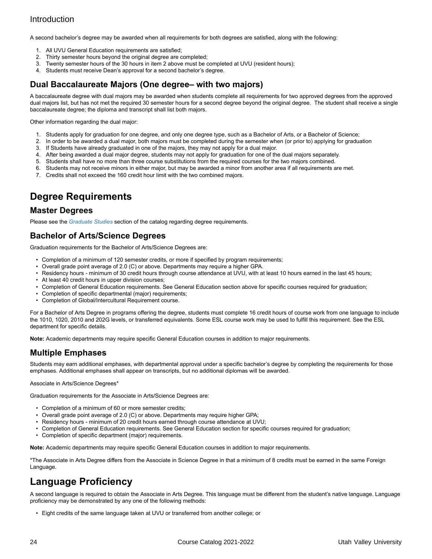A second bachelor's degree may be awarded when all requirements for both degrees are satisfied, along with the following:

- 1. All UVU General Education requirements are satisfied;
- 2. Thirty semester hours beyond the original degree are completed;<br>3. Twenty semester hours of the 30 hours in item 2 above must be c
- Twenty semester hours of the 30 hours in item 2 above must be completed at UVU (resident hours);
- 4. Students must receive Dean's approval for a second bachelor's degree.

#### **Dual Baccalaureate Majors (One degree– with two majors)**

A baccalaureate degree with dual majors may be awarded when students complete all requirements for two approved degrees from the approved dual majors list, but has not met the required 30 semester hours for a second degree beyond the original degree. The student shall receive a single baccalaureate degree; the diploma and transcript shall list both majors.

Other information regarding the dual major:

- 1. Students apply for graduation for one degree, and only one degree type, such as a Bachelor of Arts, or a Bachelor of Science;
- 2. In order to be awarded a dual major, both majors must be completed during the semester when (or prior to) applying for graduation
- 3. If Students have already graduated in one of the majors, they may not apply for a dual major.
- 4. After being awarded a dual major degree, students may not apply for graduation for one of the dual majors separately.
- 5. Students shall have no more than three course substitutions from the required courses for the two majors combined.
- 6. Students may not receive minors in either major, but may be awarded a minor from another area if all requirements are met.
- 7. Credits shall not exceed the 160 credit hour limit with the two combined majors.

## **Degree Requirements**

#### **Master Degrees**

Please see the *[Graduate Studies](http://www.uvu.edu/catalog/current/graduate-studies/index.html)* section of the catalog regarding degree requirements.

#### **Bachelor of Arts/Science Degrees**

Graduation requirements for the Bachelor of Arts/Science Degrees are:

- Completion of a minimum of 120 semester credits, or more if specified by program requirements;
- Overall grade point average of 2.0 (C) or above. Departments may require a higher GPA.
- Residency hours minimum of 30 credit hours through course attendance at UVU, with at least 10 hours earned in the last 45 hours;
- At least 40 credit hours in upper division courses;
- Completion of General Education requirements. See General Education section above for specific courses required for graduation;
- Completion of specific departmental (major) requirements;
- Completion of Global/Intercultural Requirement course.

For a Bachelor of Arts Degree in programs offering the degree, students must complete 16 credit hours of course work from one language to include the 1010, 1020, 2010 and 202G levels, or transferred equivalents. Some ESL course work may be used to fulfill this requirement. See the ESL department for specific details.

**Note:** Academic departments may require specific General Education courses in addition to major requirements.

### **Multiple Emphases**

Students may earn additional emphases, with departmental approval under a specific bachelor's degree by completing the requirements for those emphases. Additional emphases shall appear on transcripts, but no additional diplomas will be awarded.

Associate in Arts/Science Degrees\*

Graduation requirements for the Associate in Arts/Science Degrees are:

- Completion of a minimum of 60 or more semester credits;
- Overall grade point average of 2.0 (C) or above. Departments may require higher GPA;
- Residency hours minimum of 20 credit hours earned through course attendance at UVU;
- Completion of General Education requirements. See General Education section for specific courses required for graduation;
- Completion of specific department (major) requirements.

**Note:** Academic departments may require specific General Education courses in addition to major requirements.

\*The Associate in Arts Degree differs from the Associate in Science Degree in that a minimum of 8 credits must be earned in the same Foreign Language.

## **Language Proficiency**

A second language is required to obtain the Associate in Arts Degree. This language must be different from the student's native language. Language proficiency may be demonstrated by any one of the following methods:

• Eight credits of the same language taken at UVU or transferred from another college; or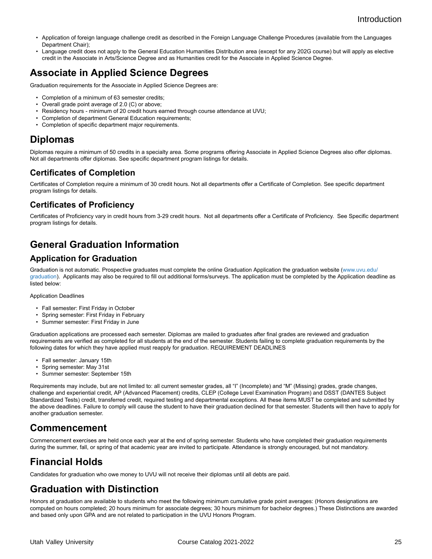- Application of foreign language challenge credit as described in the Foreign Language Challenge Procedures (available from the Languages Department Chair);
- Language credit does not apply to the General Education Humanities Distribution area (except for any 202G course) but will apply as elective credit in the Associate in Arts/Science Degree and as Humanities credit for the Associate in Applied Science Degree.

## **Associate in Applied Science Degrees**

Graduation requirements for the Associate in Applied Science Degrees are:

- Completion of a minimum of 63 semester credits;
- Overall grade point average of 2.0 (C) or above;
- Residency hours minimum of 20 credit hours earned through course attendance at UVU;
- Completion of department General Education requirements;
- Completion of specific department major requirements.

### **Diplomas**

Diplomas require a minimum of 50 credits in a specialty area. Some programs offering Associate in Applied Science Degrees also offer diplomas. Not all departments offer diplomas. See specific department program listings for details.

### **Certificates of Completion**

Certificates of Completion require a minimum of 30 credit hours. Not all departments offer a Certificate of Completion. See specific department program listings for details.

#### **Certificates of Proficiency**

Certificates of Proficiency vary in credit hours from 3-29 credit hours. Not all departments offer a Certificate of Proficiency. See Specific department program listings for details.

## **General Graduation Information**

### **Application for Graduation**

Graduation is not automatic. Prospective graduates must complete the online Graduation Application the graduation website [\(www.uvu.edu/](http://www.uvu.edu/graduation) [graduation](http://www.uvu.edu/graduation)). Applicants may also be required to fill out additional forms/surveys. The application must be completed by the Application deadline as listed below:

#### Application Deadlines

- Fall semester: First Friday in October
- Spring semester: First Friday in February
- Summer semester: First Friday in June

Graduation applications are processed each semester. Diplomas are mailed to graduates after final grades are reviewed and graduation requirements are verified as completed for all students at the end of the semester. Students failing to complete graduation requirements by the following dates for which they have applied must reapply for graduation. REQUIREMENT DEADLINES

- Fall semester: January 15th
- Spring semester: May 31st
- Summer semester: September 15th

Requirements may include, but are not limited to: all current semester grades, all "I" (Incomplete) and "M" (Missing) grades, grade changes, challenge and experiential credit, AP (Advanced Placement) credits, CLEP (College Level Examination Program) and DSST (DANTES Subject Standardized Tests) credit, transferred credit, required testing and departmental exceptions. All these items MUST be completed and submitted by the above deadlines. Failure to comply will cause the student to have their graduation declined for that semester. Students will then have to apply for another graduation semester.

### **Commencement**

Commencement exercises are held once each year at the end of spring semester. Students who have completed their graduation requirements during the summer, fall, or spring of that academic year are invited to participate. Attendance is strongly encouraged, but not mandatory.

## **Financial Holds**

Candidates for graduation who owe money to UVU will not receive their diplomas until all debts are paid.

## **Graduation with Distinction**

Honors at graduation are available to students who meet the following minimum cumulative grade point averages: (Honors designations are computed on hours completed; 20 hours minimum for associate degrees; 30 hours minimum for bachelor degrees.) These Distinctions are awarded and based only upon GPA and are not related to participation in the UVU Honors Program.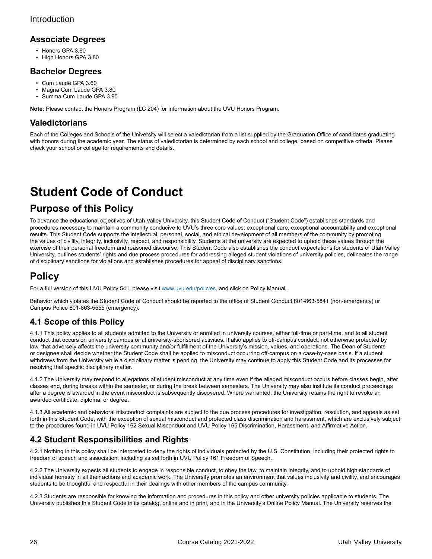#### **Associate Degrees**

- Honors GPA 3.60
- High Honors GPA 3.80

#### **Bachelor Degrees**

- Cum Laude GPA 3.60
- Magna Cum Laude GPA 3.80
- Summa Cum Laude GPA 3.90

**Note:** Please contact the Honors Program (LC 204) for information about the UVU Honors Program.

#### **Valedictorians**

Each of the Colleges and Schools of the University will select a valedictorian from a list supplied by the Graduation Office of candidates graduating with honors during the academic year. The status of valedictorian is determined by each school and college, based on competitive criteria. Please check your school or college for requirements and details.

# <span id="page-25-0"></span>**Student Code of Conduct**

## **Purpose of this Policy**

To advance the educational objectives of Utah Valley University, this Student Code of Conduct ("Student Code") establishes standards and procedures necessary to maintain a community conducive to UVU's three core values: exceptional care, exceptional accountability and exceptional results. This Student Code supports the intellectual, personal, social, and ethical development of all members of the community by promoting the values of civility, integrity, inclusivity, respect, and responsibility. Students at the university are expected to uphold these values through the exercise of their personal freedom and reasoned discourse. This Student Code also establishes the conduct expectations for students of Utah Valley University, outlines students' rights and due process procedures for addressing alleged student violations of university policies, delineates the range of disciplinary sanctions for violations and establishes procedures for appeal of disciplinary sanctions.

## **Policy**

For a full version of this UVU Policy 541, please visit [www.uvu.edu/policies,](http://www.uvu.edu/policies) and click on Policy Manual.

Behavior which violates the Student Code of Conduct should be reported to the office of Student Conduct 801-863-5841 (non-emergency) or Campus Police 801-863-5555 (emergency).

### **4.1 Scope of this Policy**

4.1.1 This policy applies to all students admitted to the University or enrolled in university courses, either full-time or part-time, and to all student conduct that occurs on university campus or at university-sponsored activities. It also applies to off-campus conduct, not otherwise protected by law, that adversely affects the university community and/or fulfillment of the University's mission, values, and operations. The Dean of Students or designee shall decide whether the Student Code shall be applied to misconduct occurring off-campus on a case-by-case basis. If a student withdraws from the University while a disciplinary matter is pending, the University may continue to apply this Student Code and its processes for resolving that specific disciplinary matter.

4.1.2 The University may respond to allegations of student misconduct at any time even if the alleged misconduct occurs before classes begin, after classes end, during breaks within the semester, or during the break between semesters. The University may also institute its conduct proceedings after a degree is awarded in the event misconduct is subsequently discovered. Where warranted, the University retains the right to revoke an awarded certificate, diploma, or degree.

4.1.3 All academic and behavioral misconduct complaints are subject to the due process procedures for investigation, resolution, and appeals as set forth in this Student Code, with the exception of sexual misconduct and protected class discrimination and harassment, which are exclusively subject to the procedures found in UVU Policy 162 Sexual Misconduct and UVU Policy 165 Discrimination, Harassment, and Affirmative Action.

### **4.2 Student Responsibilities and Rights**

4.2.1 Nothing in this policy shall be interpreted to deny the rights of individuals protected by the U.S. Constitution, including their protected rights to freedom of speech and association, including as set forth in UVU Policy 161 Freedom of Speech.

4.2.2 The University expects all students to engage in responsible conduct, to obey the law, to maintain integrity, and to uphold high standards of individual honesty in all their actions and academic work. The University promotes an environment that values inclusivity and civility, and encourages students to be thoughtful and respectful in their dealings with other members of the campus community.

4.2.3 Students are responsible for knowing the information and procedures in this policy and other university policies applicable to students. The University publishes this Student Code in its catalog, online and in print, and in the University's Online Policy Manual. The University reserves the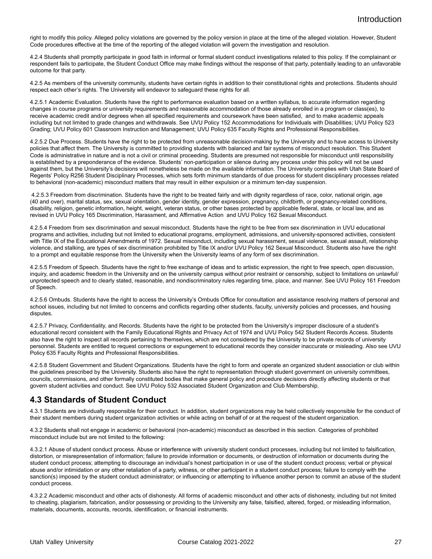right to modify this policy. Alleged policy violations are governed by the policy version in place at the time of the alleged violation. However, Student Code procedures effective at the time of the reporting of the alleged violation will govern the investigation and resolution.

4.2.4 Students shall promptly participate in good faith in informal or formal student conduct investigations related to this policy. If the complainant or respondent fails to participate, the Student Conduct Office may make findings without the response of that party, potentially leading to an unfavorable outcome for that party.

4.2.5 As members of the university community, students have certain rights in addition to their constitutional rights and protections. Students should respect each other's rights. The University will endeavor to safeguard these rights for all.

4.2.5.1 Academic Evaluation. Students have the right to performance evaluation based on a written syllabus, to accurate information regarding changes in course programs or university requirements and reasonable accommodation of those already enrolled in a program or class(es), to receive academic credit and/or degrees when all specified requirements and coursework have been satisfied, and to make academic appeals including but not limited to grade changes and withdrawals. See UVU Policy 152 Accommodations for Individuals with Disabilities; UVU Policy 523 Grading; UVU Policy 601 Classroom Instruction and Management; UVU Policy 635 Faculty Rights and Professional Responsibilities.

4.2.5.2 Due Process. Students have the right to be protected from unreasonable decision-making by the University and to have access to University policies that affect them. The University is committed to providing students with balanced and fair systems of misconduct resolution. This Student Code is administrative in nature and is not a civil or criminal proceeding. Students are presumed not responsible for misconduct until responsibility is established by a preponderance of the evidence. Students' non-participation or silence during any process under this policy will not be used against them, but the University's decisions will nonetheless be made on the available information. The University complies with Utah State Board of Regents' Policy R256 Student Disciplinary Processes, which sets forth minimum standards of due process for student disciplinary processes related to behavioral (non-academic) misconduct matters that may result in either expulsion or a minimum ten-day suspension.

4.2.5.3 Freedom from discrimination. Students have the right to be treated fairly and with dignity regardless of race, color, national origin, age (40 and over), marital status, sex, sexual orientation, gender identity, gender expression, pregnancy, childbirth, or pregnancy-related conditions, disability, religion, genetic information, height, weight, veteran status, or other bases protected by applicable federal, state, or local law, and as revised in UVU Policy 165 Discrimination, Harassment, and Affirmative Action and UVU Policy 162 Sexual Misconduct.

4.2.5.4 Freedom from sex discrimination and sexual misconduct. Students have the right to be free from sex discrimination in UVU educational programs and activities, including but not limited to educational programs, employment, admissions, and university-sponsored activities, consistent with Title IX of the Educational Amendments of 1972. Sexual misconduct, including sexual harassment, sexual violence, sexual assault, relationship violence, and stalking, are types of sex discrimination prohibited by Title IX and/or UVU Policy 162 Sexual Misconduct. Students also have the right to a prompt and equitable response from the University when the University learns of any form of sex discrimination.

4.2.5.5 Freedom of Speech. Students have the right to free exchange of ideas and to artistic expression, the right to free speech, open discussion, inquiry, and academic freedom in the University and on the university campus without prior restraint or censorship, subject to limitations on unlawful/ unprotected speech and to clearly stated, reasonable, and nondiscriminatory rules regarding time, place, and manner. See UVU Policy 161 Freedom of Speech.

4.2.5.6 Ombuds. Students have the right to access the University's Ombuds Office for consultation and assistance resolving matters of personal and school issues, including but not limited to concerns and conflicts regarding other students, faculty, university policies and processes, and housing disputes.

4.2.5.7 Privacy, Confidentiality, and Records. Students have the right to be protected from the University's improper disclosure of a student's educational record consistent with the Family Educational Rights and Privacy Act of 1974 and UVU Policy 542 Student Records Access. Students also have the right to inspect all records pertaining to themselves, which are not considered by the University to be private records of university personnel. Students are entitled to request corrections or expungement to educational records they consider inaccurate or misleading. Also see UVU Policy 635 Faculty Rights and Professional Responsibilities.

4.2.5.8 Student Government and Student Organizations. Students have the right to form and operate an organized student association or club within the guidelines prescribed by the University. Students also have the right to representation through student government on university committees, councils, commissions, and other formally constituted bodies that make general policy and procedure decisions directly affecting students or that govern student activities and conduct. See UVU Policy 532 Associated Student Organization and Club Membership.

#### **4.3 Standards of Student Conduct**

4.3.1 Students are individually responsible for their conduct. In addition, student organizations may be held collectively responsible for the conduct of their student members during student organization activities or while acting on behalf of or at the request of the student organization.

4.3.2 Students shall not engage in academic or behavioral (non-academic) misconduct as described in this section. Categories of prohibited misconduct include but are not limited to the following:

4.3.2.1 Abuse of student conduct process. Abuse or interference with university student conduct processes, including but not limited to falsification, distortion, or misrepresentation of information; failure to provide information or documents, or destruction of information or documents during the student conduct process; attempting to discourage an individual's honest participation in or use of the student conduct process; verbal or physical abuse and/or intimidation or any other retaliation of a party, witness, or other participant in a student conduct process; failure to comply with the sanction(s) imposed by the student conduct administrator; or influencing or attempting to influence another person to commit an abuse of the student conduct process.

4.3.2.2 Academic misconduct and other acts of dishonesty. All forms of academic misconduct and other acts of dishonesty, including but not limited to cheating, plagiarism, fabrication, and/or possessing or providing to the University any false, falsified, altered, forged, or misleading information, materials, documents, accounts, records, identification, or financial instruments.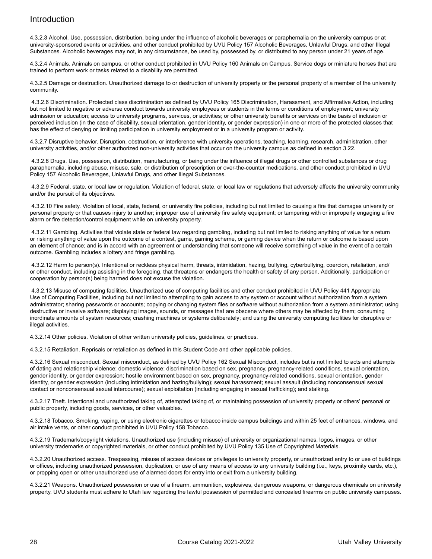4.3.2.3 Alcohol. Use, possession, distribution, being under the influence of alcoholic beverages or paraphernalia on the university campus or at university-sponsored events or activities, and other conduct prohibited by UVU Policy 157 Alcoholic Beverages, Unlawful Drugs, and other Illegal Substances. Alcoholic beverages may not, in any circumstance, be used by, possessed by, or distributed to any person under 21 years of age.

4.3.2.4 Animals. Animals on campus, or other conduct prohibited in UVU Policy 160 Animals on Campus. Service dogs or miniature horses that are trained to perform work or tasks related to a disability are permitted.

4.3.2.5 Damage or destruction. Unauthorized damage to or destruction of university property or the personal property of a member of the university community.

4.3.2.6 Discrimination. Protected class discrimination as defined by UVU Policy 165 Discrimination, Harassment, and Affirmative Action, including but not limited to negative or adverse conduct towards university employees or students in the terms or conditions of employment; university admission or education; access to university programs, services, or activities; or other university benefits or services on the basis of inclusion or perceived inclusion (in the case of disability, sexual orientation, gender identity, or gender expression) in one or more of the protected classes that has the effect of denying or limiting participation in university employment or in a university program or activity.

4.3.2.7 Disruptive behavior. Disruption, obstruction, or interference with university operations, teaching, learning, research, administration, other university activities, and/or other authorized non-university activities that occur on the university campus as defined in section 3.22.

 4.3.2.8 Drugs. Use, possession, distribution, manufacturing, or being under the influence of illegal drugs or other controlled substances or drug paraphernalia, including abuse, misuse, sale, or distribution of prescription or over-the-counter medications, and other conduct prohibited in UVU Policy 157 Alcoholic Beverages, Unlawful Drugs, and other Illegal Substances.

4.3.2.9 Federal, state, or local law or regulation. Violation of federal, state, or local law or regulations that adversely affects the university community and/or the pursuit of its objectives.

4.3.2.10 Fire safety. Violation of local, state, federal, or university fire policies, including but not limited to causing a fire that damages university or personal property or that causes injury to another; improper use of university fire safety equipment; or tampering with or improperly engaging a fire alarm or fire detection/control equipment while on university property.

4.3.2.11 Gambling. Activities that violate state or federal law regarding gambling, including but not limited to risking anything of value for a return or risking anything of value upon the outcome of a contest, game, gaming scheme, or gaming device when the return or outcome is based upon an element of chance; and is in accord with an agreement or understanding that someone will receive something of value in the event of a certain outcome. Gambling includes a lottery and fringe gambling.

 4.3.2.12 Harm to person(s). Intentional or reckless physical harm, threats, intimidation, hazing, bullying, cyberbullying, coercion, retaliation, and/ or other conduct, including assisting in the foregoing, that threatens or endangers the health or safety of any person. Additionally, participation or cooperation by person(s) being harmed does not excuse the violation.

 4.3.2.13 Misuse of computing facilities. Unauthorized use of computing facilities and other conduct prohibited in UVU Policy 441 Appropriate Use of Computing Facilities, including but not limited to attempting to gain access to any system or account without authorization from a system administrator; sharing passwords or accounts; copying or changing system files or software without authorization from a system administrator; using destructive or invasive software; displaying images, sounds, or messages that are obscene where others may be affected by them; consuming inordinate amounts of system resources; crashing machines or systems deliberately; and using the university computing facilities for disruptive or illegal activities.

4.3.2.14 Other policies. Violation of other written university policies, guidelines, or practices.

4.3.2.15 Retaliation. Reprisals or retaliation as defined in this Student Code and other applicable policies.

4.3.2.16 Sexual misconduct. Sexual misconduct, as defined by UVU Policy 162 Sexual Misconduct, includes but is not limited to acts and attempts of dating and relationship violence; domestic violence; discrimination based on sex, pregnancy, pregnancy-related conditions, sexual orientation, gender identity, or gender expression; hostile environment based on sex, pregnancy, pregnancy-related conditions, sexual orientation, gender identity, or gender expression (including intimidation and hazing/bullying); sexual harassment; sexual assault (including nonconsensual sexual contact or nonconsensual sexual intercourse); sexual exploitation (including engaging in sexual trafficking); and stalking.

4.3.2.17 Theft. Intentional and unauthorized taking of, attempted taking of, or maintaining possession of university property or others' personal or public property, including goods, services, or other valuables.

4.3.2.18 Tobacco. Smoking, vaping, or using electronic cigarettes or tobacco inside campus buildings and within 25 feet of entrances, windows, and air intake vents, or other conduct prohibited in UVU Policy 158 Tobacco.

4.3.2.19 Trademark/copyright violations. Unauthorized use (including misuse) of university or organizational names, logos, images, or other university trademarks or copyrighted materials, or other conduct prohibited by UVU Policy 135 Use of Copyrighted Materials.

4.3.2.20 Unauthorized access. Trespassing, misuse of access devices or privileges to university property, or unauthorized entry to or use of buildings or offices, including unauthorized possession, duplication, or use of any means of access to any university building (i.e., keys, proximity cards, etc.), or propping open or other unauthorized use of alarmed doors for entry into or exit from a university building.

4.3.2.21 Weapons. Unauthorized possession or use of a firearm, ammunition, explosives, dangerous weapons, or dangerous chemicals on university property. UVU students must adhere to Utah law regarding the lawful possession of permitted and concealed firearms on public university campuses.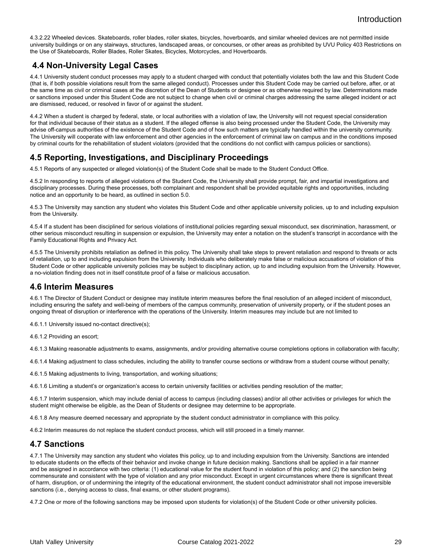4.3.2.22 Wheeled devices. Skateboards, roller blades, roller skates, bicycles, hoverboards, and similar wheeled devices are not permitted inside university buildings or on any stairways, structures, landscaped areas, or concourses, or other areas as prohibited by UVU Policy 403 Restrictions on the Use of Skateboards, Roller Blades, Roller Skates, Bicycles, Motorcycles, and Hoverboards.

### **4.4 Non-University Legal Cases**

4.4.1 University student conduct processes may apply to a student charged with conduct that potentially violates both the law and this Student Code (that is, if both possible violations result from the same alleged conduct). Processes under this Student Code may be carried out before, after, or at the same time as civil or criminal cases at the discretion of the Dean of Students or designee or as otherwise required by law. Determinations made or sanctions imposed under this Student Code are not subject to change when civil or criminal charges addressing the same alleged incident or act are dismissed, reduced, or resolved in favor of or against the student.

4.4.2 When a student is charged by federal, state, or local authorities with a violation of law, the University will not request special consideration for that individual because of their status as a student. If the alleged offense is also being processed under the Student Code, the University may advise off-campus authorities of the existence of the Student Code and of how such matters are typically handled within the university community. The University will cooperate with law enforcement and other agencies in the enforcement of criminal law on campus and in the conditions imposed by criminal courts for the rehabilitation of student violators (provided that the conditions do not conflict with campus policies or sanctions).

#### **4.5 Reporting, Investigations, and Disciplinary Proceedings**

4.5.1 Reports of any suspected or alleged violation(s) of the Student Code shall be made to the Student Conduct Office.

4.5.2 In responding to reports of alleged violations of the Student Code, the University shall provide prompt, fair, and impartial investigations and disciplinary processes. During these processes, both complainant and respondent shall be provided equitable rights and opportunities, including notice and an opportunity to be heard, as outlined in section 5.0.

4.5.3 The University may sanction any student who violates this Student Code and other applicable university policies, up to and including expulsion from the University.

4.5.4 If a student has been disciplined for serious violations of institutional policies regarding sexual misconduct, sex discrimination, harassment, or other serious misconduct resulting in suspension or expulsion, the University may enter a notation on the student's transcript in accordance with the Family Educational Rights and Privacy Act.

4.5.5 The University prohibits retaliation as defined in this policy. The University shall take steps to prevent retaliation and respond to threats or acts of retaliation, up to and including expulsion from the University. Individuals who deliberately make false or malicious accusations of violation of this Student Code or other applicable university policies may be subject to disciplinary action, up to and including expulsion from the University. However, a no-violation finding does not in itself constitute proof of a false or malicious accusation.

#### **4.6 Interim Measures**

4.6.1 The Director of Student Conduct or designee may institute interim measures before the final resolution of an alleged incident of misconduct, including ensuring the safety and well-being of members of the campus community, preservation of university property, or if the student poses an ongoing threat of disruption or interference with the operations of the University. Interim measures may include but are not limited to

4.6.1.1 University issued no-contact directive(s);

4.6.1.2 Providing an escort;

4.6.1.3 Making reasonable adjustments to exams, assignments, and/or providing alternative course completions options in collaboration with faculty;

4.6.1.4 Making adjustment to class schedules, including the ability to transfer course sections or withdraw from a student course without penalty;

4.6.1.5 Making adjustments to living, transportation, and working situations;

4.6.1.6 Limiting a student's or organization's access to certain university facilities or activities pending resolution of the matter;

4.6.1.7 Interim suspension, which may include denial of access to campus (including classes) and/or all other activities or privileges for which the student might otherwise be eligible, as the Dean of Students or designee may determine to be appropriate.

4.6.1.8 Any measure deemed necessary and appropriate by the student conduct administrator in compliance with this policy.

4.6.2 Interim measures do not replace the student conduct process, which will still proceed in a timely manner.

#### **4.7 Sanctions**

4.7.1 The University may sanction any student who violates this policy, up to and including expulsion from the University. Sanctions are intended to educate students on the effects of their behavior and invoke change in future decision making. Sanctions shall be applied in a fair manner and be assigned in accordance with two criteria: (1) educational value for the student found in violation of this policy; and (2) the sanction being commensurate and consistent with the type of violation and any prior misconduct. Except in urgent circumstances where there is significant threat of harm, disruption, or of undermining the integrity of the educational environment, the student conduct administrator shall not impose irreversible sanctions (i.e., denying access to class, final exams, or other student programs).

4.7.2 One or more of the following sanctions may be imposed upon students for violation(s) of the Student Code or other university policies.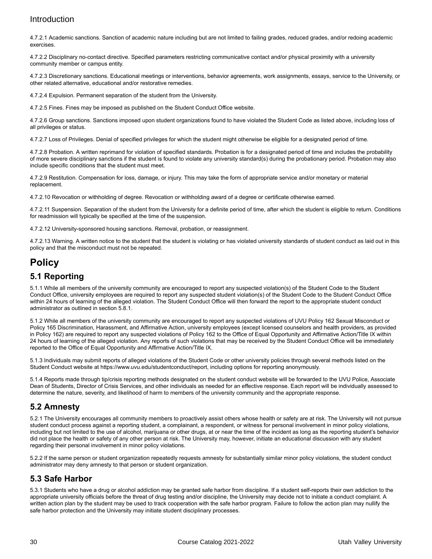4.7.2.1 Academic sanctions. Sanction of academic nature including but are not limited to failing grades, reduced grades, and/or redoing academic exercises.

4.7.2.2 Disciplinary no-contact directive. Specified parameters restricting communicative contact and/or physical proximity with a university community member or campus entity.

4.7.2.3 Discretionary sanctions. Educational meetings or interventions, behavior agreements, work assignments, essays, service to the University, or other related alternative, educational and/or restorative remedies.

4.7.2.4 Expulsion. Permanent separation of the student from the University.

4.7.2.5 Fines. Fines may be imposed as published on the Student Conduct Office website.

4.7.2.6 Group sanctions. Sanctions imposed upon student organizations found to have violated the Student Code as listed above, including loss of all privileges or status.

4.7.2.7 Loss of Privileges. Denial of specified privileges for which the student might otherwise be eligible for a designated period of time.

4.7.2.8 Probation. A written reprimand for violation of specified standards. Probation is for a designated period of time and includes the probability of more severe disciplinary sanctions if the student is found to violate any university standard(s) during the probationary period. Probation may also include specific conditions that the student must meet.

4.7.2.9 Restitution. Compensation for loss, damage, or injury. This may take the form of appropriate service and/or monetary or material replacement.

4.7.2.10 Revocation or withholding of degree. Revocation or withholding award of a degree or certificate otherwise earned.

4.7.2.11 Suspension. Separation of the student from the University for a definite period of time, after which the student is eligible to return. Conditions for readmission will typically be specified at the time of the suspension.

4.7.2.12 University-sponsored housing sanctions. Removal, probation, or reassignment.

4.7.2.13 Warning. A written notice to the student that the student is violating or has violated university standards of student conduct as laid out in this policy and that the misconduct must not be repeated.

### **Policy**

#### **5.1 Reporting**

5.1.1 While all members of the university community are encouraged to report any suspected violation(s) of the Student Code to the Student Conduct Office, university employees are required to report any suspected student violation(s) of the Student Code to the Student Conduct Office within 24 hours of learning of the alleged violation. The Student Conduct Office will then forward the report to the appropriate student conduct administrator as outlined in section 5.8.1.

5.1.2 While all members of the university community are encouraged to report any suspected violations of UVU Policy 162 Sexual Misconduct or Policy 165 Discrimination, Harassment, and Affirmative Action, university employees (except licensed counselors and health providers, as provided in Policy 162) are required to report any suspected violations of Policy 162 to the Office of Equal Opportunity and Affirmative Action/Title IX within 24 hours of learning of the alleged violation. Any reports of such violations that may be received by the Student Conduct Office will be immediately reported to the Office of Equal Opportunity and Affirmative Action/Title IX.

5.1.3 Individuals may submit reports of alleged violations of the Student Code or other university policies through several methods listed on the Student Conduct website at https://www.uvu.edu/studentconduct/report, including options for reporting anonymously.

5.1.4 Reports made through tip/crisis reporting methods designated on the student conduct website will be forwarded to the UVU Police, Associate Dean of Students, Director of Crisis Services, and other individuals as needed for an effective response. Each report will be individually assessed to determine the nature, severity, and likelihood of harm to members of the university community and the appropriate response.

### **5.2 Amnesty**

5.2.1 The University encourages all community members to proactively assist others whose health or safety are at risk. The University will not pursue student conduct process against a reporting student, a complainant, a respondent, or witness for personal involvement in minor policy violations, including but not limited to the use of alcohol, marijuana or other drugs, at or near the time of the incident as long as the reporting student's behavior did not place the health or safety of any other person at risk. The University may, however, initiate an educational discussion with any student regarding their personal involvement in minor policy violations.

5.2.2 If the same person or student organization repeatedly requests amnesty for substantially similar minor policy violations, the student conduct administrator may deny amnesty to that person or student organization.

### **5.3 Safe Harbor**

5.3.1 Students who have a drug or alcohol addiction may be granted safe harbor from discipline. If a student self-reports their own addiction to the appropriate university officials before the threat of drug testing and/or discipline, the University may decide not to initiate a conduct complaint. A written action plan by the student may be used to track cooperation with the safe harbor program. Failure to follow the action plan may nullify the safe harbor protection and the University may initiate student disciplinary processes.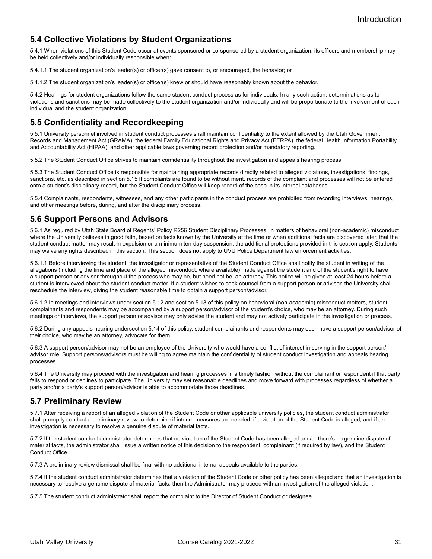### **5.4 Collective Violations by Student Organizations**

5.4.1 When violations of this Student Code occur at events sponsored or co-sponsored by a student organization, its officers and membership may be held collectively and/or individually responsible when:

5.4.1.1 The student organization's leader(s) or officer(s) gave consent to, or encouraged, the behavior; or

5.4.1.2 The student organization's leader(s) or officer(s) knew or should have reasonably known about the behavior.

5.4.2 Hearings for student organizations follow the same student conduct process as for individuals. In any such action, determinations as to violations and sanctions may be made collectively to the student organization and/or individually and will be proportionate to the involvement of each individual and the student organization.

### **5.5 Confidentiality and Recordkeeping**

5.5.1 University personnel involved in student conduct processes shall maintain confidentiality to the extent allowed by the Utah Government Records and Management Act (GRAMA), the federal Family Educational Rights and Privacy Act (FERPA), the federal Health Information Portability and Accountability Act (HIPAA), and other applicable laws governing record protection and/or mandatory reporting.

5.5.2 The Student Conduct Office strives to maintain confidentiality throughout the investigation and appeals hearing process.

5.5.3 The Student Conduct Office is responsible for maintaining appropriate records directly related to alleged violations, investigations, findings, sanctions, etc. as described in section 5.15 If complaints are found to be without merit, records of the complaint and processes will not be entered onto a student's disciplinary record, but the Student Conduct Office will keep record of the case in its internal databases.

5.5.4 Complainants, respondents, witnesses, and any other participants in the conduct process are prohibited from recording interviews, hearings, and other meetings before, during, and after the disciplinary process.

#### **5.6 Support Persons and Advisors**

5.6.1 As required by Utah State Board of Regents' Policy R256 Student Disciplinary Processes, in matters of behavioral (non-academic) misconduct where the University believes in good faith, based on facts known by the University at the time or when additional facts are discovered later, that the student conduct matter may result in expulsion or a minimum ten-day suspension, the additional protections provided in this section apply. Students may waive any rights described in this section. This section does not apply to UVU Police Department law enforcement activities.

5.6.1.1 Before interviewing the student, the investigator or representative of the Student Conduct Office shall notify the student in writing of the allegations (including the time and place of the alleged misconduct, where available) made against the student and of the student's right to have a support person or advisor throughout the process who may be, but need not be, an attorney. This notice will be given at least 24 hours before a student is interviewed about the student conduct matter. If a student wishes to seek counsel from a support person or advisor, the University shall reschedule the interview, giving the student reasonable time to obtain a support person/advisor.

5.6.1.2 In meetings and interviews under section 5.12 and section 5.13 of this policy on behavioral (non-academic) misconduct matters, student complainants and respondents may be accompanied by a support person/advisor of the student's choice, who may be an attorney. During such meetings or interviews, the support person or advisor may only advise the student and may not actively participate in the investigation or process.

5.6.2 During any appeals hearing undersection 5.14 of this policy, student complainants and respondents may each have a support person/advisor of their choice, who may be an attorney, advocate for them.

5.6.3 A support person/advisor may not be an employee of the University who would have a conflict of interest in serving in the support person/ advisor role. Support persons/advisors must be willing to agree maintain the confidentiality of student conduct investigation and appeals hearing processes.

5.6.4 The University may proceed with the investigation and hearing processes in a timely fashion without the complainant or respondent if that party fails to respond or declines to participate. The University may set reasonable deadlines and move forward with processes regardless of whether a party and/or a party's support person/advisor is able to accommodate those deadlines.

#### **5.7 Preliminary Review**

5.7.1 After receiving a report of an alleged violation of the Student Code or other applicable university policies, the student conduct administrator shall promptly conduct a preliminary review to determine if interim measures are needed, if a violation of the Student Code is alleged, and if an investigation is necessary to resolve a genuine dispute of material facts.

5.7.2 If the student conduct administrator determines that no violation of the Student Code has been alleged and/or there's no genuine dispute of material facts, the administrator shall issue a written notice of this decision to the respondent, complainant (if required by law), and the Student Conduct Office.

5.7.3 A preliminary review dismissal shall be final with no additional internal appeals available to the parties.

5.7.4 If the student conduct administrator determines that a violation of the Student Code or other policy has been alleged and that an investigation is necessary to resolve a genuine dispute of material facts, then the Administrator may proceed with an investigation of the alleged violation.

5.7.5 The student conduct administrator shall report the complaint to the Director of Student Conduct or designee.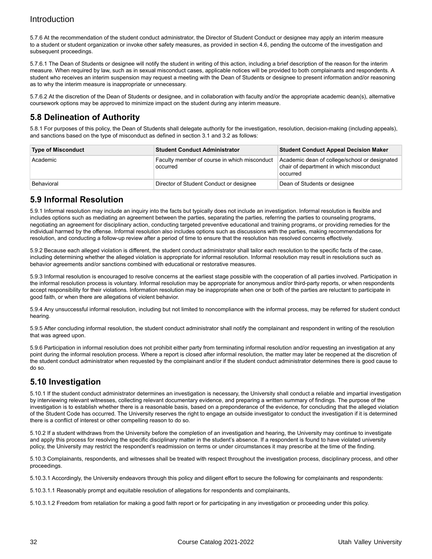5.7.6 At the recommendation of the student conduct administrator, the Director of Student Conduct or designee may apply an interim measure to a student or student organization or invoke other safety measures, as provided in section 4.6, pending the outcome of the investigation and subsequent proceedings.

5.7.6.1 The Dean of Students or designee will notify the student in writing of this action, including a brief description of the reason for the interim measure. When required by law, such as in sexual misconduct cases, applicable notices will be provided to both complainants and respondents. A student who receives an interim suspension may request a meeting with the Dean of Students or designee to present information and/or reasoning as to why the interim measure is inappropriate or unnecessary.

5.7.6.2 At the discretion of the Dean of Students or designee, and in collaboration with faculty and/or the appropriate academic dean(s), alternative coursework options may be approved to minimize impact on the student during any interim measure.

### **5.8 Delineation of Authority**

5.8.1 For purposes of this policy, the Dean of Students shall delegate authority for the investigation, resolution, decision-making (including appeals), and sanctions based on the type of misconduct as defined in section 3.1 and 3.2 as follows:

| <b>Type of Misconduct</b> | <b>Student Conduct Administrator</b>                     | <b>Student Conduct Appeal Decision Maker</b>                                                         |  |  |
|---------------------------|----------------------------------------------------------|------------------------------------------------------------------------------------------------------|--|--|
| Academic                  | Faculty member of course in which misconduct<br>occurred | Academic dean of college/school or designated<br>chair of department in which misconduct<br>occurred |  |  |
| Behavioral                | Director of Student Conduct or designee                  | Dean of Students or designee                                                                         |  |  |

### **5.9 Informal Resolution**

5.9.1 Informal resolution may include an inquiry into the facts but typically does not include an investigation. Informal resolution is flexible and includes options such as mediating an agreement between the parties, separating the parties, referring the parties to counseling programs, negotiating an agreement for disciplinary action, conducting targeted preventive educational and training programs, or providing remedies for the individual harmed by the offense. Informal resolution also includes options such as discussions with the parties, making recommendations for resolution, and conducting a follow-up review after a period of time to ensure that the resolution has resolved concerns effectively.

5.9.2 Because each alleged violation is different, the student conduct administrator shall tailor each resolution to the specific facts of the case, including determining whether the alleged violation is appropriate for informal resolution. Informal resolution may result in resolutions such as behavior agreements and/or sanctions combined with educational or restorative measures.

5.9.3 Informal resolution is encouraged to resolve concerns at the earliest stage possible with the cooperation of all parties involved. Participation in the informal resolution process is voluntary. Informal resolution may be appropriate for anonymous and/or third-party reports, or when respondents accept responsibility for their violations. Information resolution may be inappropriate when one or both of the parties are reluctant to participate in good faith, or when there are allegations of violent behavior.

5.9.4 Any unsuccessful informal resolution, including but not limited to noncompliance with the informal process, may be referred for student conduct hearing.

5.9.5 After concluding informal resolution, the student conduct administrator shall notify the complainant and respondent in writing of the resolution that was agreed upon.

5.9.6 Participation in informal resolution does not prohibit either party from terminating informal resolution and/or requesting an investigation at any point during the informal resolution process. Where a report is closed after informal resolution, the matter may later be reopened at the discretion of the student conduct administrator when requested by the complainant and/or if the student conduct administrator determines there is good cause to do so.

### **5.10 Investigation**

5.10.1 If the student conduct administrator determines an investigation is necessary, the University shall conduct a reliable and impartial investigation by interviewing relevant witnesses, collecting relevant documentary evidence, and preparing a written summary of findings. The purpose of the investigation is to establish whether there is a reasonable basis, based on a preponderance of the evidence, for concluding that the alleged violation of the Student Code has occurred. The University reserves the right to engage an outside investigator to conduct the investigation if it is determined there is a conflict of interest or other compelling reason to do so.

5.10.2 If a student withdraws from the University before the completion of an investigation and hearing, the University may continue to investigate and apply this process for resolving the specific disciplinary matter in the student's absence. If a respondent is found to have violated university policy, the University may restrict the respondent's readmission on terms or under circumstances it may prescribe at the time of the finding.

5.10.3 Complainants, respondents, and witnesses shall be treated with respect throughout the investigation process, disciplinary process, and other proceedings.

5.10.3.1 Accordingly, the University endeavors through this policy and diligent effort to secure the following for complainants and respondents:

5.10.3.1.1 Reasonably prompt and equitable resolution of allegations for respondents and complainants,

5.10.3.1.2 Freedom from retaliation for making a good faith report or for participating in any investigation or proceeding under this policy.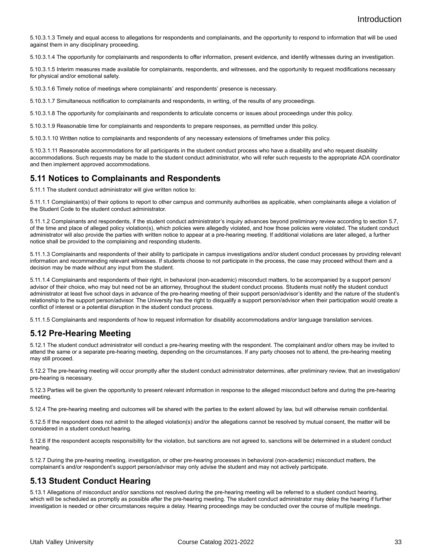5.10.3.1.3 Timely and equal access to allegations for respondents and complainants, and the opportunity to respond to information that will be used against them in any disciplinary proceeding.

5.10.3.1.4 The opportunity for complainants and respondents to offer information, present evidence, and identify witnesses during an investigation.

5.10.3.1.5 Interim measures made available for complainants, respondents, and witnesses, and the opportunity to request modifications necessary for physical and/or emotional safety.

5.10.3.1.6 Timely notice of meetings where complainants' and respondents' presence is necessary.

5.10.3.1.7 Simultaneous notification to complainants and respondents, in writing, of the results of any proceedings.

5.10.3.1.8 The opportunity for complainants and respondents to articulate concerns or issues about proceedings under this policy.

5.10.3.1.9 Reasonable time for complainants and respondents to prepare responses, as permitted under this policy.

5.10.3.1.10 Written notice to complainants and respondents of any necessary extensions of timeframes under this policy.

5.10.3.1.11 Reasonable accommodations for all participants in the student conduct process who have a disability and who request disability accommodations. Such requests may be made to the student conduct administrator, who will refer such requests to the appropriate ADA coordinator and then implement approved accommodations.

#### **5.11 Notices to Complainants and Respondents**

5.11.1 The student conduct administrator will give written notice to:

5.11.1.1 Complainant(s) of their options to report to other campus and community authorities as applicable, when complainants allege a violation of the Student Code to the student conduct administrator.

5.11.1.2 Complainants and respondents, if the student conduct administrator's inquiry advances beyond preliminary review according to section 5.7, of the time and place of alleged policy violation(s), which policies were allegedly violated, and how those policies were violated. The student conduct administrator will also provide the parties with written notice to appear at a pre-hearing meeting. If additional violations are later alleged, a further notice shall be provided to the complaining and responding students.

5.11.1.3 Complainants and respondents of their ability to participate in campus investigations and/or student conduct processes by providing relevant information and recommending relevant witnesses. If students choose to not participate in the process, the case may proceed without them and a decision may be made without any input from the student.

5.11.1.4 Complainants and respondents of their right, in behavioral (non-academic) misconduct matters, to be accompanied by a support person/ advisor of their choice, who may but need not be an attorney, throughout the student conduct process. Students must notify the student conduct administrator at least five school days in advance of the pre-hearing meeting of their support person/advisor's identity and the nature of the student's relationship to the support person/advisor. The University has the right to disqualify a support person/advisor when their participation would create a conflict of interest or a potential disruption in the student conduct process.

5.11.1.5 Complainants and respondents of how to request information for disability accommodations and/or language translation services.

#### **5.12 Pre-Hearing Meeting**

5.12.1 The student conduct administrator will conduct a pre-hearing meeting with the respondent. The complainant and/or others may be invited to attend the same or a separate pre-hearing meeting, depending on the circumstances. If any party chooses not to attend, the pre-hearing meeting may still proceed.

5.12.2 The pre-hearing meeting will occur promptly after the student conduct administrator determines, after preliminary review, that an investigation/ pre-hearing is necessary.

5.12.3 Parties will be given the opportunity to present relevant information in response to the alleged misconduct before and during the pre-hearing meeting.

5.12.4 The pre-hearing meeting and outcomes will be shared with the parties to the extent allowed by law, but will otherwise remain confidential.

5.12.5 If the respondent does not admit to the alleged violation(s) and/or the allegations cannot be resolved by mutual consent, the matter will be considered in a student conduct hearing.

5.12.6 If the respondent accepts responsibility for the violation, but sanctions are not agreed to, sanctions will be determined in a student conduct hearing.

5.12.7 During the pre-hearing meeting, investigation, or other pre-hearing processes in behavioral (non-academic) misconduct matters, the complainant's and/or respondent's support person/advisor may only advise the student and may not actively participate.

#### **5.13 Student Conduct Hearing**

5.13.1 Allegations of misconduct and/or sanctions not resolved during the pre-hearing meeting will be referred to a student conduct hearing, which will be scheduled as promptly as possible after the pre-hearing meeting. The student conduct administrator may delay the hearing if further investigation is needed or other circumstances require a delay. Hearing proceedings may be conducted over the course of multiple meetings.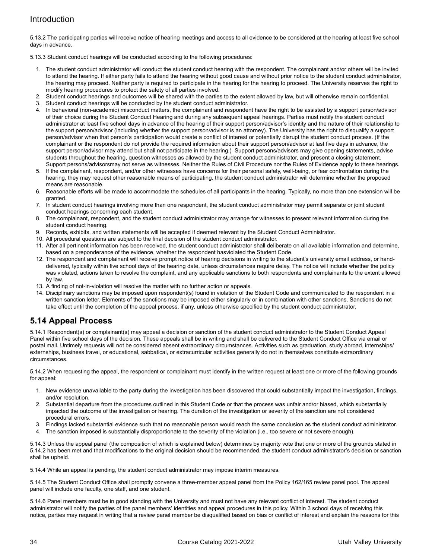5.13.2 The participating parties will receive notice of hearing meetings and access to all evidence to be considered at the hearing at least five school days in advance.

5.13.3 Student conduct hearings will be conducted according to the following procedures:

- 1. The student conduct administrator will conduct the student conduct hearing with the respondent. The complainant and/or others will be invited to attend the hearing. If either party fails to attend the hearing without good cause and without prior notice to the student conduct administrator, the hearing may proceed. Neither party is required to participate in the hearing for the hearing to proceed. The University reserves the right to modify hearing procedures to protect the safety of all parties involved.
- 2. Student conduct hearings and outcomes will be shared with the parties to the extent allowed by law, but will otherwise remain confidential.
- 3. Student conduct hearings will be conducted by the student conduct administrator.
- 4. In behavioral (non-academic) misconduct matters, the complainant and respondent have the right to be assisted by a support person/advisor of their choice during the Student Conduct Hearing and during any subsequent appeal hearings. Parties must notify the student conduct administrator at least five school days in advance of the hearing of their support person/advisor's identity and the nature of their relationship to the support person/advisor (including whether the support person/advisor is an attorney). The University has the right to disqualify a support person/advisor when that person's participation would create a conflict of interest or potentially disrupt the student conduct process. (If the complainant or the respondent do not provide the required information about their support person/advisor at last five days in advance, the support person/advisor may attend but shall not participate in the hearing.) Support persons/advisors may give opening statements, advise students throughout the hearing, question witnesses as allowed by the student conduct administrator, and present a closing statement. Support persons/advisorsmay not serve as witnesses. Neither the Rules of Civil Procedure nor the Rules of Evidence apply to these hearings.
- 5. If the complainant, respondent, and/or other witnesses have concerns for their personal safety, well-being, or fear confrontation during the hearing, they may request other reasonable means of participating. the student conduct administrator will determine whether the proposed means are reasonable.
- 6. Reasonable efforts will be made to accommodate the schedules of all participants in the hearing. Typically, no more than one extension will be granted.
- 7. In student conduct hearings involving more than one respondent, the student conduct administrator may permit separate or joint student conduct hearings concerning each student.
- 8. The complainant, respondent, and the student conduct administrator may arrange for witnesses to present relevant information during the student conduct hearing.
- 9. Records, exhibits, and written statements will be accepted if deemed relevant by the Student Conduct Administrator.
- 10. All procedural questions are subject to the final decision of the student conduct administrator.
- 11. After all pertinent information has been received, the student conduct administrator shall deliberate on all available information and determine, based on a preponderance of the evidence, whether the respondent hasviolated the Student Code.
- 12. The respondent and complainant will receive prompt notice of hearing decisions in writing to the student's university email address, or handdelivered, typically within five school days of the hearing date, unless circumstances require delay. The notice will include whether the policy was violated, actions taken to resolve the complaint, and any applicable sanctions to both respondents and complainants to the extent allowed by law.
- 13. A finding of not-in-violation will resolve the matter with no further action or appeals.
- 14. Disciplinary sanctions may be imposed upon respondent(s) found in violation of the Student Code and communicated to the respondent in a written sanction letter. Elements of the sanctions may be imposed either singularly or in combination with other sanctions. Sanctions do not take effect until the completion of the appeal process, if any, unless otherwise specified by the student conduct administrator.

#### **5.14 Appeal Process**

5.14.1 Respondent(s) or complainant(s) may appeal a decision or sanction of the student conduct administrator to the Student Conduct Appeal Panel within five school days of the decision. These appeals shall be in writing and shall be delivered to the Student Conduct Office via email or postal mail. Untimely requests will not be considered absent extraordinary circumstances. Activities such as graduation, study abroad, internships/ externships, business travel, or educational, sabbatical, or extracurricular activities generally do not in themselves constitute extraordinary circumstances.

5.14.2 When requesting the appeal, the respondent or complainant must identify in the written request at least one or more of the following grounds for appeal:

- 1. New evidence unavailable to the party during the investigation has been discovered that could substantially impact the investigation, findings, and/or resolution.
- 2. Substantial departure from the procedures outlined in this Student Code or that the process was unfair and/or biased, which substantially impacted the outcome of the investigation or hearing. The duration of the investigation or severity of the sanction are not considered procedural errors.
- 3. Findings lacked substantial evidence such that no reasonable person would reach the same conclusion as the student conduct administrator.
- 4. The sanction imposed is substantially disproportionate to the severity of the violation (i.e., too severe or not severe enough).

5.14.3 Unless the appeal panel (the composition of which is explained below) determines by majority vote that one or more of the grounds stated in 5.14.2 has been met and that modifications to the original decision should be recommended, the student conduct administrator's decision or sanction shall be upheld.

5.14.4 While an appeal is pending, the student conduct administrator may impose interim measures.

5.14.5 The Student Conduct Office shall promptly convene a three-member appeal panel from the Policy 162/165 review panel pool. The appeal panel will include one faculty, one staff, and one student.

5.14.6 Panel members must be in good standing with the University and must not have any relevant conflict of interest. The student conduct administrator will notify the parties of the panel members' identities and appeal procedures in this policy. Within 3 school days of receiving this notice, parties may request in writing that a review panel member be disqualified based on bias or conflict of interest and explain the reasons for this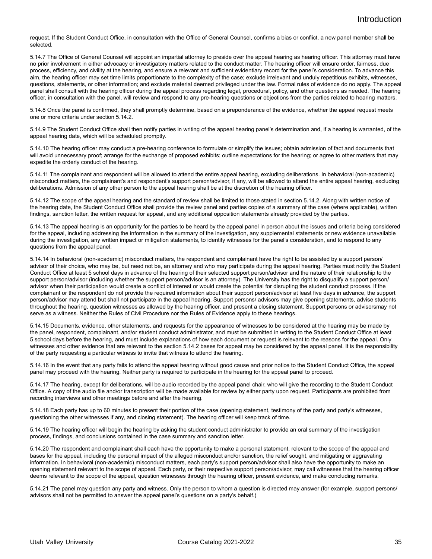request. If the Student Conduct Office, in consultation with the Office of General Counsel, confirms a bias or conflict, a new panel member shall be selected.

5.14.7 The Office of General Counsel will appoint an impartial attorney to preside over the appeal hearing as hearing officer. This attorney must have no prior involvement in either advocacy or investigatory matters related to the conduct matter. The hearing officer will ensure order, fairness, due process, efficiency, and civility at the hearing, and ensure a relevant and sufficient evidentiary record for the panel's consideration. To advance this aim, the hearing officer may set time limits proportionate to the complexity of the case; exclude irrelevant and unduly repetitious exhibits, witnesses, questions, statements, or other information; and exclude material deemed privileged under the law. Formal rules of evidence do no apply. The appeal panel shall consult with the hearing officer during the appeal process regarding legal, procedural, policy, and other questions as needed. The hearing officer, in consultation with the panel, will review and respond to any pre-hearing questions or objections from the parties related to hearing matters.

5.14.8 Once the panel is confirmed, they shall promptly determine, based on a preponderance of the evidence, whether the appeal request meets one or more criteria under section 5.14.2.

5.14.9 The Student Conduct Office shall then notify parties in writing of the appeal hearing panel's determination and, if a hearing is warranted, of the appeal hearing date, which will be scheduled promptly.

5.14.10 The hearing officer may conduct a pre-hearing conference to formulate or simplify the issues; obtain admission of fact and documents that will avoid unnecessary proof; arrange for the exchange of proposed exhibits; outline expectations for the hearing; or agree to other matters that may expedite the orderly conduct of the hearing.

5.14.11 The complainant and respondent will be allowed to attend the entire appeal hearing, excluding deliberations. In behavioral (non-academic) misconduct matters, the complainant's and respondent's support person/advisor, if any, will be allowed to attend the entire appeal hearing, excluding deliberations. Admission of any other person to the appeal hearing shall be at the discretion of the hearing officer.

5.14.12 The scope of the appeal hearing and the standard of review shall be limited to those stated in section 5.14.2. Along with written notice of the hearing date, the Student Conduct Office shall provide the review panel and parties copies of a summary of the case (where applicable), written findings, sanction letter, the written request for appeal, and any additional opposition statements already provided by the parties.

5.14.13 The appeal hearing is an opportunity for the parties to be heard by the appeal panel in person about the issues and criteria being considered for the appeal, including addressing the information in the summary of the investigation, any supplemental statements or new evidence unavailable during the investigation, any written impact or mitigation statements, to identify witnesses for the panel's consideration, and to respond to any questions from the appeal panel.

5.14.14 In behavioral (non-academic) misconduct matters, the respondent and complainant have the right to be assisted by a support person/ advisor of their choice, who may be, but need not be, an attorney and who may participate during the appeal hearing. Parties must notify the Student Conduct Office at least 5 school days in advance of the hearing of their selected support person/advisor and the nature of their relationship to the support person/advisor (including whether the support person/advisor is an attorney). The University has the right to disqualify a support person/ advisor when their participation would create a conflict of interest or would create the potential for disrupting the student conduct process. If the complainant or the respondent do not provide the required information about their support person/advisor at least five days in advance, the support person/advisor may attend but shall not participate in the appeal hearing. Support persons/ advisors may give opening statements, advise students throughout the hearing, question witnesses as allowed by the hearing officer, and present a closing statement. Support persons or advisorsmay not serve as a witness. Neither the Rules of Civil Procedure nor the Rules of Evidence apply to these hearings.

5.14.15 Documents, evidence, other statements, and requests for the appearance of witnesses to be considered at the hearing may be made by the panel, respondent, complainant, and/or student conduct administrator, and must be submitted in writing to the Student Conduct Office at least 5 school days before the hearing, and must include explanations of how each document or request is relevant to the reasons for the appeal. Only witnesses and other evidence that are relevant to the section 5.14.2 bases for appeal may be considered by the appeal panel. It is the responsibility of the party requesting a particular witness to invite that witness to attend the hearing.

5.14.16 In the event that any party fails to attend the appeal hearing without good cause and prior notice to the Student Conduct Office, the appeal panel may proceed with the hearing. Neither party is required to participate in the hearing for the appeal panel to proceed.

5.14.17 The hearing, except for deliberations, will be audio recorded by the appeal panel chair, who will give the recording to the Student Conduct Office. A copy of the audio file and/or transcription will be made available for review by either party upon request. Participants are prohibited from recording interviews and other meetings before and after the hearing.

5.14.18 Each party has up to 60 minutes to present their portion of the case (opening statement, testimony of the party and party's witnesses, questioning the other witnesses if any, and closing statement). The hearing officer will keep track of time.

5.14.19 The hearing officer will begin the hearing by asking the student conduct administrator to provide an oral summary of the investigation process, findings, and conclusions contained in the case summary and sanction letter.

5.14.20 The respondent and complainant shall each have the opportunity to make a personal statement, relevant to the scope of the appeal and bases for the appeal, including the personal impact of the alleged misconduct and/or sanction, the relief sought, and mitigating or aggravating information. In behavioral (non-academic) misconduct matters, each party's support person/advisor shall also have the opportunity to make an opening statement relevant to the scope of appeal. Each party, or their respective support person/advisor, may call witnesses that the hearing officer deems relevant to the scope of the appeal, question witnesses through the hearing officer, present evidence, and make concluding remarks.

5.14.21 The panel may question any party and witness. Only the person to whom a question is directed may answer (for example, support persons/ advisors shall not be permitted to answer the appeal panel's questions on a party's behalf.)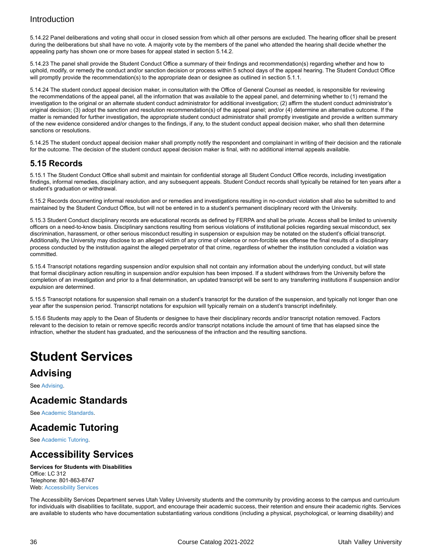5.14.22 Panel deliberations and voting shall occur in closed session from which all other persons are excluded. The hearing officer shall be present during the deliberations but shall have no vote. A majority vote by the members of the panel who attended the hearing shall decide whether the appealing party has shown one or more bases for appeal stated in section 5.14.2.

5.14.23 The panel shall provide the Student Conduct Office a summary of their findings and recommendation(s) regarding whether and how to uphold, modify, or remedy the conduct and/or sanction decision or process within 5 school days of the appeal hearing. The Student Conduct Office will promptly provide the recommendation(s) to the appropriate dean or designee as outlined in section 5.1.1.

5.14.24 The student conduct appeal decision maker, in consultation with the Office of General Counsel as needed, is responsible for reviewing the recommendations of the appeal panel, all the information that was available to the appeal panel, and determining whether to (1) remand the investigation to the original or an alternate student conduct administrator for additional investigation; (2) affirm the student conduct administrator's original decision; (3) adopt the sanction and resolution recommendation(s) of the appeal panel; and/or (4) determine an alternative outcome. If the matter is remanded for further investigation, the appropriate student conduct administrator shall promptly investigate and provide a written summary of the new evidence considered and/or changes to the findings, if any, to the student conduct appeal decision maker, who shall then determine sanctions or resolutions.

5.14.25 The student conduct appeal decision maker shall promptly notify the respondent and complainant in writing of their decision and the rationale for the outcome. The decision of the student conduct appeal decision maker is final, with no additional internal appeals available.

#### **5.15 Records**

5.15.1 The Student Conduct Office shall submit and maintain for confidential storage all Student Conduct Office records, including investigation findings, informal remedies, disciplinary action, and any subsequent appeals. Student Conduct records shall typically be retained for ten years after a student's graduation or withdrawal.

5.15.2 Records documenting informal resolution and or remedies and investigations resulting in no-conduct violation shall also be submitted to and maintained by the Student Conduct Office, but will not be entered in to a student's permanent disciplinary record with the University.

5.15.3 Student Conduct disciplinary records are educational records as defined by FERPA and shall be private. Access shall be limited to university officers on a need-to-know basis. Disciplinary sanctions resulting from serious violations of institutional policies regarding sexual misconduct, sex discrimination, harassment, or other serious misconduct resulting in suspension or expulsion may be notated on the student's official transcript. Additionally, the University may disclose to an alleged victim of any crime of violence or non-forcible sex offense the final results of a disciplinary process conducted by the institution against the alleged perpetrator of that crime, regardless of whether the institution concluded a violation was committed.

5.15.4 Transcript notations regarding suspension and/or expulsion shall not contain any information about the underlying conduct, but will state that formal disciplinary action resulting in suspension and/or expulsion has been imposed. If a student withdraws from the University before the completion of an investigation and prior to a final determination, an updated transcript will be sent to any transferring institutions if suspension and/or expulsion are determined.

5.15.5 Transcript notations for suspension shall remain on a student's transcript for the duration of the suspension, and typically not longer than one year after the suspension period. Transcript notations for expulsion will typically remain on a student's transcript indefinitely.

5.15.6 Students may apply to the Dean of Students or designee to have their disciplinary records and/or transcript notation removed. Factors relevant to the decision to retain or remove specific records and/or transcript notations include the amount of time that has elapsed since the infraction, whether the student has graduated, and the seriousness of the infraction and the resulting sanctions.

# <span id="page-35-0"></span>**Student Services**

## **Advising**

See [Advising](https://www.uvu.edu/catalog/current/policies-requirements/https://www.uvu.edu/advising/).

### **Academic Standards**

See [Academic Standards.](https://www.uvu.edu/catalog/current/policies-requirements/https://www.uvu.edu/academicstandards/)

## **Academic Tutoring**

See [Academic](https://www.uvu.edu/catalog/current/policies-requirements/https://www.uvu.edu/academictutoring/) Tutoring.

### **Accessibility Services**

#### **Services for Students with Disabilities** Office: LC 312

Telephone: 801-863-8747 Web: [Accessibility Services](https://www.uvu.edu/catalog/current/policies-requirements/https://www.uvu.edu/accessibility-services/)

The Accessibility Services Department serves Utah Valley University students and the community by providing access to the campus and curriculum for individuals with disabilities to facilitate, support, and encourage their academic success, their retention and ensure their academic rights. Services are available to students who have documentation substantiating various conditions (including a physical, psychological, or learning disability) and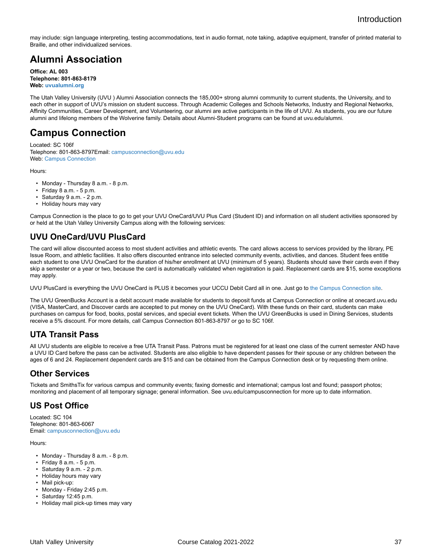may include: sign language interpreting, testing accommodations, text in audio format, note taking, adaptive equipment, transfer of printed material to Braille, and other individualized services.

## **Alumni Association**

**Office: AL 003 Telephone: 801-863-8179 Web: [uvualumni.org](https://www.uvu.edu/catalog/current/policies-requirements/https://www.uvualumni.org)**

The Utah Valley University (UVU ) Alumni Association connects the 185,000+ strong alumni community to current students, the University, and to each other in support of UVU's mission on student success. Through Academic Colleges and Schools Networks, Industry and Regional Networks, Affinity Communities, Career Development, and Volunteering, our alumni are active participants in the life of UVU. As students, you are our future alumni and lifelong members of the Wolverine family. Details about Alumni-Student programs can be found at uvu.edu/alumni.

### **Campus Connection**

Located: SC 106f Telephone: 801-863-8797Email: [campusconnection@uvu.edu](https://www.uvu.edu/catalog/current/policies-requirements/mailto:campusconnection@uvu.edu) Web: [Campus Connection](https://www.uvu.edu/catalog/current/policies-requirements/https://www.uvu.edu/campusconnection)

Hours:

- Monday Thursday 8 a.m. 8 p.m.
- $\cdot$  Friday 8 a.m. 5 p.m.
- Saturday 9 a.m. 2 p.m.
- Holiday hours may vary

Campus Connection is the place to go to get your UVU OneCard/UVU Plus Card (Student ID) and information on all student activities sponsored by or held at the Utah Valley University Campus along with the following services:

### **UVU OneCard/UVU PlusCard**

The card will allow discounted access to most student activities and athletic events. The card allows access to services provided by the library, PE Issue Room, and athletic facilities. It also offers discounted entrance into selected community events, activities, and dances. Student fees entitle each student to one UVU OneCard for the duration of his/her enrollment at UVU (minimum of 5 years). Students should save their cards even if they skip a semester or a year or two, because the card is automatically validated when registration is paid. Replacement cards are \$15, some exceptions may apply.

UVU PlusCard is everything the UVU OneCard is PLUS it becomes your UCCU Debit Card all in one. Just go to [the Campus Connection site](http://www.uvu.edu/campusconnection).

The UVU GreenBucks Account is a debit account made available for students to deposit funds at Campus Connection or online at onecard.uvu.edu (VISA, MasterCard, and Discover cards are accepted to put money on the UVU OneCard). With these funds on their card, students can make purchases on campus for food, books, postal services, and special event tickets. When the UVU GreenBucks is used in Dining Services, students receive a 5% discount. For more details, call Campus Connection 801-863-8797 or go to SC 106f.

### **UTA Transit Pass**

All UVU students are eligible to receive a free UTA Transit Pass. Patrons must be registered for at least one class of the current semester AND have a UVU ID Card before the pass can be activated. Students are also eligible to have dependent passes for their spouse or any children between the ages of 6 and 24. Replacement dependent cards are \$15 and can be obtained from the Campus Connection desk or by requesting them online.

#### **Other Services**

Tickets and SmithsTix for various campus and community events; faxing domestic and international; campus lost and found; passport photos; monitoring and placement of all temporary signage; general information. See uvu.edu/campusconnection for more up to date information.

#### **US Post Office**

Located: SC 104 Telephone: 801-863-6067 Email: [campusconnection@uvu.edu](https://www.uvu.edu/catalog/current/policies-requirements/mailto:campusconnection@uvu.edu)

Hours:

- Monday Thursday 8 a.m. 8 p.m.
- Friday 8 a.m. 5 p.m.
- Saturday 9 a.m. 2 p.m.
- Holiday hours may vary
- Mail pick-up:
- Monday Friday 2:45 p.m.
- Saturday 12:45 p.m.
- Holiday mail pick-up times may vary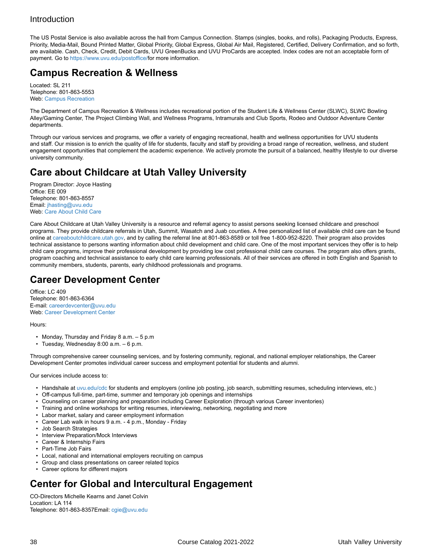The US Postal Service is also available across the hall from Campus Connection. Stamps (singles, books, and rolls), Packaging Products, Express, Priority, Media-Mail, Bound Printed Matter, Global Priority, Global Express, Global Air Mail, Registered, Certified, Delivery Confirmation, and so forth, are available. Cash, Check, Credit, Debit Cards, UVU GreenBucks and UVU ProCards are accepted. Index codes are not an acceptable form of payment. Go to [https://www.uvu.edu/postoffice/](https://www.uvu.edu/catalog/current/policies-requirements/https://www.uvu.edu/postoffice/)for more information.

## **Campus Recreation & Wellness**

Located: SL 211 Telephone: 801-863-5553 Web: [Campus Recreation](https://www.uvu.edu/catalog/current/policies-requirements/https://www.uvu.edu/campusrec/)

The Department of Campus Recreation & Wellness includes recreational portion of the Student Life & Wellness Center (SLWC), SLWC Bowling Alley/Gaming Center, The Project Climbing Wall, and Wellness Programs, Intramurals and Club Sports, Rodeo and Outdoor Adventure Center departments.

Through our various services and programs, we offer a variety of engaging recreational, health and wellness opportunities for UVU students and staff. Our mission is to enrich the quality of life for students, faculty and staff by providing a broad range of recreation, wellness, and student engagement opportunities that complement the academic experience. We actively promote the pursuit of a balanced, healthy lifestyle to our diverse university community.

## **Care about Childcare at Utah Valley University**

Program Director: Joyce Hasting Office: EE 009 Telephone: 801-863-8557 Email: [jhasting@uvu.edu](https://www.uvu.edu/catalog/current/policies-requirements/mailto:jhasting@uvu.edu) Web: [Care About Child Care](http://www.uvu.edu/cac)

Care About Childcare at Utah Valley University is a resource and referral agency to assist persons seeking licensed childcare and preschool programs. They provide childcare referrals in Utah, Summit, Wasatch and Juab counties. A free personalized list of available child care can be found online at [careaboutchildcare.utah.gov](http://careaboutchildcare.utah.gov), and by calling the referral line at 801-863-8589 or toll free 1-800-952-8220. Their program also provides technical assistance to persons wanting information about child development and child care. One of the most important services they offer is to help child care programs, improve their professional development by providing low cost professional child care courses. The program also offers grants, program coaching and technical assistance to early child care learning professionals. All of their services are offered in both English and Spanish to community members, students, parents, early childhood professionals and programs.

### **Career Development Center**

Office: LC 409 Telephone: 801-863-6364 E-mail: [careerdevcenter@uvu.edu](https://www.uvu.edu/catalog/current/policies-requirements/mailto:careerdevcenter@uvu.edu) Web: [Career Development Center](http://www.uvu.edu/cdc)

Hours:

- Monday, Thursday and Friday 8 a.m. 5 p.m
- Tuesday, Wednesday 8:00 a.m. 6 p.m.

Through comprehensive career counseling services, and by fostering community, regional, and national employer relationships, the Career Development Center promotes individual career success and employment potential for students and alumni.

Our services include access to:

- Handshale at [uvu.edu/cdc](http://www.uvu.edu/cdc) for students and employers (online job posting, job search, submitting resumes, scheduling interviews, etc.)
- Off-campus full-time, part-time, summer and temporary job openings and internships
- Counseling on career planning and preparation including Career Exploration (through various Career inventories)
- Training and online workshops for writing resumes, interviewing, networking, negotiating and more
- Labor market, salary and career employment information
- Career Lab walk in hours 9 a.m. 4 p.m., Monday Friday
- Job Search Strategies
- Interview Preparation/Mock Interviews
- Career & Internship Fairs
- Part-Time Job Fairs
- Local, national and international employers recruiting on campus
- Group and class presentations on career related topics
- Career options for different majors

## **Center for Global and Intercultural Engagement**

CO-Directors Michelle Kearns and Janet Colvin Location: LA 114 Telephone: 801-863-8357Email: [cgie@uvu.edu](https://www.uvu.edu/catalog/current/policies-requirements/mailto:cgie@uvu.edu)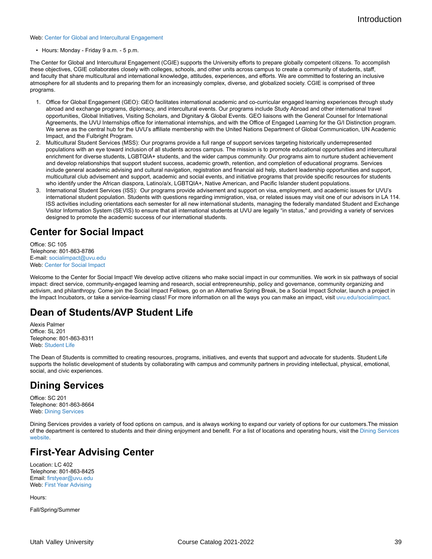#### Web: [Center for Global and Intercultural Engagement](http://www.uvu.edu/cgie)

• Hours: Monday - Friday 9 a.m. - 5 p.m.

The Center for Global and Intercultural Engagement (CGIE) supports the University efforts to prepare globally competent citizens. To accomplish these objectives, CGIE collaborates closely with colleges, schools, and other units across campus to create a community of students, staff, and faculty that share multicultural and international knowledge, attitudes, experiences, and efforts. We are committed to fostering an inclusive atmosphere for all students and to preparing them for an increasingly complex, diverse, and globalized society. CGIE is comprised of three programs.

- 1. Office for Global Engagement (GEO): GEO facilitates international academic and co-curricular engaged learning experiences through study abroad and exchange programs, diplomacy, and intercultural events. Our programs include Study Abroad and other international travel opportunities, Global Initiatives, Visiting Scholars, and Dignitary & Global Events. GEO liaisons with the General Counsel for International Agreements, the UVU Internships office for international internships, and with the Office of Engaged Learning for the G/I Distinction program. We serve as the central hub for the UVU's affiliate membership with the United Nations Department of Global Communication, UN Academic Impact, and the Fulbright Program.
- 2. Multicultural Student Services (MSS): Our programs provide a full range of support services targeting historically underrepresented populations with an eye toward inclusion of all students across campus. The mission is to promote educational opportunities and intercultural enrichment for diverse students, LGBTQIA+ students, and the wider campus community. Our programs aim to nurture student achievement and develop relationships that support student success, academic growth, retention, and completion of educational programs. Services include general academic advising and cultural navigation, registration and financial aid help, student leadership opportunities and support, multicultural club advisement and support, academic and social events, and initiative programs that provide specific resources for students who identify under the African diaspora, Latino/a/x, LGBTQIA+, Native American, and Pacific Islander student populations.
- 3. International Student Services (ISS): Our programs provide advisement and support on visa, employment, and academic issues for UVU's international student population. Students with questions regarding immigration, visa, or related issues may visit one of our advisors in LA 114. ISS activities including orientations each semester for all new international students, managing the federally mandated Student and Exchange Visitor Information System (SEVIS) to ensure that all international students at UVU are legally "in status," and providing a variety of services designed to promote the academic success of our international students.

## **Center for Social Impact**

Office: SC 105 Telephone: 801-863-8786 E-mail: [socialimpact@uvu.edu](https://www.uvu.edu/catalog/current/policies-requirements/mailto:socialimpact@uvu.edu) Web: [Center for Social Impact](http://www.uvu.edu/socialimpact)

Welcome to the Center for Social Impact! We develop active citizens who make social impact in our communities. We work in six pathways of social impact: direct service, community-engaged learning and research, social entrepreneurship, policy and governance, community organizing and activism, and philanthropy. Come join the Social Impact Fellows, go on an Alternative Spring Break, be a Social Impact Scholar, launch a project in the Impact Incubators, or take a service-learning class! For more information on all the ways you can make an impact, visit [uvu.edu/socialimpact.](http://www.uvu.edu/socialimpact)

### **Dean of Students/AVP Student Life**

Alexis Palmer Office: SL 201 Telephone: 801-863-8311 Web: [Student Life](http://www.uvu.edu/studentlife)

The Dean of Students is committed to creating resources, programs, initiatives, and events that support and advocate for students. Student Life supports the holistic development of students by collaborating with campus and community partners in providing intellectual, physical, emotional, social, and civic experiences.

## **Dining Services**

Office: SC 201 Telephone: 801-863-8664 Web: [Dining Services](https://www.uvu.edu/catalog/current/policies-requirements/https://www.uvu.edu/dining/)

Dining Services provides a variety of food options on campus, and is always working to expand our variety of options for our customers.The mission of the department is centered to students and their dining enjoyment and benefit. For a list of locations and operating hours, visit the [Dining Services](https://www.uvu.edu/catalog/current/policies-requirements/https://www.uvu.edu/dining/) [website.](https://www.uvu.edu/catalog/current/policies-requirements/https://www.uvu.edu/dining/)

### **First-Year Advising Center**

Location: LC 402 Telephone: 801-863-8425 Email: [firstyear@uvu.edu](https://www.uvu.edu/catalog/current/policies-requirements/mailto:firstyear@uvu.edu) Web: First Year [Advising](http://www.uvu.edu/firstyear/advising/)

Hours:

Fall/Spring/Summer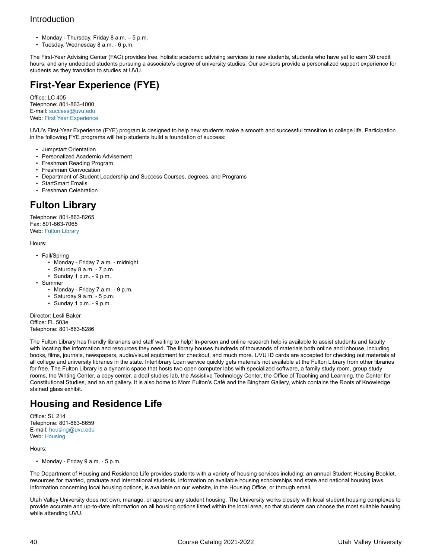- Monday Thursday, Friday 8 a.m. 5 p.m.
- Tuesday, Wednesday 8 a.m. 6 p.m.

The First-Year Advising Center (FAC) provides free, holistic academic advising services to new students, students who have yet to earn 30 credit hours, and any undecided students pursuing a associate's degree of university studies. Our advisors provide a personalized support experience for students as they transition to studies at UVU.

## **First-Year Experience (FYE)**

Office: LC 405 Telephone: 801-863-4000 E-mail: [success@uvu.edu](https://www.uvu.edu/catalog/current/policies-requirements/mailto:success@uvu.edu) Web: First Year [Experience](http://www.uvu.edu/firstyear)

UVU's First-Year Experience (FYE) program is designed to help new students make a smooth and successful transition to college life. Participation in the following FYE programs will help students build a foundation of success:

- Jumpstart Orientation
- Personalized Academic Advisement
- Freshman Reading Program
- Freshman Convocation
- Department of Student Leadership and Success Courses, degrees, and Programs
- StartSmart Emails
- Freshman Celebration

## **Fulton Library**

Telephone: 801-863-8265 Fax: 801-863-7065 Web: [Fulton Library](http://www.uvu.edu/library)

#### Hours:

- Fall/Spring
	- Monday Friday 7 a.m. midnight
	- Saturday 8 a.m. 7 p.m.
	- Sunday 1 p.m. 9 p.m.
- Summer
	- Monday Friday 7 a.m. 9 p.m.
	- Saturday 9 a.m. 5 p.m.
	- Sunday 1 p.m. 9 p.m.

Director: Lesli Baker Office: FL 503e Telephone: 801-863-8286

The Fulton Library has friendly librarians and staff waiting to help! In-person and online research help is available to assist students and faculty with locating the information and resources they need. The library houses hundreds of thousands of materials both online and inhouse, including books, films, journals, newspapers, audio/visual equipment for checkout, and much more. UVU ID cards are accepted for checking out materials at all college and university libraries in the state. Interlibrary Loan service quickly gets materials not available at the Fulton Library from other libraries for free. The Fulton Library is a dynamic space that hosts two open computer labs with specialized software, a family study room, group study rooms, the Writing Center, a copy center, a deaf studies lab, the Assistive Technology Center, the Office of Teaching and Learning, the Center for Constitutional Studies, and an art gallery. It is also home to Mom Fulton's Café and the Bingham Gallery, which contains the Roots of Knowledge stained glass exhibit.

## **Housing and Residence Life**

Office: SL 214 Telephone: 801-863-8659 E-mail: [housing@uvu.edu](https://www.uvu.edu/catalog/current/policies-requirements/mailto:housing@uvu.edu) Web: [Housing](http://www.uvu.edu/housing)

Hours:

• Monday - Friday 9 a.m. - 5 p.m.

The Department of Housing and Residence Life provides students with a variety of housing services including: an annual Student Housing Booklet, resources for married, graduate and international students, information on available housing scholarships and state and national housing laws. Information concerning local housing options, is available on our website, in the Housing Office, or through email.

Utah Valley University does not own, manage, or approve any student housing. The University works closely with local student housing complexes to provide accurate and up-to-date information on all housing options listed within the local area, so that students can choose the most suitable housing while attending UVU.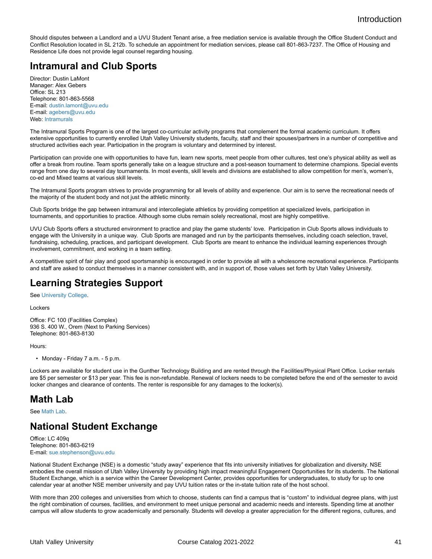Should disputes between a Landlord and a UVU Student Tenant arise, a free mediation service is available through the Office Student Conduct and Conflict Resolution located in SL 212b. To schedule an appointment for mediation services, please call 801-863-7237. The Office of Housing and Residence Life does not provide legal counsel regarding housing.

## **Intramural and Club Sports**

Director: Dustin LaMont Manager: Alex Gebers Office: SL 213 Telephone: 801-863-5568 E-mail: [dustin.lamont@uvu.edu](https://www.uvu.edu/catalog/current/policies-requirements/mailto:dustin.lamont@uvu.edu) E-mail: [agebers@uvu.edu](https://www.uvu.edu/catalog/current/policies-requirements/mailto:agebers@uvu.edu) Web: [Intramurals](https://www.uvu.edu/catalog/current/policies-requirements/https://www.uvu.edu/intramurals/)

The Intramural Sports Program is one of the largest co-curricular activity programs that complement the formal academic curriculum. It offers extensive opportunities to currently enrolled Utah Valley University students, faculty, staff and their spouses/partners in a number of competitive and structured activities each year. Participation in the program is voluntary and determined by interest.

Participation can provide one with opportunities to have fun, learn new sports, meet people from other cultures, test one's physical ability as well as offer a break from routine. Team sports generally take on a league structure and a post-season tournament to determine champions. Special events range from one day to several day tournaments. In most events, skill levels and divisions are established to allow competition for men's, women's, co-ed and Mixed teams at various skill levels.

The Intramural Sports program strives to provide programming for all levels of ability and experience. Our aim is to serve the recreational needs of the majority of the student body and not just the athletic minority.

Club Sports bridge the gap between intramural and intercollegiate athletics by providing competition at specialized levels, participation in tournaments, and opportunities to practice. Although some clubs remain solely recreational, most are highly competitive.

UVU Club Sports offers a structured environment to practice and play the game students' love. Participation in Club Sports allows individuals to engage with the University in a unique way. Club Sports are managed and run by the participants themselves, including coach selection, travel, fundraising, scheduling, practices, and participant development. Club Sports are meant to enhance the individual learning experiences through involvement, commitment, and working in a team setting.

A competitive spirit of fair play and good sportsmanship is encouraged in order to provide all with a wholesome recreational experience. Participants and staff are asked to conduct themselves in a manner consistent with, and in support of, those values set forth by Utah Valley University.

### **Learning Strategies Support**

See [University College](https://www.uvu.edu/catalog/current/policies-requirements/https://www.uvu.edu/learningstrategies/).

Lockers

Office: FC 100 (Facilities Complex) 936 S. 400 W., Orem (Next to Parking Services) Telephone: 801-863-8130

Hours:

• Monday - Friday 7 a.m. - 5 p.m.

Lockers are available for student use in the Gunther Technology Building and are rented through the Facilities/Physical Plant Office. Locker rentals are \$5 per semester or \$13 per year. This fee is non-refundable. Renewal of lockers needs to be completed before the end of the semester to avoid locker changes and clearance of contents. The renter is responsible for any damages to the locker(s).

## **Math Lab**

See [Math Lab](https://www.uvu.edu/catalog/current/policies-requirements/https://www.uvu.edu/mathlab/).

## **National Student Exchange**

Office: LC 409q Telephone: 801-863-6219 E-mail: [sue.stephenson@uvu.edu](https://www.uvu.edu/catalog/current/policies-requirements/mailto:sue.stephenson@uvu.edu)

National Student Exchange (NSE) is a domestic "study away" experience that fits into university initiatives for globalization and diversity. NSE embodies the overall mission of Utah Valley University by providing high impact meaningful Engagement Opportunities for its students. The National Student Exchange, which is a service within the Career Development Center, provides opportunities for undergraduates, to study for up to one calendar year at another NSE member university and pay UVU tuition rates or the in-state tuition rate of the host school.

With more than 200 colleges and universities from which to choose, students can find a campus that is "custom" to individual degree plans, with just the right combination of courses, facilities, and environment to meet unique personal and academic needs and interests. Spending time at another campus will allow students to grow academically and personally. Students will develop a greater appreciation for the different regions, cultures, and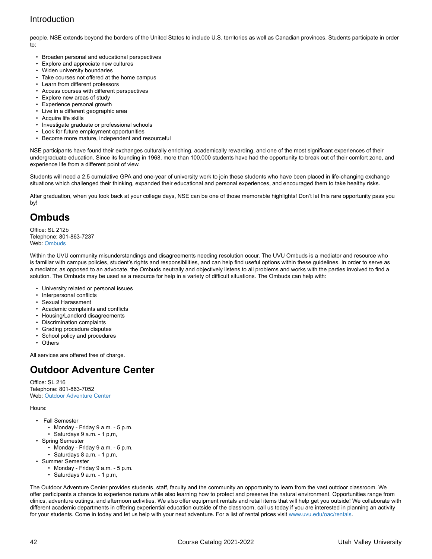people. NSE extends beyond the borders of the United States to include U.S. territories as well as Canadian provinces. Students participate in order to:

- Broaden personal and educational perspectives
- Explore and appreciate new cultures
- Widen university boundaries
- Take courses not offered at the home campus
- Learn from different professors
- Access courses with different perspectives
- Explore new areas of study
- Experience personal growth
- Live in a different geographic area
- Acquire life skills • Investigate graduate or professional schools
- Look for future employment opportunities
- Become more mature, independent and resourceful

NSE participants have found their exchanges culturally enriching, academically rewarding, and one of the most significant experiences of their undergraduate education. Since its founding in 1968, more than 100,000 students have had the opportunity to break out of their comfort zone, and experience life from a different point of view.

Students will need a 2.5 cumulative GPA and one-year of university work to join these students who have been placed in life-changing exchange situations which challenged their thinking, expanded their educational and personal experiences, and encouraged them to take healthy risks.

After graduation, when you look back at your college days, NSE can be one of those memorable highlights! Don't let this rare opportunity pass you by!

### **Ombuds**

Office: SL 212b Telephone: 801-863-7237 Web: [Ombuds](https://www.uvu.edu/catalog/current/policies-requirements/https://www.uvu.edu/ombuds/)

Within the UVU community misunderstandings and disagreements needing resolution occur. The UVU Ombuds is a mediator and resource who is familiar with campus policies, student's rights and responsibilities, and can help find useful options within these guidelines. In order to serve as a mediator, as opposed to an advocate, the Ombuds neutrally and objectively listens to all problems and works with the parties involved to find a solution. The Ombuds may be used as a resource for help in a variety of difficult situations. The Ombuds can help with:

- University related or personal issues
- Interpersonal conflicts
- Sexual Harassment
- Academic complaints and conflicts
- Housing/Landlord disagreements
- Discrimination complaints
- Grading procedure disputes
- School policy and procedures
- Others

All services are offered free of charge.

### **Outdoor Adventure Center**

Office: SL 216 Telephone: 801-863-7052 Web: [Outdoor Adventure Center](http://www.uvu.edu/oac)

#### Hours:

- Fall Semester
	- Monday Friday 9 a.m. 5 p.m.
	- Saturdays 9 a.m. 1 p,m,
- Spring Semester
	- Monday Friday 9 a.m. 5 p.m.
	- Saturdays 8 a.m. 1 p,m,
- Summer Semester
	- Monday Friday 9 a.m. 5 p.m.
	- Saturdays 9 a.m. 1 p,m,

The Outdoor Adventure Center provides students, staff, faculty and the community an opportunity to learn from the vast outdoor classroom. We offer participants a chance to experience nature while also learning how to protect and preserve the natural environment. Opportunities range from clinics, adventure outings, and afternoon activities. We also offer equipment rentals and retail items that will help get you outside! We collaborate with different academic departments in offering experiential education outside of the classroom, call us today if you are interested in planning an activity for your students. Come in today and let us help with your next adventure. For a list of rental prices visit [www.uvu.edu/oac/rentals](http://www.uvu.edu/oac/rentals).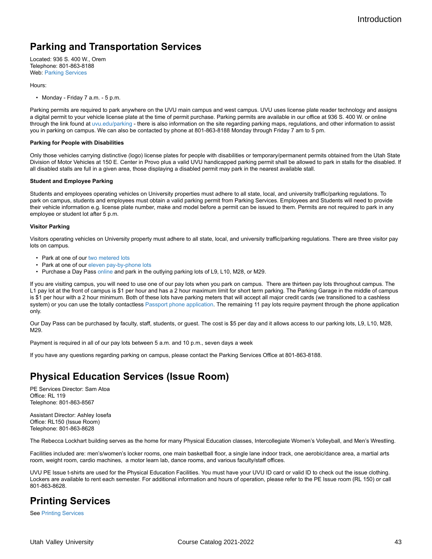## **Parking and Transportation Services**

Located: 936 S. 400 W., Orem Telephone: 801-863-8188 Web: [Parking Services](https://www.uvu.edu/catalog/current/policies-requirements/https://www.uvu.edu/parking/)

#### Hours:

• Monday - Friday 7 a.m. - 5 p.m.

Parking permits are required to park anywhere on the UVU main campus and west campus. UVU uses license plate reader technology and assigns a digital permit to your vehicle license plate at the time of permit purchase. Parking permits are available in our office at 936 S. 400 W. or online through the link found at [uvu.edu/parking](http://www.uvu.edu/parking) - there is also information on the site regarding parking maps, regulations, and other information to assist you in parking on campus. We can also be contacted by phone at 801-863-8188 Monday through Friday 7 am to 5 pm.

#### **Parking for People with Disabilities**

Only those vehicles carrying distinctive (logo) license plates for people with disabilities or temporary/permanent permits obtained from the Utah State Division of Motor Vehicles at 150 E. Center in Provo plus a valid UVU handicapped parking permit shall be allowed to park in stalls for the disabled. If all disabled stalls are full in a given area, those displaying a disabled permit may park in the nearest available stall.

#### **Student and Employee Parking**

Students and employees operating vehicles on University properties must adhere to all state, local, and university traffic/parking regulations. To park on campus, students and employees must obtain a valid parking permit from Parking Services. Employees and Students will need to provide their vehicle information e.g. license plate number, make and model before a permit can be issued to them. Permits are not required to park in any employee or student lot after 5 p.m.

#### **Visitor Parking**

Visitors operating vehicles on University property must adhere to all state, local, and university traffic/parking regulations. There are three visitor pay lots on campus.

- Park at one of our [two metered lots](https://www.uvu.edu/catalog/current/policies-requirements/https://www.uvu.edu/maps/main/?id=382%23!ct/18632,21138,21139,18724?ce/1950,18724?mc/40.280777965684294,-111.71286821365358?z/16)
- Park at one of our [eleven pay-by-phone lots](https://www.uvu.edu/catalog/current/policies-requirements/https://www.uvu.edu/maps/main/?id=382%23!ct/18632,50627?ce/1950?mc/40.280777965684294,-111.71286821365358?z/16)
- Purchase a Day Pass [online](https://www.uvu.edu/catalog/current/policies-requirements/https://uvu.t2hosted.com/cmn/auth_ext.aspx) and park in the outlying parking lots of L9, L10, M28, or M29.

If you are visiting campus, you will need to use one of our pay lots when you park on campus. There are thirteen pay lots throughout campus. The L1 pay lot at the front of campus is \$1 per hour and has a 2 hour maximum limit for short term parking. The Parking Garage in the middle of campus is \$1 per hour with a 2 hour minimum. Both of these lots have parking meters that will accept all major credit cards (we transitioned to a cashless system) or you can use the totally contactless [Passport phone application](https://www.uvu.edu/catalog/current/policies-requirements/https://www.passportparking.com/). The remaining 11 pay lots require payment through the phone application only.

Our Day Pass can be purchased by faculty, staff, students, or guest. The cost is \$5 per day and it allows access to our parking lots, L9, L10, M28, M29.

Payment is required in all of our pay lots between 5 a.m. and 10 p.m., seven days a week

If you have any questions regarding parking on campus, please contact the Parking Services Office at 801-863-8188.

## **Physical Education Services (Issue Room)**

PE Services Director: Sam Atoa Office: RL 119 Telephone: 801-863-8567

Assistant Director: Ashley Iosefa Office: RL150 (Issue Room) Telephone: 801-863-8628

The Rebecca Lockhart building serves as the home for many Physical Education classes, Intercollegiate Women's Volleyball, and Men's Wrestling.

Facilities included are: men's/women's locker rooms, one main basketball floor, a single lane indoor track, one aerobic/dance area, a martial arts room, weight room, cardio machines, a motor learn lab, dance rooms, and various faculty/staff offices.

UVU PE Issue t-shirts are used for the Physical Education Facilities. You must have your UVU ID card or valid ID to check out the issue clothing. Lockers are available to rent each semester. For additional information and hours of operation, please refer to the PE Issue room (RL 150) or call 801-863-8628.

### **Printing Services**

See [Printing Services](http://printing.uvu.edu/)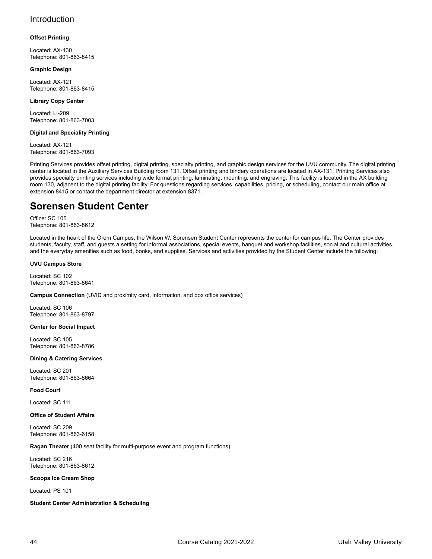#### **Offset Printing**

Located: AX-130 Telephone: 801-863-8415

#### **Graphic Design**

Located: AX-121 Telephone: 801-863-8415

#### **Library Copy Center**

Located: LI-209 Telephone: 801-863-7003

#### **Digital and Speciality Printing**

Located: AX-121 Telephone: 801-863-7093

Printing Services provides offset printing, digital printing, specialty printing, and graphic design services for the UVU community. The digital printing center is located in the Auxiliary Services Building room 131. Offset printing and bindery operations are located in AX-131. Printing Services also provides specialty printing services including wide format printing, laminating, mounting, and engraving. This facility is located in the AX building room 130, adjacent to the digital printing facility. For questions regarding services, capabilities, pricing, or scheduling, contact our main office at extension 8415 or contact the department director at extension 8371.

### **Sorensen Student Center**

Office: SC 105 Telephone: 801-863-8612

Located in the heart of the Orem Campus, the Wilson W. Sorensen Student Center represents the center for campus life. The Center provides students, faculty, staff, and guests a setting for informal associations, special events, banquet and workshop facilities, social and cultural activities, and the everyday amenities such as food, books, and supplies. Services and activities provided by the Student Center include the following:

#### **UVU Campus Store**

Located: SC 102 Telephone: 801-863-8641

#### **Campus Connection** (UVID and proximity card, information, and box office services)

Located: SC 106 Telephone: 801-863-8797

#### **Center for Social Impact**

Located: SC 105 Telephone: 801-863-8786

#### **Dining & Catering Services**

Located: SC 201 Telephone: 801-863-8664

#### **Food Court**

Located: SC 111

#### **Office of Student Affairs**

Located: SC 209 Telephone: 801-863-6158

#### **Ragan Theater** (400 seat facility for multi-purpose event and program functions)

Located: SC 216 Telephone: 801-863-8612

#### **Scoops Ice Cream Shop**

Located: PS 101

**Student Center Administration & Scheduling**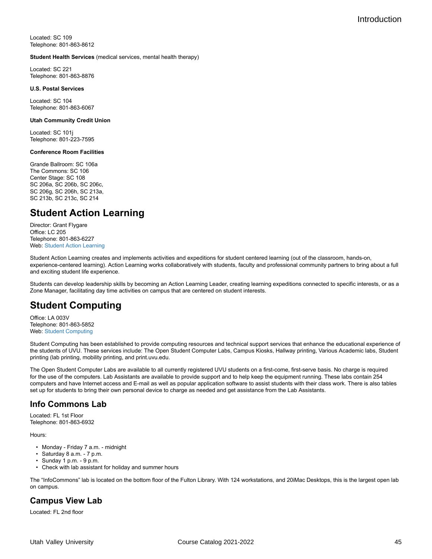Located: SC 109 Telephone: 801-863-8612

#### **Student Health Services** (medical services, mental health therapy)

Located: SC 221 Telephone: 801-863-8876

#### **U.S. Postal Services**

Located: SC 104 Telephone: 801-863-6067

#### **Utah Community Credit Union**

Located: SC 101j Telephone: 801-223-7595

#### **Conference Room Facilities**

Grande Ballroom: SC 106a The Commons: SC 106 Center Stage: SC 108 SC 206a, SC 206b, SC 206c, SC 206g, SC 206h, SC 213a, SC 213b, SC 213c, SC 214

## **Student Action Learning**

Director: Grant Flygare Office: LC 205 Telephone: 801-863-6227 Web: [Student Action Learning](http://www.uvu.edu/actionlearning)

Student Action Learning creates and implements activities and expeditions for student centered learning (out of the classroom, hands-on, experience-centered learning). Action Learning works collaboratively with students, faculty and professional community partners to bring about a full and exciting student life experience.

Students can develop leadership skills by becoming an Action Learning Leader, creating learning expeditions connected to specific interests, or as a Zone Manager, facilitating day time activities on campus that are centered on student interests.

## **Student Computing**

Office: LA 003V Telephone: 801-863-5852 Web: [Student Computing](http://www.uvu.edu/studentcomputing)

Student Computing has been established to provide computing resources and technical support services that enhance the educational experience of the students of UVU. These services include: The Open Student Computer Labs, Campus Kiosks, Hallway printing, Various Academic labs, Student printing (lab printing, mobility printing, and print.uvu.edu.

The Open Student Computer Labs are available to all currently registered UVU students on a first-come, first-serve basis. No charge is required for the use of the computers. Lab Assistants are available to provide support and to help keep the equipment running. These labs contain 254 computers and have Internet access and E-mail as well as popular application software to assist students with their class work. There is also tables set up for students to bring their own personal device to charge as needed and get assistance from the Lab Assistants.

#### **Info Commons Lab**

Located: FL 1st Floor Telephone: 801-863-6932

Hours:

- Monday Friday 7 a.m. midnight
- Saturday 8 a.m. 7 p.m.
- Sunday 1 p.m. 9 p.m.
- Check with lab assistant for holiday and summer hours

The "InfoCommons" lab is located on the bottom floor of the Fulton Library. With 124 workstations, and 20iMac Desktops, this is the largest open lab on campus.

#### **Campus View Lab**

Located: FL 2nd floor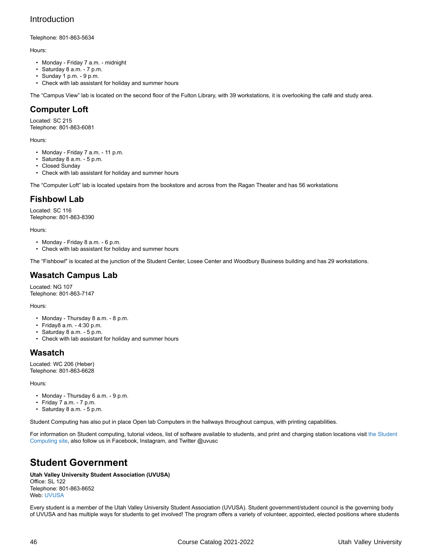Telephone: 801-863-5634

Hours:

- Monday Friday 7 a.m. midnight
- Saturday 8 a.m. 7 p.m.
- $\cdot$  Sunday 1 p.m. 9 p.m.
- Check with lab assistant for holiday and summer hours

The "Campus View" lab is located on the second floor of the Fulton Library, with 39 workstations, it is overlooking the café and study area.

### **Computer Loft**

Located: SC 215 Telephone: 801-863-6081

Hours:

- Monday Friday 7 a.m. 11 p.m.
- Saturday 8 a.m. 5 p.m.
- Closed Sunday
- Check with lab assistant for holiday and summer hours

The "Computer Loft" lab is located upstairs from the bookstore and across from the Ragan Theater and has 56 workstations

### **Fishbowl Lab**

Located: SC 116 Telephone: 801-863-8390

Hours:

- Monday Friday 8 a.m. 6 p.m.
- Check with lab assistant for holiday and summer hours

The "Fishbowl" is located at the junction of the Student Center, Losee Center and Woodbury Business building and has 29 workstations.

### **Wasatch Campus Lab**

Located: NG 107 Telephone: 801-863-7147

Hours:

- Monday Thursday 8 a.m. 8 p.m.
- Friday8 a.m. 4:30 p.m.
- Saturday 8 a.m. 5 p.m.
- Check with lab assistant for holiday and summer hours

### **Wasatch**

Located: WC 206 (Heber) Telephone: 801-863-6628

Hours:

- Monday Thursday 6 a.m. 9 p.m.
- Friday 7 a.m. 7 p.m.
- Saturday 8 a.m. 5 p.m.

Student Computing has also put in place Open lab Computers in the hallways throughout campus, with printing capabilities.

For information on Student computing, tutorial videos, list of software available to students, and print and charging station locations visit [the Student](https://www.uvu.edu/catalog/current/policies-requirements/https://www.uvu.edu/studentcomputing/) [Computing site,](https://www.uvu.edu/catalog/current/policies-requirements/https://www.uvu.edu/studentcomputing/) also follow us in Facebook, Instagram, and Twitter @uvusc

## **Student Government**

**Utah Valley University Student Association (UVUSA)** Office: SL 122 Telephone: 801-863-8652 Web: [UVUSA](https://www.uvu.edu/catalog/current/policies-requirements/https://www.uvu.edu/uvusa/)

Every student is a member of the Utah Valley University Student Association (UVUSA). Student government/student council is the governing body of UVUSA and has multiple ways for students to get involved! The program offers a variety of volunteer, appointed, elected positions where students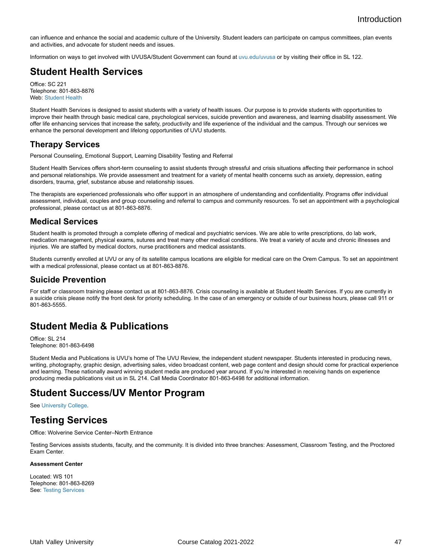can influence and enhance the social and academic culture of the University. Student leaders can participate on campus committees, plan events and activities, and advocate for student needs and issues.

Information on ways to get involved with UVUSA/Student Government can found at [uvu.edu/uvusa](http://www.uvu.edu/uvusa) or by visiting their office in SL 122.

## **Student Health Services**

Office: SC 221 Telephone: 801-863-8876 Web: [Student Health](https://www.uvu.edu/catalog/current/policies-requirements/https://www.uvu.edu/studenthealth/)

Student Health Services is designed to assist students with a variety of health issues. Our purpose is to provide students with opportunities to improve their health through basic medical care, psychological services, suicide prevention and awareness, and learning disability assessment. We offer life enhancing services that increase the safety, productivity and life experience of the individual and the campus. Through our services we enhance the personal development and lifelong opportunities of UVU students.

#### **Therapy Services**

Personal Counseling, Emotional Support, Learning Disability Testing and Referral

Student Health Services offers short-term counseling to assist students through stressful and crisis situations affecting their performance in school and personal relationships. We provide assessment and treatment for a variety of mental health concerns such as anxiety, depression, eating disorders, trauma, grief, substance abuse and relationship issues.

The therapists are experienced professionals who offer support in an atmosphere of understanding and confidentiality. Programs offer individual assessment, individual, couples and group counseling and referral to campus and community resources. To set an appointment with a psychological professional, please contact us at 801-863-8876.

#### **Medical Services**

Student health is promoted through a complete offering of medical and psychiatric services. We are able to write prescriptions, do lab work, medication management, physical exams, sutures and treat many other medical conditions. We treat a variety of acute and chronic illnesses and injuries. We are staffed by medical doctors, nurse practitioners and medical assistants.

Students currently enrolled at UVU or any of its satellite campus locations are eligible for medical care on the Orem Campus. To set an appointment with a medical professional, please contact us at 801-863-8876.

#### **Suicide Prevention**

For staff or classroom training please contact us at 801-863-8876. Crisis counseling is available at Student Health Services. If you are currently in a suicide crisis please notify the front desk for priority scheduling. In the case of an emergency or outside of our business hours, please call 911 or 801-863-5555.

### **Student Media & Publications**

Office: SL 214 Telephone: 801-863-6498

Student Media and Publications is UVU's home of The UVU Review, the independent student newspaper. Students interested in producing news, writing, photography, graphic design, advertising sales, video broadcast content, web page content and design should come for practical experience and learning. These nationally award winning student media are produced year around. If you're interested in receiving hands on experience producing media publications visit us in SL 214. Call Media Coordinator 801-863-6498 for additional information.

## **Student Success/UV Mentor Program**

See [University College](http://www.uvu.edu/catalog/current/colleges-schools/university-college.html).

### **Testing Services**

Office: Wolverine Service Center–North Entrance

Testing Services assists students, faculty, and the community. It is divided into three branches: Assessment, Classroom Testing, and the Proctored Exam Center.

#### **Assessment Center**

Located: WS 101 Telephone: 801-863-8269 See: Testing [Services](https://www.uvu.edu/catalog/current/policies-requirements/https://www.uvu.edu/testingservices/)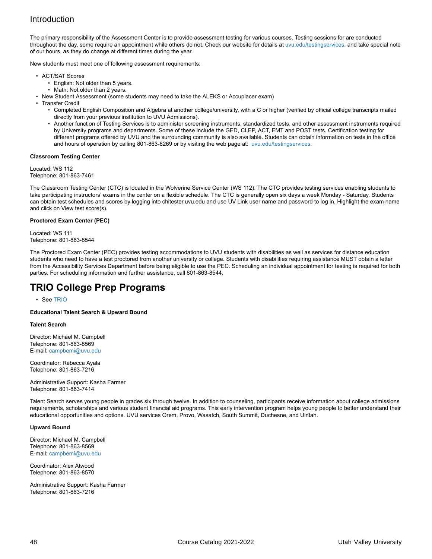The primary responsibility of the Assessment Center is to provide assessment testing for various courses. Testing sessions for are conducted throughout the day, some require an appointment while others do not. Check our website for details at [uvu.edu/testingservices](http://www.uvu.edu/testingservices), and take special note of our hours, as they do change at different times during the year.

New students must meet one of following assessment requirements:

- ACT/SAT Scores
	- English: Not older than 5 years.
	- Math: Not older than 2 years.
- New Student Assessment (some students may need to take the ALEKS or Accuplacer exam)
- Transfer Credit
	- Completed English Composition and Algebra at another college/university, with a C or higher (verified by official college transcripts mailed directly from your previous institution to UVU Admissions).
	- Another function of Testing Services is to administer screening instruments, standardized tests, and other assessment instruments required by University programs and departments. Some of these include the GED, CLEP, ACT, EMT and POST tests. Certification testing for different programs offered by UVU and the surrounding community is also available. Students can obtain information on tests in the office and hours of operation by calling 801-863-8269 or by visiting the web page at: [uvu.edu/testingservices](http://www.uvu.edu/testingservices).

#### **Classroom Testing Center**

Located: WS 112 Telephone: 801-863-7461

The Classroom Testing Center (CTC) is located in the Wolverine Service Center (WS 112). The CTC provides testing services enabling students to take participating instructors' exams in the center on a flexible schedule. The CTC is generally open six days a week Monday - Saturday. Students can obtain test schedules and scores by logging into chitester.uvu.edu and use UV Link user name and password to log in. Highlight the exam name and click on View test score(s).

#### **Proctored Exam Center (PEC)**

Located: WS 111 Telephone: 801-863-8544

The Proctored Exam Center (PEC) provides testing accommodations to UVU students with disabilities as well as services for distance education students who need to have a test proctored from another university or college. Students with disabilities requiring assistance MUST obtain a letter from the Accessibility Services Department before being eligible to use the PEC. Scheduling an individual appointment for testing is required for both parties. For scheduling information and further assistance, call 801-863-8544.

### **TRIO College Prep Programs**

• See [TRIO](https://www.uvu.edu/catalog/current/policies-requirements/https://www.uvu.edu/trio/)

**Educational Talent Search & Upward Bound**

#### **Talent Search**

Director: Michael M. Campbell Telephone: 801-863-8569 E-mail: [campbemi@uvu.edu](https://www.uvu.edu/catalog/current/policies-requirements/mailto:campbemi@uvu.edu)

Coordinator: Rebecca Ayala Telephone: 801-863-7216

Administrative Support: Kasha Farmer Telephone: 801-863-7414

Talent Search serves young people in grades six through twelve. In addition to counseling, participants receive information about college admissions requirements, scholarships and various student financial aid programs. This early intervention program helps young people to better understand their educational opportunities and options. UVU services Orem, Provo, Wasatch, South Summit, Duchesne, and Uintah.

#### **Upward Bound**

Director: Michael M. Campbell Telephone: 801-863-8569 E-mail: [campbemi@uvu.edu](https://www.uvu.edu/catalog/current/policies-requirements/mailto:campbemi@uvu.edu)

Coordinator: Alex Atwood Telephone: 801-863-8570

Administrative Support: Kasha Farmer Telephone: 801-863-7216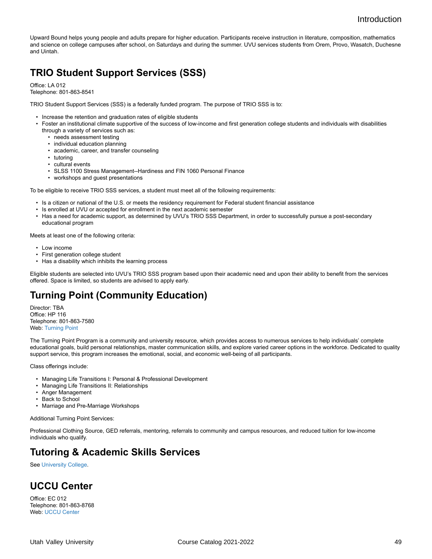Upward Bound helps young people and adults prepare for higher education. Participants receive instruction in literature, composition, mathematics and science on college campuses after school, on Saturdays and during the summer. UVU services students from Orem, Provo, Wasatch, Duchesne and Uintah.

## **TRIO Student Support Services (SSS)**

Office: LA 012

Telephone: 801-863-8541

TRIO Student Support Services (SSS) is a federally funded program. The purpose of TRIO SSS is to:

- Increase the retention and graduation rates of eligible students
- Foster an institutional climate supportive of the success of low-income and first generation college students and individuals with disabilities through a variety of services such as:
	- needs assessment testing
	- individual education planning
	- academic, career, and transfer counseling
	- tutoring
	- cultural events
	- SLSS 1100 Stress Management--Hardiness and FIN 1060 Personal Finance
	- workshops and guest presentations

To be eligible to receive TRIO SSS services, a student must meet all of the following requirements:

- Is a citizen or national of the U.S. or meets the residency requirement for Federal student financial assistance
- Is enrolled at UVU or accepted for enrollment in the next academic semester
- Has a need for academic support, as determined by UVU's TRIO SSS Department, in order to successfully pursue a post-secondary educational program

Meets at least one of the following criteria:

- Low income
- First generation college student
- Has a disability which inhibits the learning process

Eligible students are selected into UVU's TRIO SSS program based upon their academic need and upon their ability to benefit from the services offered. Space is limited, so students are advised to apply early.

## **Turning Point (Community Education)**

Director: TBA Office: HP 116 Telephone: 801-863-7580 Web: [Turning](http://www.uvu.edu/turningpoint) Point

The Turning Point Program is a community and university resource, which provides access to numerous services to help individuals' complete educational goals, build personal relationships, master communication skills, and explore varied career options in the workforce. Dedicated to quality support service, this program increases the emotional, social, and economic well-being of all participants.

Class offerings include:

- Managing Life Transitions I: Personal & Professional Development
- Managing Life Transitions II: Relationships
- Anger Management
- Back to School
- Marriage and Pre-Marriage Workshops

Additional Turning Point Services:

Professional Clothing Source, GED referrals, mentoring, referrals to community and campus resources, and reduced tuition for low-income individuals who qualify.

## **Tutoring & Academic Skills Services**

See [University College](http://www.uvu.edu/catalog/current/colleges-schools/university-college.html).

## **UCCU Center**

Office: EC 012 Telephone: 801-863-8768 Web: [UCCU Center](http://uccucenter.com/)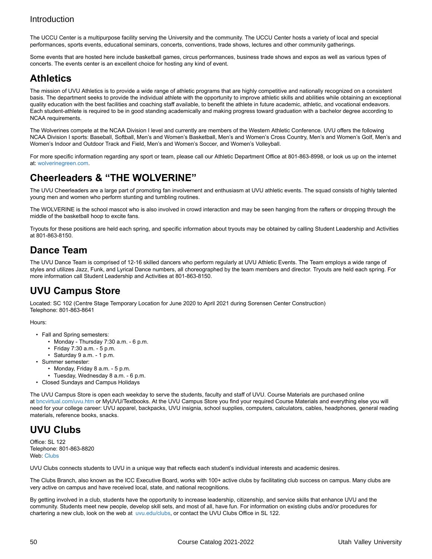The UCCU Center is a multipurpose facility serving the University and the community. The UCCU Center hosts a variety of local and special performances, sports events, educational seminars, concerts, conventions, trade shows, lectures and other community gatherings.

Some events that are hosted here include basketball games, circus performances, business trade shows and expos as well as various types of concerts. The events center is an excellent choice for hosting any kind of event.

## **Athletics**

The mission of UVU Athletics is to provide a wide range of athletic programs that are highly competitive and nationally recognized on a consistent basis. The department seeks to provide the individual athlete with the opportunity to improve athletic skills and abilities while obtaining an exceptional quality education with the best facilities and coaching staff available, to benefit the athlete in future academic, athletic, and vocational endeavors. Each student-athlete is required to be in good standing academically and making progress toward graduation with a bachelor degree according to NCAA requirements.

The Wolverines compete at the NCAA Division I level and currently are members of the Western Athletic Conference. UVU offers the following NCAA Division I sports: Baseball, Softball, Men's and Women's Basketball, Men's and Women's Cross Country, Men's and Women's Golf, Men's and Women's Indoor and Outdoor Track and Field, Men's and Women's Soccer, and Women's Volleyball.

For more specific information regarding any sport or team, please call our Athletic Department Office at 801-863-8998, or look us up on the internet at: [wolverinegreen.com](http://www.wolverinegreen.com).

## **Cheerleaders & "THE WOLVERINE"**

The UVU Cheerleaders are a large part of promoting fan involvement and enthusiasm at UVU athletic events. The squad consists of highly talented young men and women who perform stunting and tumbling routines.

The WOLVERINE is the school mascot who is also involved in crowd interaction and may be seen hanging from the rafters or dropping through the middle of the basketball hoop to excite fans.

Tryouts for these positions are held each spring, and specific information about tryouts may be obtained by calling Student Leadership and Activities at 801-863-8150.

## **Dance Team**

The UVU Dance Team is comprised of 12-16 skilled dancers who perform regularly at UVU Athletic Events. The Team employs a wide range of styles and utilizes Jazz, Funk, and Lyrical Dance numbers, all choreographed by the team members and director. Tryouts are held each spring. For more information call Student Leadership and Activities at 801-863-8150.

## **UVU Campus Store**

Located: SC 102 (Centre Stage Temporary Location for June 2020 to April 2021 during Sorensen Center Construction) Telephone: 801-863-8641

#### Hours:

- Fall and Spring semesters:
	- Monday Thursday 7:30 a.m. 6 p.m.
	- Friday 7:30 a.m. 5 p.m.
	- Saturday 9 a.m. 1 p.m.
- Summer semester:
	- Monday, Friday 8 a.m. 5 p.m.
	- Tuesday, Wednesday 8 a.m. 6 p.m.
- Closed Sundays and Campus Holidays

The UVU Campus Store is open each weekday to serve the students, faculty and staff of UVU. Course Materials are purchased online at [bncvirtual.com/uvu.htm](http://bncvirtual.com/uvu.htm) or MyUVU/Textbooks. At the UVU Campus Store you find your required Course Materials and everything else you will need for your college career: UVU apparel, backpacks, UVU insignia, school supplies, computers, calculators, cables, headphones, general reading materials, reference books, snacks.

## **UVU Clubs**

Office: SL 122 Telephone: 801-863-8820 Web: [Clubs](https://www.uvu.edu/catalog/current/policies-requirements/https://www.uvu.edu/clubs/)

UVU Clubs connects students to UVU in a unique way that reflects each student's individual interests and academic desires.

The Clubs Branch, also known as the ICC Executive Board, works with 100+ active clubs by facilitating club success on campus. Many clubs are very active on campus and have received local, state, and national recognitions.

By getting involved in a club, students have the opportunity to increase leadership, citizenship, and service skills that enhance UVU and the community. Students meet new people, develop skill sets, and most of all, have fun. For information on existing clubs and/or procedures for chartering a new club, look on the web at [uvu.edu/clubs,](http://www.uvu.edu/clubs) or contact the UVU Clubs Office in SL 122.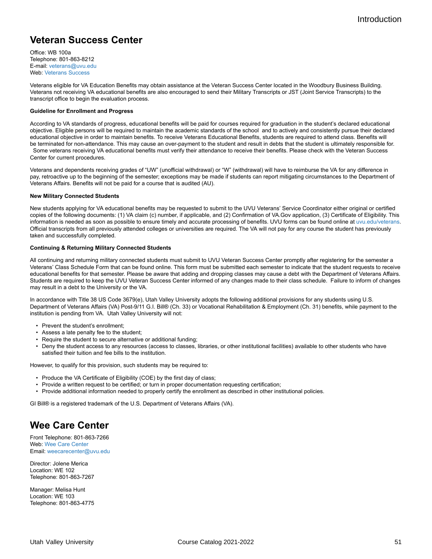## **Veteran Success Center**

Office: WB 100a Telephone: 801-863-8212 E-mail: [veterans@uvu.edu](https://www.uvu.edu/catalog/current/policies-requirements/mailto:veterans@uvu.edu) Web: [Veterans](http://www.uvu.edu/veterans) Success

Veterans eligible for VA Education Benefits may obtain assistance at the Veteran Success Center located in the Woodbury Business Building. Veterans not receiving VA educational benefits are also encouraged to send their Military Transcripts or JST (Joint Service Transcripts) to the transcript office to begin the evaluation process.

#### **Guideline for Enrollment and Progress**

According to VA standards of progress, educational benefits will be paid for courses required for graduation in the student's declared educational objective. Eligible persons will be required to maintain the academic standards of the school and to actively and consistently pursue their declared educational objective in order to maintain benefits. To receive Veterans Educational Benefits, students are required to attend class. Benefits will be terminated for non-attendance. This may cause an over-payment to the student and result in debts that the student is ultimately responsible for. Some veterans receiving VA educational benefits must verify their attendance to receive their benefits. Please check with the Veteran Success Center for current procedures.

Veterans and dependents receiving grades of "UW" (unofficial withdrawal) or "W" (withdrawal) will have to reimburse the VA for any difference in pay, retroactive up to the beginning of the semester; exceptions may be made if students can report mitigating circumstances to the Department of Veterans Affairs. Benefits will not be paid for a course that is audited (AU).

#### **New Military Connected Students**

New students applying for VA educational benefits may be requested to submit to the UVU Veterans' Service Coordinator either original or certified copies of the following documents: (1) VA claim (c) number, if applicable, and (2) Confirmation of VA.Gov application, (3) Certificate of Eligibility. This information is needed as soon as possible to ensure timely and accurate processing of benefits. UVU forms can be found online at [uvu.edu/veterans](http://www.uvu.edu/veterans). Official transcripts from all previously attended colleges or universities are required. The VA will not pay for any course the student has previously taken and successfully completed.

#### **Continuing & Returning Military Connected Students**

All continuing and returning military connected students must submit to UVU Veteran Success Center promptly after registering for the semester a Veterans' Class Schedule Form that can be found online. This form must be submitted each semester to indicate that the student requests to receive educational benefits for that semester. Please be aware that adding and dropping classes may cause a debt with the Department of Veterans Affairs. Students are required to keep the UVU Veteran Success Center informed of any changes made to their class schedule. Failure to inform of changes may result in a debt to the University or the VA.

In accordance with Title 38 US Code 3679(e), Utah Valley University adopts the following additional provisions for any students using U.S. Department of Veterans Affairs (VA) Post-9/11 G.I. Bill® (Ch. 33) or Vocational Rehabilitation & Employment (Ch. 31) benefits, while payment to the institution is pending from VA. Utah Valley University will not:

- Prevent the student's enrollment;
- Assess a late penalty fee to the student;
- Require the student to secure alternative or additional funding;
- Deny the student access to any resources (access to classes, libraries, or other institutional facilities) available to other students who have satisfied their tuition and fee bills to the institution.

However, to qualify for this provision, such students may be required to:

- Produce the VA Certificate of Eligibility (COE) by the first day of class;
- Provide a written request to be certified; or turn in proper documentation requesting certification;
- Provide additional information needed to properly certify the enrollment as described in other institutional policies.

GI Bill® is a registered trademark of the U.S. Department of Veterans Affairs (VA).

### **Wee Care Center**

Front Telephone: 801-863-7266 Web: Wee Care [Center](http://www.uvu.edu/weecare/) Email: [weecarecenter@uvu.edu](https://www.uvu.edu/catalog/current/policies-requirements/mailto:weecarecenter@uvu.edu)

Director: Jolene Merica Location: WE 102 Telephone: 801-863-7267

Manager: Melisa Hunt Location: WE 103 Telephone: 801-863-4775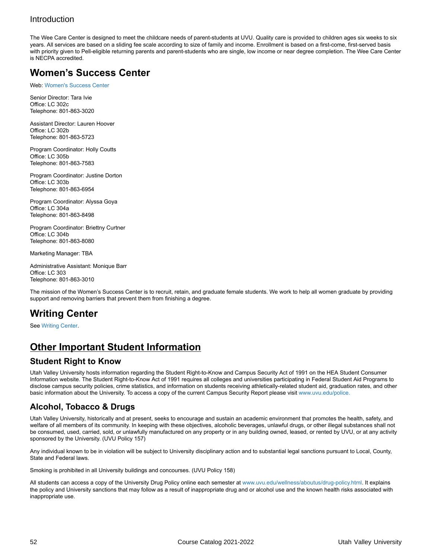The Wee Care Center is designed to meet the childcare needs of parent-students at UVU. Quality care is provided to children ages six weeks to six years. All services are based on a sliding fee scale according to size of family and income. Enrollment is based on a first-come, first-served basis with priority given to Pell-eligible returning parents and parent-students who are single, low income or near degree completion. The Wee Care Center is NECPA accredited.

## **Women's Success Center**

Web: [Women's](https://www.uvu.edu/catalog/current/policies-requirements/https://www.uvu.edu/wsc/) Success Center

Senior Director: Tara Ivie Office: LC 302c Telephone: 801-863-3020

Assistant Director: Lauren Hoover Office: LC 302b Telephone: 801-863-5723

Program Coordinator: Holly Coutts Office: LC 305b Telephone: 801-863-7583

Program Coordinator: Justine Dorton Office: LC 303b Telephone: 801-863-6954

Program Coordinator: Alyssa Goya Office: LC 304a Telephone: 801-863-8498

Program Coordinator: Briettny Curtner Office: LC 304b Telephone: 801-863-8080

Marketing Manager: TBA

Administrative Assistant: Monique Barr Office: LC 303 Telephone: 801-863-3010

The mission of the Women's Success Center is to recruit, retain, and graduate female students. We work to help all women graduate by providing support and removing barriers that prevent them from finishing a degree.

## **Writing Center**

See [Writing](https://www.uvu.edu/catalog/current/policies-requirements/https://www.uvu.edu/writingcenter/) Center.

## **Other Important Student Information**

### **Student Right to Know**

Utah Valley University hosts information regarding the Student Right-to-Know and Campus Security Act of 1991 on the HEA Student Consumer Information website. The Student Right-to-Know Act of 1991 requires all colleges and universities participating in Federal Student Aid Programs to disclose campus security policies, crime statistics, and information on students receiving athletically-related student aid, graduation rates, and other basic information about the University. To access a copy of the current Campus Security Report please visit [www.uvu.edu/police.](http://www.uvu.edu/police)

### **Alcohol, Tobacco & Drugs**

Utah Valley University, historically and at present, seeks to encourage and sustain an academic environment that promotes the health, safety, and welfare of all members of its community. In keeping with these objectives, alcoholic beverages, unlawful drugs, or other illegal substances shall not be consumed, used, carried, sold, or unlawfully manufactured on any property or in any building owned, leased, or rented by UVU, or at any activity sponsored by the University. (UVU Policy 157)

Any individual known to be in violation will be subject to University disciplinary action and to substantial legal sanctions pursuant to Local, County, State and Federal laws.

Smoking is prohibited in all University buildings and concourses. (UVU Policy 158)

All students can access a copy of the University Drug Policy online each semester at [www.uvu.edu/wellness/aboutus/drug-policy.html.](https://www.uvu.edu/catalog/current/policies-requirements/https://www.uvu.edu/wellness/aboutus/drug-policy.html) It explains the policy and University sanctions that may follow as a result of inappropriate drug and or alcohol use and the known health risks associated with inappropriate use.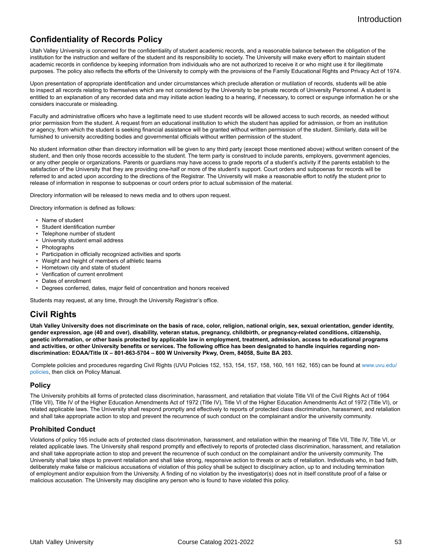### **Confidentiality of Records Policy**

Utah Valley University is concerned for the confidentiality of student academic records, and a reasonable balance between the obligation of the institution for the instruction and welfare of the student and its responsibility to society. The University will make every effort to maintain student academic records in confidence by keeping information from individuals who are not authorized to receive it or who might use it for illegitimate purposes. The policy also reflects the efforts of the University to comply with the provisions of the Family Educational Rights and Privacy Act of 1974.

Upon presentation of appropriate identification and under circumstances which preclude alteration or mutilation of records, students will be able to inspect all records relating to themselves which are not considered by the University to be private records of University Personnel. A student is entitled to an explanation of any recorded data and may initiate action leading to a hearing, if necessary, to correct or expunge information he or she considers inaccurate or misleading.

Faculty and administrative officers who have a legitimate need to use student records will be allowed access to such records, as needed without prior permission from the student. A request from an educational institution to which the student has applied for admission, or from an institution or agency, from which the student is seeking financial assistance will be granted without written permission of the student. Similarly, data will be furnished to university accrediting bodies and governmental officials without written permission of the student.

No student information other than directory information will be given to any third party (except those mentioned above) without written consent of the student, and then only those records accessible to the student. The term party is construed to include parents, employers, government agencies, or any other people or organizations. Parents or guardians may have access to grade reports of a student's activity if the parents establish to the satisfaction of the University that they are providing one-half or more of the student's support. Court orders and subpoenas for records will be referred to and acted upon according to the directions of the Registrar. The University will make a reasonable effort to notify the student prior to release of information in response to subpoenas or court orders prior to actual submission of the material.

Directory information will be released to news media and to others upon request.

Directory information is defined as follows:

- Name of student
- Student identification number
- Telephone number of student
- University student email address
- Photographs
- Participation in officially recognized activities and sports
- Weight and height of members of athletic teams
- Hometown city and state of student
- Verification of current enrollment
- Dates of enrollment
- Degrees conferred, dates, major field of concentration and honors received

Students may request, at any time, through the University Registrar's office.

#### **Civil Rights**

Utah Valley University does not discriminate on the basis of race, color, religion, national origin, sex, sexual orientation, gender identity, gender expression, age (40 and over), disability, veteran status, pregnancy, childbirth, or pregnancy-related conditions, citizenship, **genetic information, or other basis protected by applicable law in employment, treatment, admission, access to educational programs and activities, or other University benefits or services. The following office has been designated to handle inquiries regarding nondiscrimination: EOAA/Title IX – 801-863-5704 – 800 W University Pkwy, Orem, 84058, Suite BA 203.**

 Complete policies and procedures regarding Civil Rights (UVU Policies 152, 153, 154, 157, 158, 160, 161 162, 165) can be found at [www.uvu.edu/](http://www.uvu.edu/policies) [policies](http://www.uvu.edu/policies), then click on Policy Manual.

#### **Policy**

The University prohibits all forms of protected class discrimination, harassment, and retaliation that violate Title VII of the Civil Rights Act of 1964 (Title VII), Title IV of the Higher Education Amendments Act of 1972 (Title IV), Title VI of the Higher Education Amendments Act of 1972 (Title VI), or related applicable laws. The University shall respond promptly and effectively to reports of protected class discrimination, harassment, and retaliation and shall take appropriate action to stop and prevent the recurrence of such conduct on the complainant and/or the university community.

#### **Prohibited Conduct**

Violations of policy 165 include acts of protected class discrimination, harassment, and retaliation within the meaning of Title VII, Title IV, Title VI, or related applicable laws. The University shall respond promptly and effectively to reports of protected class discrimination, harassment, and retaliation and shall take appropriate action to stop and prevent the recurrence of such conduct on the complainant and/or the university community. The University shall take steps to prevent retaliation and shall take strong, responsive action to threats or acts of retaliation. Individuals who, in bad faith, deliberately make false or malicious accusations of violation of this policy shall be subject to disciplinary action, up to and including termination of employment and/or expulsion from the University. A finding of no violation by the investigator(s) does not in itself constitute proof of a false or malicious accusation. The University may discipline any person who is found to have violated this policy.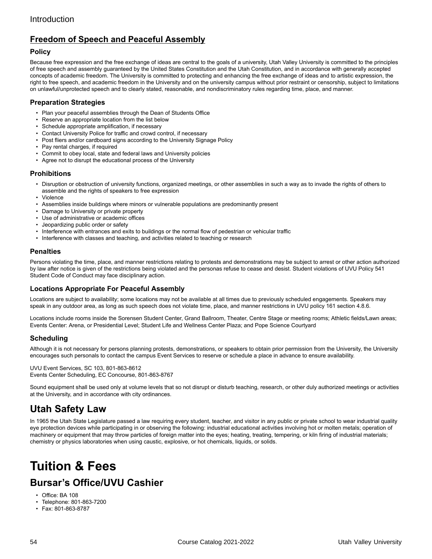### **Freedom of Speech and Peaceful Assembly**

#### **Policy**

Because free expression and the free exchange of ideas are central to the goals of a university, Utah Valley University is committed to the principles of free speech and assembly guaranteed by the United States Constitution and the Utah Constitution, and in accordance with generally accepted concepts of academic freedom. The University is committed to protecting and enhancing the free exchange of ideas and to artistic expression, the right to free speech, and academic freedom in the University and on the university campus without prior restraint or censorship, subject to limitations on unlawful/unprotected speech and to clearly stated, reasonable, and nondiscriminatory rules regarding time, place, and manner.

#### **Preparation Strategies**

- Plan your peaceful assemblies through the Dean of Students Office
- Reserve an appropriate location from the list below
- Schedule appropriate amplification, if necessary
- Contact University Police for traffic and crowd control, if necessary
- Post fliers and/or cardboard signs according to the University Signage Policy
- Pay rental charges, if required
- Commit to obey local, state and federal laws and University policies
- Agree not to disrupt the educational process of the University

#### **Prohibitions**

- Disruption or obstruction of university functions, organized meetings, or other assemblies in such a way as to invade the rights of others to assemble and the rights of speakers to free expression
- Violence
- Assemblies inside buildings where minors or vulnerable populations are predominantly present
- Damage to University or private property
- Use of administrative or academic offices
- Jeopardizing public order or safety
- Interference with entrances and exits to buildings or the normal flow of pedestrian or vehicular traffic
- Interference with classes and teaching, and activities related to teaching or research

#### **Penalties**

Persons violating the time, place, and manner restrictions relating to protests and demonstrations may be subject to arrest or other action authorized by law after notice is given of the restrictions being violated and the personas refuse to cease and desist. Student violations of UVU Policy 541 Student Code of Conduct may face disciplinary action.

#### **Locations Appropriate For Peaceful Assembly**

Locations are subject to availability; some locations may not be available at all times due to previously scheduled engagements. Speakers may speak in any outdoor area, as long as such speech does not violate time, place, and manner restrictions in UVU policy 161 section 4.8.6.

Locations include rooms inside the Sorensen Student Center, Grand Ballroom, Theater, Centre Stage or meeting rooms; Athletic fields/Lawn areas; Events Center: Arena, or Presidential Level; Student Life and Wellness Center Plaza; and Pope Science Courtyard

#### **Scheduling**

Although it is not necessary for persons planning protests, demonstrations, or speakers to obtain prior permission from the University, the University encourages such personals to contact the campus Event Services to reserve or schedule a place in advance to ensure availability.

UVU Event Services, SC 103, 801-863-8612 Events Center Scheduling, EC Concourse, 801-863-8767

Sound equipment shall be used only at volume levels that so not disrupt or disturb teaching, research, or other duly authorized meetings or activities at the University, and in accordance with city ordinances.

## **Utah Safety Law**

In 1965 the Utah State Legislature passed a law requiring every student, teacher, and visitor in any public or private school to wear industrial quality eye protection devices while participating in or observing the following: industrial educational activities involving hot or molten metals; operation of machinery or equipment that may throw particles of foreign matter into the eyes; heating, treating, tempering, or kiln firing of industrial materials; chemistry or physics laboratories when using caustic, explosive, or hot chemicals, liquids, or solids.

# <span id="page-53-0"></span>**Tuition & Fees Bursar's Office/UVU Cashier**

- Office: BA 108
- Telephone: 801-863-7200
- Fax: 801-863-8787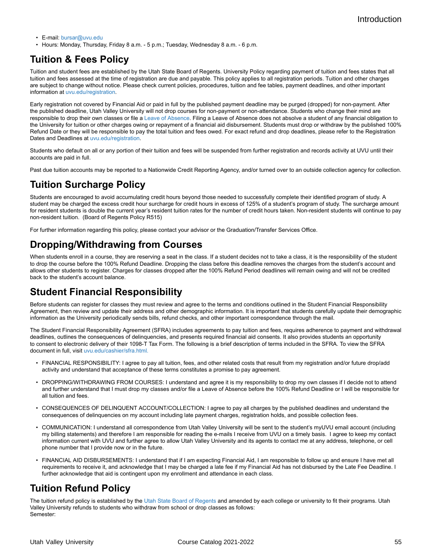- **F-mail:** [bursar@uvu.edu](https://www.uvu.edu/catalog/current/policies-requirements/mailto:bursar@uvu.edu)
- Hours: Monday, Thursday, Friday 8 a.m. 5 p.m.; Tuesday, Wednesday 8 a.m. 6 p.m.

## **Tuition & Fees Policy**

Tuition and student fees are established by the Utah State Board of Regents. University Policy regarding payment of tuition and fees states that all tuition and fees assessed at the time of registration are due and payable. This policy applies to all registration periods. Tuition and other charges are subject to change without notice. Please check current policies, procedures, tuition and fee tables, payment deadlines, and other important information at [uvu.edu/registration](http://uvu.edu/registration).

Early registration not covered by Financial Aid or paid in full by the published payment deadline may be purged (dropped) for non-payment. After the published deadline, Utah Valley University will not drop courses for non-payment or non-attendance. Students who change their mind are responsible to drop their own classes or file a [Leave of Absence.](http://www.uvu.edu/admissions/returning/) Filing a Leave of Absence does not absolve a student of any financial obligation to the University for tuition or other charges owing or repayment of a financial aid disbursement. Students must drop or withdraw by the published 100% Refund Date or they will be responsible to pay the total tuition and fees owed. For exact refund and drop deadlines, please refer to the Registration Dates and Deadlines at [uvu.edu/registration](http://uvu.edu/registration).

Students who default on all or any portion of their tuition and fees will be suspended from further registration and records activity at UVU until their accounts are paid in full.

Past due tuition accounts may be reported to a Nationwide Credit Reporting Agency, and/or turned over to an outside collection agency for collection.

### **Tuition Surcharge Policy**

Students are encouraged to avoid accumulating credit hours beyond those needed to successfully complete their identified program of study. A student may be charged the excess credit hour surcharge for credit hours in excess of 125% of a student's program of study. The surcharge amount for resident students is double the current year's resident tuition rates for the number of credit hours taken. Non-resident students will continue to pay non-resident tuition. (Board of Regents Policy R515)

For further information regarding this policy, please contact your advisor or the Graduation/Transfer Services Office.

## **Dropping/Withdrawing from Courses**

When students enroll in a course, they are reserving a seat in the class. If a student decides not to take a class, it is the responsibility of the student to drop the course before the 100% Refund Deadline. Dropping the class before this deadline removes the charges from the student's account and allows other students to register. Charges for classes dropped after the 100% Refund Period deadlines will remain owing and will not be credited back to the student's account balance.

## **Student Financial Responsibility**

Before students can register for classes they must review and agree to the terms and conditions outlined in the Student Financial Responsibility Agreement, then review and update their address and other demographic information. It is important that students carefully update their demographic information as the University periodically sends bills, refund checks, and other important correspondence through the mail.

The Student Financial Responsibility Agreement (SFRA) includes agreements to pay tuition and fees, requires adherence to payment and withdrawal deadlines, outlines the consequences of delinquencies, and presents required financial aid consents. It also provides students an opportunity to consent to electronic delivery of their 1098-T Tax Form. The following is a brief description of terms included in the SFRA. To view the SFRA document in full, visit [uvu.edu/cashier/sfra.html.](http://www.uvu.edu/cashier/tuition/sfra.html)

- FINANCIAL RESPONSIBILITY: I agree to pay all tuition, fees, and other related costs that result from my registration and/or future drop/add activity and understand that acceptance of these terms constitutes a promise to pay agreement.
- DROPPING/WITHDRAWING FROM COURSES: I understand and agree it is my responsibility to drop my own classes if I decide not to attend and further understand that I must drop my classes and/or file a Leave of Absence before the 100% Refund Deadline or I will be responsible for all tuition and fees.
- CONSEQUENCES OF DELINQUENT ACCOUNT/COLLECTION: I agree to pay all charges by the published deadlines and understand the consequences of delinquencies on my account including late payment charges, registration holds, and possible collection fees.
- COMMUNICATION: I understand all correspondence from Utah Valley University will be sent to the student's myUVU email account (including my billing statements) and therefore I am responsible for reading the e-mails I receive from UVU on a timely basis. I agree to keep my contact information current with UVU and further agree to allow Utah Valley University and its agents to contact me at any address, telephone, or cell phone number that I provide now or in the future.
- FINANCIAL AID DISBURSEMENTS: I understand that if I am expecting Financial Aid, I am responsible to follow up and ensure I have met all requirements to receive it, and acknowledge that I may be charged a late fee if my Financial Aid has not disbursed by the Late Fee Deadline. I further acknowledge that aid is contingent upon my enrollment and attendance in each class.

## **Tuition Refund Policy**

The tuition refund policy is established by the [Utah State Board of Regents](http://higheredutah.org) and amended by each college or university to fit their programs. Utah Valley University refunds to students who withdraw from school or drop classes as follows: Semester: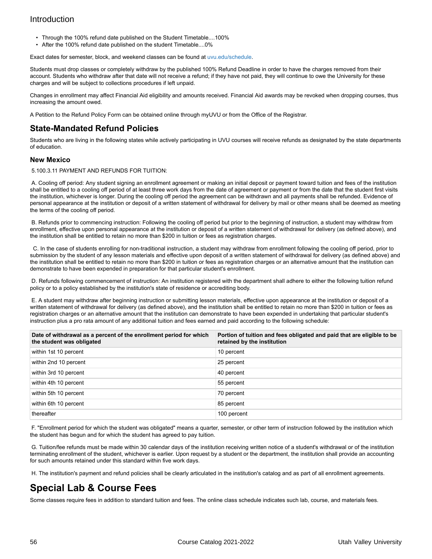- Through the 100% refund date published on the Student Timetable....100%
- After the 100% refund date published on the student Timetable....0%

Exact dates for semester, block, and weekend classes can be found at [uvu.edu/schedule.](http://www.uvu.edu/schedule/)

Students must drop classes or completely withdraw by the published 100% Refund Deadline in order to have the charges removed from their account. Students who withdraw after that date will not receive a refund; if they have not paid, they will continue to owe the University for these charges and will be subject to collections procedures if left unpaid.

Changes in enrollment may affect Financial Aid eligibility and amounts received. Financial Aid awards may be revoked when dropping courses, thus increasing the amount owed.

A Petition to the Refund Policy Form can be obtained online through myUVU or from the Office of the Registrar.

#### **State-Mandated Refund Policies**

Students who are living in the following states while actively participating in UVU courses will receive refunds as designated by the state departments of education.

#### **New Mexico**

5.100.3.11 PAYMENT AND REFUNDS FOR TUITION:

A. Cooling off period: Any student signing an enrollment agreement or making an initial deposit or payment toward tuition and fees of the institution shall be entitled to a cooling off period of at least three work days from the date of agreement or payment or from the date that the student first visits the institution, whichever is longer. During the cooling off period the agreement can be withdrawn and all payments shall be refunded. Evidence of personal appearance at the institution or deposit of a written statement of withdrawal for delivery by mail or other means shall be deemed as meeting the terms of the cooling off period.

B. Refunds prior to commencing instruction: Following the cooling off period but prior to the beginning of instruction, a student may withdraw from enrollment, effective upon personal appearance at the institution or deposit of a written statement of withdrawal for delivery (as defined above), and the institution shall be entitled to retain no more than \$200 in tuition or fees as registration charges.

C. In the case of students enrolling for non-traditional instruction, a student may withdraw from enrollment following the cooling off period, prior to submission by the student of any lesson materials and effective upon deposit of a written statement of withdrawal for delivery (as defined above) and the institution shall be entitled to retain no more than \$200 in tuition or fees as registration charges or an alternative amount that the institution can demonstrate to have been expended in preparation for that particular student's enrollment.

 D. Refunds following commencement of instruction: An institution registered with the department shall adhere to either the following tuition refund policy or to a policy established by the institution's state of residence or accrediting body.

E. A student may withdraw after beginning instruction or submitting lesson materials, effective upon appearance at the institution or deposit of a written statement of withdrawal for delivery (as defined above), and the institution shall be entitled to retain no more than \$200 in tuition or fees as registration charges or an alternative amount that the institution can demonstrate to have been expended in undertaking that particular student's instruction plus a pro rata amount of any additional tuition and fees earned and paid according to the following schedule:

| Date of withdrawal as a percent of the enrollment period for which<br>the student was obligated | Portion of tuition and fees obligated and paid that are eligible to be<br>retained by the institution |
|-------------------------------------------------------------------------------------------------|-------------------------------------------------------------------------------------------------------|
| within 1st 10 percent                                                                           | 10 percent                                                                                            |
| within 2nd 10 percent                                                                           | 25 percent                                                                                            |
| within 3rd 10 percent                                                                           | 40 percent                                                                                            |
| within 4th 10 percent                                                                           | 55 percent                                                                                            |
| within 5th 10 percent                                                                           | 70 percent                                                                                            |
| within 6th 10 percent                                                                           | 85 percent                                                                                            |
| thereafter                                                                                      | 100 percent                                                                                           |

F. "Enrollment period for which the student was obligated" means a quarter, semester, or other term of instruction followed by the institution which the student has begun and for which the student has agreed to pay tuition.

G. Tuition/fee refunds must be made within 30 calendar days of the institution receiving written notice of a student's withdrawal or of the institution terminating enrollment of the student, whichever is earlier. Upon request by a student or the department, the institution shall provide an accounting for such amounts retained under this standard within five work days.

H. The institution's payment and refund policies shall be clearly articulated in the institution's catalog and as part of all enrollment agreements.

## **Special Lab & Course Fees**

Some classes require fees in addition to standard tuition and fees. The online class schedule indicates such lab, course, and materials fees.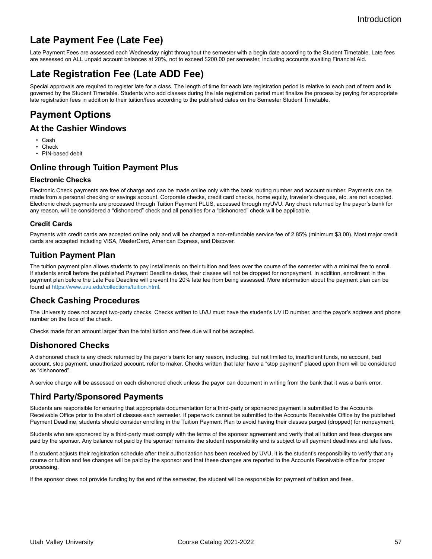## **Late Payment Fee (Late Fee)**

Late Payment Fees are assessed each Wednesday night throughout the semester with a begin date according to the Student Timetable. Late fees are assessed on ALL unpaid account balances at 20%, not to exceed \$200.00 per semester, including accounts awaiting Financial Aid.

## **Late Registration Fee (Late ADD Fee)**

Special approvals are required to register late for a class. The length of time for each late registration period is relative to each part of term and is governed by the Student Timetable. Students who add classes during the late registration period must finalize the process by paying for appropriate late registration fees in addition to their tuition/fees according to the published dates on the Semester Student Timetable.

## **Payment Options**

#### **At the Cashier Windows**

- Cash
- Check
- PIN-based debit

### **Online through Tuition Payment Plus**

#### **Electronic Checks**

Electronic Check payments are free of charge and can be made online only with the bank routing number and account number. Payments can be made from a personal checking or savings account. Corporate checks, credit card checks, home equity, traveler's cheques, etc. are not accepted. Electronic check payments are processed through Tuition Payment PLUS, accessed through myUVU. Any check returned by the payor's bank for any reason, will be considered a "dishonored" check and all penalties for a "dishonored" check will be applicable.

#### **Credit Cards**

Payments with credit cards are accepted online only and will be charged a non-refundable service fee of 2.85% (minimum \$3.00). Most major credit cards are accepted including VISA, MasterCard, American Express, and Discover.

#### **Tuition Payment Plan**

The tuition payment plan allows students to pay installments on their tuition and fees over the course of the semester with a minimal fee to enroll. If students enroll before the published Payment Deadline dates, their classes will not be dropped for nonpayment. In addition, enrollment in the payment plan before the Late Fee Deadline will prevent the 20% late fee from being assessed. More information about the payment plan can be found at [https://www.uvu.edu/collections/tuition.html.](https://www.uvu.edu/catalog/current/policies-requirements/https://www.uvu.edu/collections/tuition.html)

#### **Check Cashing Procedures**

The University does not accept two-party checks. Checks written to UVU must have the student's UV ID number, and the payor's address and phone number on the face of the check.

Checks made for an amount larger than the total tuition and fees due will not be accepted.

### **Dishonored Checks**

A dishonored check is any check returned by the payor's bank for any reason, including, but not limited to, insufficient funds, no account, bad account, stop payment, unauthorized account, refer to maker. Checks written that later have a "stop payment" placed upon them will be considered as "dishonored".

A service charge will be assessed on each dishonored check unless the payor can document in writing from the bank that it was a bank error.

#### **Third Party/Sponsored Payments**

Students are responsible for ensuring that appropriate documentation for a third-party or sponsored payment is submitted to the Accounts Receivable Office prior to the start of classes each semester. If paperwork cannot be submitted to the Accounts Receivable Office by the published Payment Deadline, students should consider enrolling in the Tuition Payment Plan to avoid having their classes purged (dropped) for nonpayment.

Students who are sponsored by a third-party must comply with the terms of the sponsor agreement and verify that all tuition and fees charges are paid by the sponsor. Any balance not paid by the sponsor remains the student responsibility and is subject to all payment deadlines and late fees.

If a student adjusts their registration schedule after their authorization has been received by UVU, it is the student's responsibility to verify that any course or tuition and fee changes will be paid by the sponsor and that these changes are reported to the Accounts Receivable office for proper processing.

If the sponsor does not provide funding by the end of the semester, the student will be responsible for payment of tuition and fees.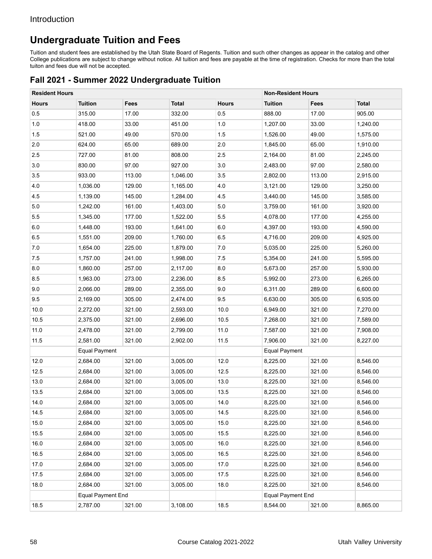## **Undergraduate Tuition and Fees**

Tuition and student fees are established by the Utah State Board of Regents. Tuition and such other changes as appear in the catalog and other College publications are subject to change without notice. All tuition and fees are payable at the time of registration. Checks for more than the total tuiton and fees due will not be accepted.

### **Fall 2021 - Summer 2022 Undergraduate Tuition**

| <b>Resident Hours</b> |                          |        |              |              | <b>Non-Resident Hours</b> |        |              |
|-----------------------|--------------------------|--------|--------------|--------------|---------------------------|--------|--------------|
| <b>Hours</b>          | <b>Tuition</b>           | Fees   | <b>Total</b> | <b>Hours</b> | <b>Tuition</b>            | Fees   | <b>Total</b> |
| 0.5                   | 315.00                   | 17.00  | 332.00       | 0.5          | 888.00                    | 17.00  | 905.00       |
| 1.0                   | 418.00                   | 33.00  | 451.00       | 1.0          | 1,207.00                  | 33.00  | 1,240.00     |
| 1.5                   | 521.00                   | 49.00  | 570.00       | 1.5          | 1,526.00                  | 49.00  | 1,575.00     |
| 2.0                   | 624.00                   | 65.00  | 689.00       | 2.0          | 1,845.00                  | 65.00  | 1,910.00     |
| $2.5\,$               | 727.00                   | 81.00  | 808.00       | 2.5          | 2,164.00                  | 81.00  | 2,245.00     |
| $3.0\,$               | 830.00                   | 97.00  | 927.00       | 3.0          | 2,483.00                  | 97.00  | 2,580.00     |
| 3.5                   | 933.00                   | 113.00 | 1,046.00     | 3.5          | 2,802.00                  | 113.00 | 2,915.00     |
| 4.0                   | 1,036.00                 | 129.00 | 1,165.00     | 4.0          | 3,121.00                  | 129.00 | 3,250.00     |
| 4.5                   | 1,139.00                 | 145.00 | 1,284.00     | 4.5          | 3,440.00                  | 145.00 | 3,585.00     |
| 5.0                   | 1,242.00                 | 161.00 | 1,403.00     | 5.0          | 3,759.00                  | 161.00 | 3,920.00     |
| 5.5                   | 1,345.00                 | 177.00 | 1,522.00     | 5.5          | 4,078.00                  | 177.00 | 4,255.00     |
| 6.0                   | 1,448.00                 | 193.00 | 1,641.00     | 6.0          | 4,397.00                  | 193.00 | 4,590.00     |
| 6.5                   | 1,551.00                 | 209.00 | 1,760.00     | 6.5          | 4,716.00                  | 209.00 | 4,925.00     |
| 7.0                   | 1,654.00                 | 225.00 | 1,879.00     | 7.0          | 5,035.00                  | 225.00 | 5,260.00     |
| 7.5                   | 1,757.00                 | 241.00 | 1,998.00     | 7.5          | 5,354.00                  | 241.00 | 5,595.00     |
| 8.0                   | 1,860.00                 | 257.00 | 2,117.00     | 8.0          | 5,673.00                  | 257.00 | 5,930.00     |
| 8.5                   | 1,963.00                 | 273.00 | 2,236.00     | 8.5          | 5,992.00                  | 273.00 | 6,265.00     |
| 9.0                   | 2,066.00                 | 289.00 | 2,355.00     | 9.0          | 6,311.00                  | 289.00 | 6,600.00     |
| 9.5                   | 2,169.00                 | 305.00 | 2,474.00     | 9.5          | 6,630.00                  | 305.00 | 6,935.00     |
| 10.0                  | 2,272.00                 | 321.00 | 2,593.00     | 10.0         | 6,949.00                  | 321.00 | 7,270.00     |
| 10.5                  | 2,375.00                 | 321.00 | 2,696.00     | 10.5         | 7,268.00                  | 321.00 | 7,589.00     |
| 11.0                  | 2,478.00                 | 321.00 | 2,799.00     | 11.0         | 7,587.00                  | 321.00 | 7,908.00     |
| 11.5                  | 2,581.00                 | 321.00 | 2,902.00     | 11.5         | 7,906.00                  | 321.00 | 8,227.00     |
|                       | <b>Equal Payment</b>     |        |              |              | <b>Equal Payment</b>      |        |              |
| 12.0                  | 2,684.00                 | 321.00 | 3,005.00     | 12.0         | 8,225.00                  | 321.00 | 8,546.00     |
| 12.5                  | 2,684.00                 | 321.00 | 3,005.00     | 12.5         | 8,225.00                  | 321.00 | 8,546.00     |
| 13.0                  | 2,684.00                 | 321.00 | 3,005.00     | 13.0         | 8,225.00                  | 321.00 | 8,546.00     |
| 13.5                  | 2,684.00                 | 321.00 | 3,005.00     | 13.5         | 8,225.00                  | 321.00 | 8,546.00     |
| 14.0                  | 2,684.00                 | 321.00 | 3,005.00     | 14.0         | 8,225.00                  | 321.00 | 8,546.00     |
| 14.5                  | 2,684.00                 | 321.00 | 3,005.00     | 14.5         | 8,225.00                  | 321.00 | 8,546.00     |
| 15.0                  | 2,684.00                 | 321.00 | 3,005.00     | 15.0         | 8,225.00                  | 321.00 | 8,546.00     |
| 15.5                  | 2,684.00                 | 321.00 | 3,005.00     | 15.5         | 8,225.00                  | 321.00 | 8,546.00     |
| 16.0                  | 2,684.00                 | 321.00 | 3,005.00     | 16.0         | 8,225.00                  | 321.00 | 8,546.00     |
| 16.5                  | 2,684.00                 | 321.00 | 3,005.00     | 16.5         | 8,225.00                  | 321.00 | 8,546.00     |
| 17.0                  | 2,684.00                 | 321.00 | 3,005.00     | 17.0         | 8,225.00                  | 321.00 | 8,546.00     |
| 17.5                  | 2,684.00                 | 321.00 | 3,005.00     | 17.5         | 8,225.00                  | 321.00 | 8,546.00     |
| 18.0                  | 2,684.00                 | 321.00 | 3,005.00     | 18.0         | 8,225.00                  | 321.00 | 8,546.00     |
|                       | <b>Equal Payment End</b> |        |              |              | <b>Equal Payment End</b>  |        |              |
| 18.5                  | 2,787.00                 | 321.00 | 3,108.00     | 18.5         | 8,544.00                  | 321.00 | 8,865.00     |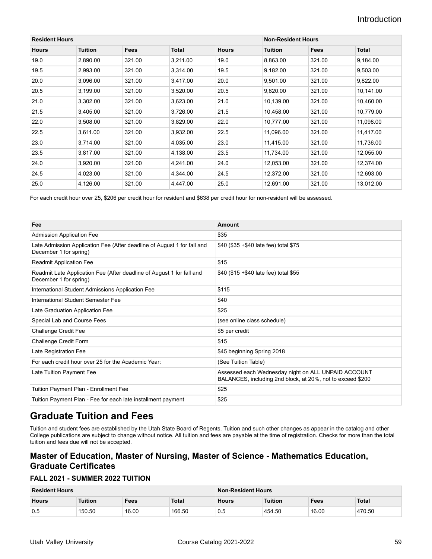| <b>Resident Hours</b> |                |             | <b>Non-Resident Hours</b> |              |                |        |           |
|-----------------------|----------------|-------------|---------------------------|--------------|----------------|--------|-----------|
| <b>Hours</b>          | <b>Tuition</b> | <b>Fees</b> | Total                     | <b>Hours</b> | <b>Tuition</b> | Fees   | Total     |
| 19.0                  | 2,890.00       | 321.00      | 3,211.00                  | 19.0         | 8,863.00       | 321.00 | 9,184.00  |
| 19.5                  | 2,993.00       | 321.00      | 3,314.00                  | 19.5         | 9,182.00       | 321.00 | 9,503.00  |
| 20.0                  | 3,096.00       | 321.00      | 3,417.00                  | 20.0         | 9,501.00       | 321.00 | 9,822.00  |
| 20.5                  | 3,199.00       | 321.00      | 3,520.00                  | 20.5         | 9,820.00       | 321.00 | 10,141.00 |
| 21.0                  | 3,302.00       | 321.00      | 3,623.00                  | 21.0         | 10,139.00      | 321.00 | 10,460.00 |
| 21.5                  | 3,405.00       | 321.00      | 3,726.00                  | 21.5         | 10,458.00      | 321.00 | 10,779.00 |
| 22.0                  | 3,508.00       | 321.00      | 3,829.00                  | 22.0         | 10,777.00      | 321.00 | 11,098.00 |
| 22.5                  | 3,611.00       | 321.00      | 3,932.00                  | 22.5         | 11,096.00      | 321.00 | 11,417.00 |
| 23.0                  | 3,714.00       | 321.00      | 4,035.00                  | 23.0         | 11,415.00      | 321.00 | 11,736.00 |
| 23.5                  | 3,817.00       | 321.00      | 4,138.00                  | 23.5         | 11,734.00      | 321.00 | 12,055.00 |
| 24.0                  | 3,920.00       | 321.00      | 4,241.00                  | 24.0         | 12,053.00      | 321.00 | 12,374.00 |
| 24.5                  | 4,023.00       | 321.00      | 4,344.00                  | 24.5         | 12,372.00      | 321.00 | 12,693.00 |
| 25.0                  | 4,126.00       | 321.00      | 4,447.00                  | 25.0         | 12,691.00      | 321.00 | 13,012.00 |

For each credit hour over 25, \$206 per credit hour for resident and \$638 per credit hour for non-resident will be assessed.

| Fee                                                                                               | Amount                                                                                                            |
|---------------------------------------------------------------------------------------------------|-------------------------------------------------------------------------------------------------------------------|
| <b>Admission Application Fee</b>                                                                  | \$35                                                                                                              |
| Late Admission Application Fee (After deadline of August 1 for fall and<br>December 1 for spring) | \$40 (\$35 +\$40 late fee) total \$75                                                                             |
| <b>Readmit Application Fee</b>                                                                    | \$15                                                                                                              |
| Readmit Late Application Fee (After deadline of August 1 for fall and<br>December 1 for spring)   | \$40 (\$15 +\$40 late fee) total \$55                                                                             |
| International Student Admissions Application Fee                                                  | \$115                                                                                                             |
| International Student Semester Fee                                                                | \$40                                                                                                              |
| Late Graduation Application Fee                                                                   | \$25                                                                                                              |
| Special Lab and Course Fees                                                                       | (see online class schedule)                                                                                       |
| <b>Challenge Credit Fee</b>                                                                       | \$5 per credit                                                                                                    |
| Challenge Credit Form                                                                             | \$15                                                                                                              |
| Late Registration Fee                                                                             | \$45 beginning Spring 2018                                                                                        |
| For each credit hour over 25 for the Academic Year:                                               | (See Tuition Table)                                                                                               |
| Late Tuition Payment Fee                                                                          | Assessed each Wednesday night on ALL UNPAID ACCOUNT<br>BALANCES, including 2nd block, at 20%, not to exceed \$200 |
| Tuition Payment Plan - Enrollment Fee                                                             | \$25                                                                                                              |
| Tuition Payment Plan - Fee for each late installment payment                                      | \$25                                                                                                              |

## **Graduate Tuition and Fees**

Tuition and student fees are established by the Utah State Board of Regents. Tuition and such other changes as appear in the catalog and other College publications are subject to change without notice. All tuition and fees are payable at the time of registration. Checks for more than the total tuition and fees due will not be accepted.

### **Master of Education, Master of Nursing, Master of Science - Mathematics Education, Graduate Certificates**

#### **FALL 2021 - SUMMER 2022 TUITION**

| <b>Resident Hours</b> |                          |       | Non-Resident Hours |              |                |             |        |
|-----------------------|--------------------------|-------|--------------------|--------------|----------------|-------------|--------|
| <b>Hours</b>          | Tuition<br>Total<br>Fees |       |                    | <b>Hours</b> | <b>Tuition</b> | <b>Fees</b> | Total  |
| 0.5                   | 150.50                   | 16.00 | 166.50             | U.5          | 454.50         | 16.00       | 470.50 |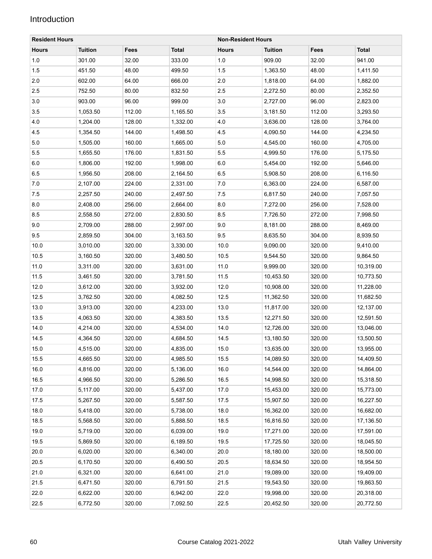| <b>Resident Hours</b> |                | <b>Non-Resident Hours</b> |              |              |                |        |              |
|-----------------------|----------------|---------------------------|--------------|--------------|----------------|--------|--------------|
| <b>Hours</b>          | <b>Tuition</b> | Fees                      | <b>Total</b> | <b>Hours</b> | <b>Tuition</b> | Fees   | <b>Total</b> |
| 1.0                   | 301.00         | 32.00                     | 333.00       | 1.0          | 909.00         | 32.00  | 941.00       |
| 1.5                   | 451.50         | 48.00                     | 499.50       | 1.5          | 1,363.50       | 48.00  | 1,411.50     |
| 2.0                   | 602.00         | 64.00                     | 666.00       | 2.0          | 1,818.00       | 64.00  | 1,882.00     |
| 2.5                   | 752.50         | 80.00                     | 832.50       | 2.5          | 2,272.50       | 80.00  | 2,352.50     |
| 3.0                   | 903.00         | 96.00                     | 999.00       | 3.0          | 2,727.00       | 96.00  | 2,823.00     |
| 3.5                   | 1,053.50       | 112.00                    | 1,165.50     | 3.5          | 3,181.50       | 112.00 | 3,293.50     |
| 4.0                   | 1,204.00       | 128.00                    | 1,332.00     | 4.0          | 3,636.00       | 128.00 | 3,764.00     |
| 4.5                   | 1,354.50       | 144.00                    | 1,498.50     | 4.5          | 4,090.50       | 144.00 | 4,234.50     |
| 5.0                   | 1,505.00       | 160.00                    | 1,665.00     | 5.0          | 4,545.00       | 160.00 | 4,705.00     |
| 5.5                   | 1,655.50       | 176.00                    | 1,831.50     | 5.5          | 4,999.50       | 176.00 | 5,175.50     |
| 6.0                   | 1,806.00       | 192.00                    | 1,998.00     | 6.0          | 5,454.00       | 192.00 | 5,646.00     |
| 6.5                   | 1,956.50       | 208.00                    | 2,164.50     | 6.5          | 5,908.50       | 208.00 | 6,116.50     |
| 7.0                   | 2,107.00       | 224.00                    | 2,331.00     | 7.0          | 6,363.00       | 224.00 | 6,587.00     |
| 7.5                   | 2,257.50       | 240.00                    | 2,497.50     | 7.5          | 6,817.50       | 240.00 | 7,057.50     |
| 8.0                   | 2,408.00       | 256.00                    | 2,664.00     | 8.0          | 7,272.00       | 256.00 | 7,528.00     |
| 8.5                   | 2,558.50       | 272.00                    | 2,830.50     | 8.5          | 7,726.50       | 272.00 | 7,998.50     |
| 9.0                   | 2,709.00       | 288.00                    | 2,997.00     | 9.0          | 8,181.00       | 288.00 | 8,469.00     |
| 9.5                   | 2,859.50       | 304.00                    | 3,163.50     | 9.5          | 8,635.50       | 304.00 | 8,939.50     |
| 10.0                  | 3,010.00       | 320.00                    | 3,330.00     | 10.0         | 9,090.00       | 320.00 | 9,410.00     |
| 10.5                  | 3,160.50       | 320.00                    | 3,480.50     | 10.5         | 9,544.50       | 320.00 | 9,864.50     |
| 11.0                  | 3,311.00       | 320.00                    | 3,631.00     | 11.0         | 9,999.00       | 320.00 | 10,319.00    |
| 11.5                  | 3,461.50       | 320.00                    | 3,781.50     | 11.5         | 10,453.50      | 320.00 | 10,773.50    |
| 12.0                  | 3,612.00       | 320.00                    | 3,932.00     | 12.0         | 10,908.00      | 320.00 | 11,228.00    |
| 12.5                  | 3,762.50       | 320.00                    | 4,082.50     | 12.5         | 11,362.50      | 320.00 | 11,682.50    |
| 13.0                  | 3,913.00       | 320.00                    | 4,233.00     | 13.0         | 11,817.00      | 320.00 | 12,137.00    |
| 13.5                  | 4,063.50       | 320.00                    | 4,383.50     | 13.5         | 12,271.50      | 320.00 | 12,591.50    |
| 14.0                  | 4,214.00       | 320.00                    | 4,534.00     | 14.0         | 12,726.00      | 320.00 | 13,046.00    |
| 14.5                  | 4,364.50       | 320.00                    | 4,684.50     | 14.5         | 13,180.50      | 320.00 | 13,500.50    |
| 15.0                  | 4,515.00       | 320.00                    | 4,835.00     | 15.0         | 13,635.00      | 320.00 | 13,955.00    |
| 15.5                  | 4,665.50       | 320.00                    | 4,985.50     | 15.5         | 14,089.50      | 320.00 | 14,409.50    |
| 16.0                  | 4,816.00       | 320.00                    | 5,136.00     | 16.0         | 14,544.00      | 320.00 | 14,864.00    |
| 16.5                  | 4,966.50       | 320.00                    | 5,286.50     | 16.5         | 14,998.50      | 320.00 | 15,318.50    |
| 17.0                  | 5,117.00       | 320.00                    | 5,437.00     | 17.0         | 15,453.00      | 320.00 | 15,773.00    |
| 17.5                  | 5,267.50       | 320.00                    | 5,587.50     | 17.5         | 15,907.50      | 320.00 | 16,227.50    |
| 18.0                  | 5,418.00       | 320.00                    | 5,738.00     | 18.0         | 16,362.00      | 320.00 | 16,682.00    |
| 18.5                  | 5,568.50       | 320.00                    | 5,888.50     | 18.5         | 16,816.50      | 320.00 | 17,136.50    |
| 19.0                  | 5,719.00       | 320.00                    | 6,039.00     | 19.0         | 17,271.00      | 320.00 | 17,591.00    |
| 19.5                  | 5,869.50       | 320.00                    | 6,189.50     | 19.5         | 17,725.50      | 320.00 | 18,045.50    |
| 20.0                  | 6,020.00       | 320.00                    | 6,340.00     | 20.0         | 18,180.00      | 320.00 | 18,500.00    |
| $20.5\,$              | 6,170.50       | 320.00                    | 6,490.50     | 20.5         | 18,634.50      | 320.00 | 18,954.50    |
| 21.0                  | 6,321.00       | 320.00                    | 6,641.00     | 21.0         | 19,089.00      | 320.00 | 19,409.00    |
| 21.5                  | 6,471.50       | 320.00                    | 6,791.50     | 21.5         | 19,543.50      | 320.00 | 19,863.50    |
| 22.0                  | 6,622.00       | 320.00                    | 6,942.00     | 22.0         | 19,998.00      | 320.00 | 20,318.00    |
| 22.5                  | 6,772.50       | 320.00                    | 7,092.50     | 22.5         | 20,452.50      | 320.00 | 20,772.50    |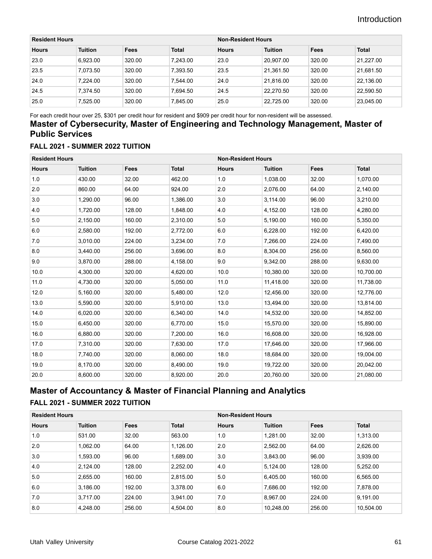| <b>Resident Hours</b> |                |        |              | <b>Non-Resident Hours</b> |                |        |              |
|-----------------------|----------------|--------|--------------|---------------------------|----------------|--------|--------------|
| <b>Hours</b>          | <b>Tuition</b> | Fees   | <b>Total</b> | <b>Hours</b>              | <b>Tuition</b> | Fees   | <b>Total</b> |
| 23.0                  | 6.923.00       | 320.00 | 7.243.00     | 23.0                      | 20.907.00      | 320.00 | 21.227.00    |
| 23.5                  | 7.073.50       | 320.00 | 7.393.50     | 23.5                      | 21.361.50      | 320.00 | 21.681.50    |
| 24.0                  | 7.224.00       | 320.00 | 7.544.00     | 24.0                      | 21.816.00      | 320.00 | 22.136.00    |
| 24.5                  | 7.374.50       | 320.00 | 7.694.50     | 24.5                      | 22.270.50      | 320.00 | 22.590.50    |
| 25.0                  | 7.525.00       | 320.00 | 7.845.00     | 25.0                      | 22.725.00      | 320.00 | 23,045.00    |

For each credit hour over 25, \$301 per credit hour for resident and \$909 per credit hour for non-resident will be assessed.

### **Master of Cybersecurity, Master of Engineering and Technology Management, Master of Public Services**

#### **FALL 2021 - SUMMER 2022 TUITION**

| <b>Resident Hours</b> |                |        | <b>Non-Resident Hours</b> |              |                |        |              |
|-----------------------|----------------|--------|---------------------------|--------------|----------------|--------|--------------|
| <b>Hours</b>          | <b>Tuition</b> | Fees   | <b>Total</b>              | <b>Hours</b> | <b>Tuition</b> | Fees   | <b>Total</b> |
| 1.0                   | 430.00         | 32.00  | 462.00                    | 1.0          | 1,038.00       | 32.00  | 1,070.00     |
| 2.0                   | 860.00         | 64.00  | 924.00                    | 2.0          | 2,076.00       | 64.00  | 2,140.00     |
| 3.0                   | 1,290.00       | 96.00  | 1,386.00                  | 3.0          | 3,114.00       | 96.00  | 3,210.00     |
| 4.0                   | 1,720.00       | 128.00 | 1,848.00                  | 4.0          | 4,152.00       | 128.00 | 4,280.00     |
| 5.0                   | 2,150.00       | 160.00 | 2,310.00                  | 5.0          | 5,190.00       | 160.00 | 5,350.00     |
| 6.0                   | 2,580.00       | 192.00 | 2,772.00                  | 6.0          | 6,228.00       | 192.00 | 6,420.00     |
| 7.0                   | 3,010.00       | 224.00 | 3,234.00                  | 7.0          | 7,266.00       | 224.00 | 7,490.00     |
| 8.0                   | 3,440.00       | 256.00 | 3,696.00                  | 8.0          | 8,304.00       | 256.00 | 8,560.00     |
| 9.0                   | 3,870.00       | 288.00 | 4,158.00                  | 9.0          | 9,342.00       | 288.00 | 9,630.00     |
| 10.0                  | 4,300.00       | 320.00 | 4,620.00                  | 10.0         | 10,380.00      | 320.00 | 10,700.00    |
| 11.0                  | 4,730.00       | 320.00 | 5,050.00                  | 11.0         | 11,418.00      | 320.00 | 11,738.00    |
| 12.0                  | 5,160.00       | 320.00 | 5,480.00                  | 12.0         | 12,456.00      | 320.00 | 12,776.00    |
| 13.0                  | 5,590.00       | 320.00 | 5,910.00                  | 13.0         | 13,494.00      | 320.00 | 13,814.00    |
| 14.0                  | 6,020.00       | 320.00 | 6,340.00                  | 14.0         | 14,532.00      | 320.00 | 14,852.00    |
| 15.0                  | 6,450.00       | 320.00 | 6,770.00                  | 15.0         | 15,570.00      | 320.00 | 15,890.00    |
| 16.0                  | 6,880.00       | 320.00 | 7,200.00                  | 16.0         | 16,608.00      | 320.00 | 16,928.00    |
| 17.0                  | 7,310.00       | 320.00 | 7,630.00                  | 17.0         | 17,646.00      | 320.00 | 17,966.00    |
| 18.0                  | 7,740.00       | 320.00 | 8,060.00                  | 18.0         | 18,684.00      | 320.00 | 19,004.00    |
| 19.0                  | 8,170.00       | 320.00 | 8,490.00                  | 19.0         | 19,722.00      | 320.00 | 20,042.00    |
| 20.0                  | 8,600.00       | 320.00 | 8,920.00                  | 20.0         | 20,760.00      | 320.00 | 21,080.00    |

### **Master of Accountancy & Master of Financial Planning and Analytics**

#### **FALL 2021 - SUMMER 2022 TUITION**

| <b>Resident Hours</b> |                |             | <b>Non-Resident Hours</b> |              |                |        |              |
|-----------------------|----------------|-------------|---------------------------|--------------|----------------|--------|--------------|
| <b>Hours</b>          | <b>Tuition</b> | <b>Fees</b> | <b>Total</b>              | <b>Hours</b> | <b>Tuition</b> | Fees   | <b>Total</b> |
| 1.0                   | 531.00         | 32.00       | 563.00                    | 1.0          | 1.281.00       | 32.00  | 1,313.00     |
| 2.0                   | 1.062.00       | 64.00       | 1,126.00                  | 2.0          | 2,562.00       | 64.00  | 2,626.00     |
| 3.0                   | 1,593.00       | 96.00       | 1,689.00                  | 3.0          | 3.843.00       | 96.00  | 3,939.00     |
| 4.0                   | 2,124.00       | 128.00      | 2,252.00                  | 4.0          | 5,124.00       | 128.00 | 5,252.00     |
| 5.0                   | 2,655.00       | 160.00      | 2,815.00                  | 5.0          | 6.405.00       | 160.00 | 6,565.00     |
| 6.0                   | 3,186.00       | 192.00      | 3,378.00                  | 6.0          | 7,686.00       | 192.00 | 7,878.00     |
| 7.0                   | 3.717.00       | 224.00      | 3,941.00                  | 7.0          | 8.967.00       | 224.00 | 9,191.00     |
| 8.0                   | 4,248.00       | 256.00      | 4,504.00                  | 8.0          | 10,248.00      | 256.00 | 10,504.00    |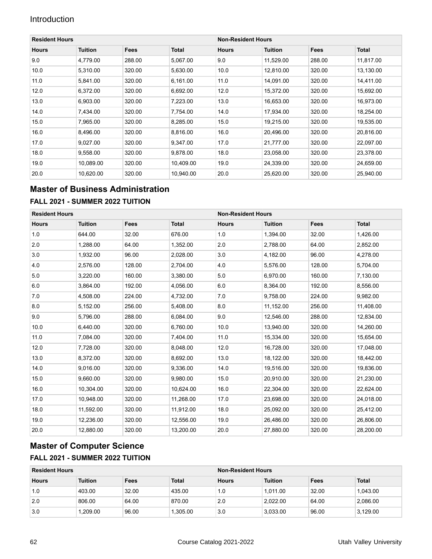| <b>Resident Hours</b> |                |             |              |              | <b>Non-Resident Hours</b> |             |           |  |  |
|-----------------------|----------------|-------------|--------------|--------------|---------------------------|-------------|-----------|--|--|
| <b>Hours</b>          | <b>Tuition</b> | <b>Fees</b> | <b>Total</b> | <b>Hours</b> | <b>Tuition</b>            | <b>Fees</b> | Total     |  |  |
| 9.0                   | 4,779.00       | 288.00      | 5,067.00     | 9.0          | 11,529.00                 | 288.00      | 11,817.00 |  |  |
| 10.0                  | 5,310.00       | 320.00      | 5,630.00     | 10.0         | 12,810.00                 | 320.00      | 13,130.00 |  |  |
| 11.0                  | 5,841.00       | 320.00      | 6,161.00     | 11.0         | 14,091.00                 | 320.00      | 14,411.00 |  |  |
| 12.0                  | 6,372.00       | 320.00      | 6,692.00     | 12.0         | 15,372.00                 | 320.00      | 15,692.00 |  |  |
| 13.0                  | 6,903.00       | 320.00      | 7,223.00     | 13.0         | 16,653.00                 | 320.00      | 16,973.00 |  |  |
| 14.0                  | 7,434.00       | 320.00      | 7,754.00     | 14.0         | 17,934.00                 | 320.00      | 18,254.00 |  |  |
| 15.0                  | 7,965.00       | 320.00      | 8,285.00     | 15.0         | 19,215.00                 | 320.00      | 19,535.00 |  |  |
| 16.0                  | 8,496.00       | 320.00      | 8,816.00     | 16.0         | 20,496.00                 | 320.00      | 20,816.00 |  |  |
| 17.0                  | 9,027.00       | 320.00      | 9,347.00     | 17.0         | 21,777.00                 | 320.00      | 22,097.00 |  |  |
| 18.0                  | 9.558.00       | 320.00      | 9.878.00     | 18.0         | 23.058.00                 | 320.00      | 23,378.00 |  |  |
| 19.0                  | 10,089.00      | 320.00      | 10,409.00    | 19.0         | 24,339.00                 | 320.00      | 24,659.00 |  |  |
| 20.0                  | 10,620.00      | 320.00      | 10.940.00    | 20.0         | 25,620.00                 | 320.00      | 25,940.00 |  |  |

### **Master of Business Administration**

#### **FALL 2021 - SUMMER 2022 TUITION**

| <b>Resident Hours</b> |                |             | <b>Non-Resident Hours</b> |              |                |        |              |
|-----------------------|----------------|-------------|---------------------------|--------------|----------------|--------|--------------|
| <b>Hours</b>          | <b>Tuition</b> | <b>Fees</b> | <b>Total</b>              | <b>Hours</b> | <b>Tuition</b> | Fees   | <b>Total</b> |
| 1.0                   | 644.00         | 32.00       | 676.00                    | 1.0          | 1,394.00       | 32.00  | 1,426.00     |
| 2.0                   | 1,288.00       | 64.00       | 1,352.00                  | 2.0          | 2,788.00       | 64.00  | 2,852.00     |
| 3.0                   | 1,932.00       | 96.00       | 2,028.00                  | 3.0          | 4,182.00       | 96.00  | 4,278.00     |
| 4.0                   | 2,576.00       | 128.00      | 2,704.00                  | 4.0          | 5,576.00       | 128.00 | 5,704.00     |
| 5.0                   | 3,220.00       | 160.00      | 3,380.00                  | 5.0          | 6,970.00       | 160.00 | 7,130.00     |
| 6.0                   | 3,864.00       | 192.00      | 4,056.00                  | 6.0          | 8,364.00       | 192.00 | 8,556.00     |
| 7.0                   | 4,508.00       | 224.00      | 4,732.00                  | 7.0          | 9,758.00       | 224.00 | 9,982.00     |
| 8.0                   | 5,152.00       | 256.00      | 5,408.00                  | 8.0          | 11,152.00      | 256.00 | 11,408.00    |
| 9.0                   | 5,796.00       | 288.00      | 6,084.00                  | 9.0          | 12,546.00      | 288.00 | 12,834.00    |
| 10.0                  | 6,440.00       | 320.00      | 6,760.00                  | 10.0         | 13,940.00      | 320.00 | 14,260.00    |
| 11.0                  | 7,084.00       | 320.00      | 7,404.00                  | 11.0         | 15,334.00      | 320.00 | 15,654.00    |
| 12.0                  | 7,728.00       | 320.00      | 8,048.00                  | 12.0         | 16,728.00      | 320.00 | 17,048.00    |
| 13.0                  | 8,372.00       | 320.00      | 8,692.00                  | 13.0         | 18,122.00      | 320.00 | 18,442.00    |
| 14.0                  | 9,016.00       | 320.00      | 9,336.00                  | 14.0         | 19,516.00      | 320.00 | 19,836.00    |
| 15.0                  | 9.660.00       | 320.00      | 9,980.00                  | 15.0         | 20.910.00      | 320.00 | 21,230.00    |
| 16.0                  | 10.304.00      | 320.00      | 10.624.00                 | 16.0         | 22,304.00      | 320.00 | 22,624.00    |
| 17.0                  | 10,948.00      | 320.00      | 11,268.00                 | 17.0         | 23,698.00      | 320.00 | 24,018.00    |
| 18.0                  | 11,592.00      | 320.00      | 11,912.00                 | 18.0         | 25,092.00      | 320.00 | 25,412.00    |
| 19.0                  | 12,236.00      | 320.00      | 12,556.00                 | 19.0         | 26,486.00      | 320.00 | 26,806.00    |
| 20.0                  | 12,880.00      | 320.00      | 13,200.00                 | 20.0         | 27,880.00      | 320.00 | 28,200.00    |

### **Master of Computer Science FALL 2021 - SUMMER 2022 TUITION**

| <b>Resident Hours</b> |                |       |              | <b>Non-Resident Hours</b> |                |       |              |
|-----------------------|----------------|-------|--------------|---------------------------|----------------|-------|--------------|
| <b>Hours</b>          | <b>Tuition</b> | Fees  | <b>Total</b> | <b>Hours</b>              | <b>Tuition</b> | Fees  | <b>Total</b> |
| 1.0                   | 403.00         | 32.00 | 435.00       | 1.0                       | 1.011.00       | 32.00 | 1.043.00     |
| 2.0                   | 806.00         | 64.00 | 870.00       | 2.0                       | 2.022.00       | 64.00 | 2,086.00     |
| 3.0                   | 1.209.00       | 96.00 | .305.00      | 3.0                       | 3.033.00       | 96.00 | 3.129.00     |